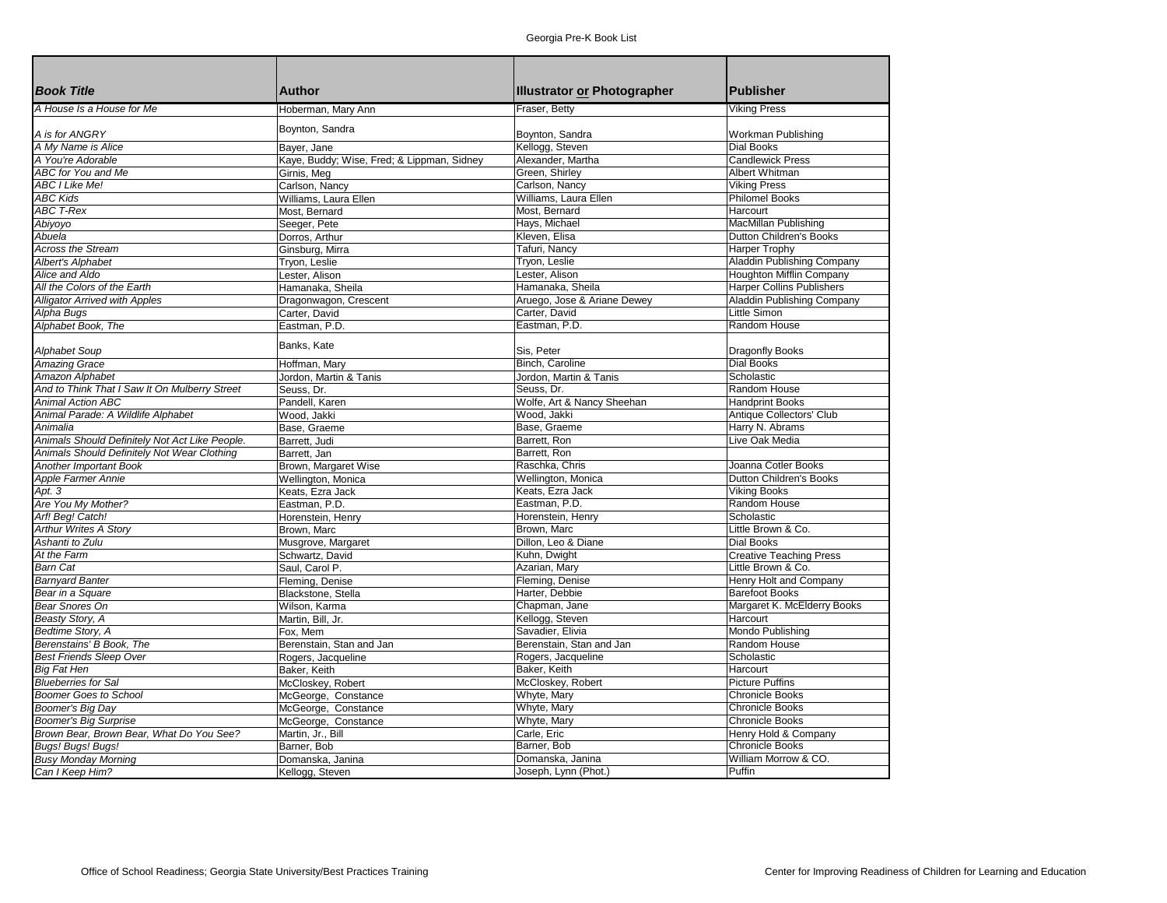| <b>Book Title</b>                              | <b>Author</b>                              | Illustrator or Photographer          | <b>Publisher</b>                        |
|------------------------------------------------|--------------------------------------------|--------------------------------------|-----------------------------------------|
|                                                |                                            |                                      |                                         |
| A House Is a House for Me                      | Hoberman, Mary Ann                         | Fraser, Betty                        | <b>Viking Press</b>                     |
| A is for ANGRY                                 | Boynton, Sandra                            | Boynton, Sandra                      |                                         |
| A My Name is Alice                             |                                            |                                      | Workman Publishing<br><b>Dial Books</b> |
| A You're Adorable                              | Bayer, Jane                                | Kellogg, Steven<br>Alexander, Martha | <b>Candlewick Press</b>                 |
| ABC for You and Me                             | Kaye, Buddy; Wise, Fred; & Lippman, Sidney | Green, Shirley                       | Albert Whitman                          |
|                                                | Girnis, Meg                                |                                      |                                         |
| <b>ABC I Like Me!</b>                          | Carlson, Nancy                             | Carlson, Nancy                       | <b>Viking Press</b>                     |
| <b>ABC Kids</b>                                | Williams, Laura Ellen                      | Williams, Laura Ellen                | <b>Philomel Books</b>                   |
| <b>ABC T-Rex</b>                               | Most, Bernard                              | Most, Bernard                        | Harcourt                                |
| Abiyoyo                                        | Seeger, Pete                               | Hays, Michael                        | MacMillan Publishing                    |
| Abuela                                         | Dorros, Arthur                             | Kleven, Elisa                        | Dutton Children's Books                 |
| <b>Across the Stream</b>                       | Ginsburg, Mirra                            | Tafuri, Nancy                        | <b>Harper Trophy</b>                    |
| <b>Albert's Alphabet</b>                       | Tryon, Leslie                              | Tryon, Leslie                        | Aladdin Publishing Company              |
| Alice and Aldo                                 | Lester, Alison                             | Lester, Alison                       | Houghton Mifflin Company                |
| All the Colors of the Earth                    | Hamanaka, Sheila                           | Hamanaka, Sheila                     | <b>Harper Collins Publishers</b>        |
| <b>Alligator Arrived with Apples</b>           | Dragonwagon, Crescent                      | Aruego, Jose & Ariane Dewey          | Aladdin Publishing Company              |
| Alpha Bugs                                     | Carter, David                              | Carter, David                        | <b>Little Simon</b>                     |
| Alphabet Book, The                             | Eastman, P.D.                              | Eastman, P.D.                        | Random House                            |
|                                                | Banks, Kate                                |                                      |                                         |
| Alphabet Soup                                  |                                            | Sis, Peter                           | Dragonfly Books                         |
| <b>Amazing Grace</b>                           | Hoffman, Mary                              | Binch, Caroline                      | <b>Dial Books</b>                       |
| Amazon Alphabet                                | Jordon, Martin & Tanis                     | Jordon, Martin & Tanis               | Scholastic                              |
| And to Think That I Saw It On Mulberry Street  | Seuss, Dr.                                 | Seuss, Dr.                           | Random House                            |
| <b>Animal Action ABC</b>                       | Pandell, Karen                             | Wolfe, Art & Nancy Sheehan           | <b>Handprint Books</b>                  |
| Animal Parade: A Wildlife Alphabet             | Wood, Jakki                                | Wood, Jakki                          | Antique Collectors' Club                |
| Animalia                                       | Base, Graeme                               | Base, Graeme                         | Harry N. Abrams                         |
| Animals Should Definitely Not Act Like People. | Barrett, Judi                              | Barrett, Ron                         | Live Oak Media                          |
| Animals Should Definitely Not Wear Clothing    | Barrett, Jan                               | Barrett, Ron                         |                                         |
| Another Important Book                         | Brown, Margaret Wise                       | Raschka, Chris                       | Joanna Cotler Books                     |
| Apple Farmer Annie                             | Wellington, Monica                         | Wellington, Monica                   | Dutton Children's Books                 |
| Apt. 3                                         | Keats, Ezra Jack                           | Keats, Ezra Jack                     | <b>Viking Books</b>                     |
| Are You My Mother?                             | Eastman, P.D.                              | Eastman, P.D                         | Random House                            |
| Arf! Beg! Catch!                               | Horenstein, Henry                          | Horenstein, Henry                    | Scholastic                              |
| <b>Arthur Writes A Story</b>                   | Brown, Marc                                | Brown, Marc                          | Little Brown & Co.                      |
| Ashanti to Zulu                                | Musgrove, Margaret                         | Dillon, Leo & Diane                  | <b>Dial Books</b>                       |
| At the Farm                                    | Schwartz, David                            | Kuhn, Dwight                         | <b>Creative Teaching Press</b>          |
| <b>Barn Cat</b>                                | Saul, Carol P.                             | Azarian, Mary                        | Little Brown & Co.                      |
| <b>Barnyard Banter</b>                         | Fleming, Denise                            | Fleming, Denise                      | Henry Holt and Company                  |
| Bear in a Square                               | Blackstone, Stella                         | Harter, Debbie                       | <b>Barefoot Books</b>                   |
| <b>Bear Snores On</b>                          | Wilson, Karma                              | Chapman, Jane                        | Margaret K. McElderry Books             |
| Beasty Story, A                                | Martin, Bill, Jr.                          | Kellogg, Steven                      | Harcourt                                |
| Bedtime Story, A                               | Fox, Mem                                   | Savadier, Elivia                     | Mondo Publishing                        |
| Berenstains' B Book, The                       | Berenstain, Stan and Jan                   | Berenstain, Stan and Jan             | Random House                            |
| <b>Best Friends Sleep Over</b>                 | Rogers, Jacqueline                         | Rogers, Jacqueline                   | Scholastic                              |
| <b>Big Fat Hen</b>                             | Baker, Keith                               | Baker, Keith                         | Harcourt                                |
| <b>Blueberries for Sal</b>                     | McCloskey, Robert                          | McCloskey, Robert                    | <b>Picture Puffins</b>                  |
| <b>Boomer Goes to School</b>                   | McGeorge, Constance                        | Whyte, Mary                          | <b>Chronicle Books</b>                  |
| Boomer's Big Day                               | McGeorge, Constance                        | Whyte, Mary                          | <b>Chronicle Books</b>                  |
| <b>Boomer's Big Surprise</b>                   | McGeorge, Constance                        | Whyte, Mary                          | Chronicle Books                         |
| Brown Bear, Brown Bear, What Do You See?       | Martin, Jr., Bill                          | Carle, Eric                          | Henry Hold & Company                    |
| Bugs! Bugs! Bugs!                              | Barner, Bob                                | Barner, Bob                          | <b>Chronicle Books</b>                  |
| <b>Busy Monday Morning</b>                     | Domanska, Janina                           | Domanska, Janina                     | William Morrow & CO.                    |
| Can I Keep Him?                                | Kellogg, Steven                            | Joseph, Lynn (Phot.)                 | Puffin                                  |
|                                                |                                            |                                      |                                         |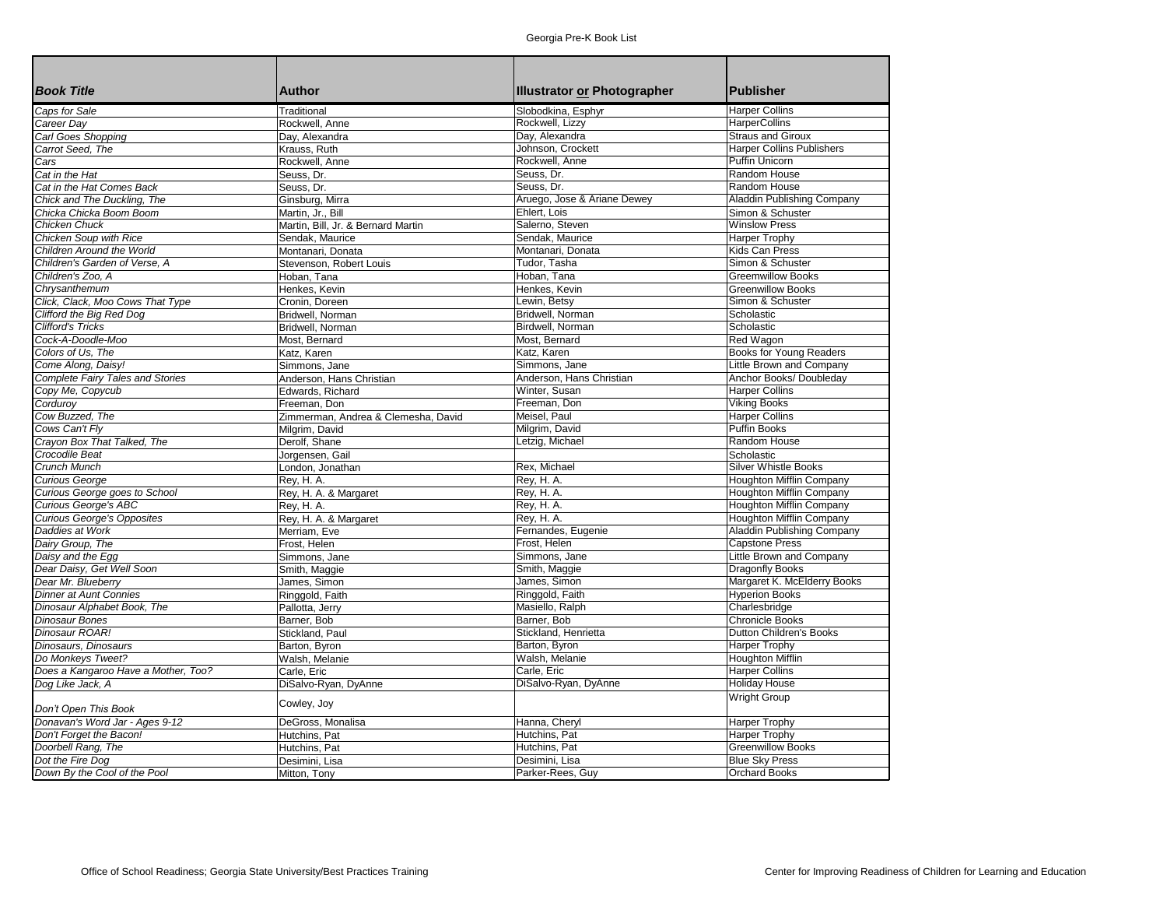| <b>Book Title</b>                       | <b>Author</b>                       | <b>Illustrator or Photographer</b> | Publisher                        |
|-----------------------------------------|-------------------------------------|------------------------------------|----------------------------------|
| Caps for Sale                           | Traditional                         | Slobodkina, Esphyr                 | Harper Collins                   |
| Career Day                              | Rockwell, Anne                      | Rockwell, Lizzy                    | <b>HarperCollins</b>             |
| Carl Goes Shopping                      | Day, Alexandra                      | Day, Alexandra                     | <b>Straus and Giroux</b>         |
| Carrot Seed, The                        | Krauss, Ruth                        | Johnson, Crockett                  | <b>Harper Collins Publishers</b> |
| Cars                                    | Rockwell, Anne                      | Rockwell, Anne                     | Puffin Unicorn                   |
| Cat in the Hat                          | Seuss, Dr.                          | Seuss. Dr.                         | Random House                     |
| Cat in the Hat Comes Back               | Seuss, Dr.                          | Seuss, Dr.                         | Random House                     |
| Chick and The Duckling, The             | Ginsburg, Mirra                     | Aruego, Jose & Ariane Dewey        | Aladdin Publishing Company       |
| Chicka Chicka Boom Boom                 | Martin, Jr., Bill                   | Ehlert, Lois                       | Simon & Schuster                 |
| Chicken Chuck                           | Martin, Bill, Jr. & Bernard Martin  | Salerno, Steven                    | <b>Winslow Press</b>             |
| <b>Chicken Soup with Rice</b>           | Sendak, Maurice                     | Sendak, Maurice                    | Harper Trophy                    |
| Children Around the World               | Montanari, Donata                   | Montanari, Donata                  | Kids Can Press                   |
| Children's Garden of Verse, A           | Stevenson, Robert Louis             | Tudor, Tasha                       | Simon & Schuster                 |
| Children's Zoo, A                       | Hoban, Tana                         | Hoban, Tana                        | <b>Greemwillow Books</b>         |
| Chrysanthemum                           | Henkes, Kevin                       | Henkes, Kevin                      | <b>Greenwillow Books</b>         |
| Click, Clack, Moo Cows That Type        | Cronin, Doreen                      | Lewin, Betsy                       | Simon & Schuster                 |
| Clifford the Big Red Dog                | Bridwell, Norman                    | Bridwell, Norman                   | Scholastic                       |
| <b>Clifford's Tricks</b>                | Bridwell, Norman                    | Birdwell, Norman                   | Scholastic                       |
| Cock-A-Doodle-Moo                       | Most, Bernard                       | Most, Bernard                      | Red Wagon                        |
| Colors of Us, The                       | Katz, Karen                         | Katz, Karen                        | <b>Books for Young Readers</b>   |
| Come Along, Daisy!                      | Simmons, Jane                       | Simmons, Jane                      | Little Brown and Company         |
| <b>Complete Fairy Tales and Stories</b> | Anderson, Hans Christian            | Anderson, Hans Christian           | Anchor Books/ Doubleday          |
| Copy Me, Copycub                        | Edwards, Richard                    | Winter, Susan                      | <b>Harper Collins</b>            |
| Cordurov                                | Freeman, Don                        | Freeman, Don                       | <b>Viking Books</b>              |
| Cow Buzzed, The                         | Zimmerman, Andrea & Clemesha, David | Meisel, Paul                       | <b>Harper Collins</b>            |
| Cows Can't Fly                          | Milgrim, David                      | Milgrim, David                     | Puffin Books                     |
| Crayon Box That Talked, The             | Derolf, Shane                       | Letzig, Michael                    | Random House                     |
| Crocodile Beat                          | Jorgensen, Gail                     |                                    | Scholastic                       |
| Crunch Munch                            |                                     | Rex, Michael                       | <b>Silver Whistle Books</b>      |
| <b>Curious George</b>                   | London, Jonathan                    | Rey, H. A.                         | Houghton Mifflin Company         |
|                                         | Rev, H. A.                          |                                    |                                  |
| Curious George goes to School           | Rey, H. A. & Margaret               | Rey, H. A.                         | Houghton Mifflin Company         |
| <b>Curious George's ABC</b>             | Rev, H. A.                          | Rey, H. A.                         | Houghton Mifflin Company         |
| <b>Curious George's Opposites</b>       | Rey, H. A. & Margaret               | Rey, H. A.                         | Houghton Mifflin Company         |
| Daddies at Work                         | Merriam, Eve                        | Fernandes, Eugenie                 | Aladdin Publishing Company       |
| Dairy Group, The                        | Frost, Helen                        | Frost, Helen                       | <b>Capstone Press</b>            |
| Daisy and the Egg                       | Simmons, Jane                       | Simmons, Jane                      | Little Brown and Company         |
| Dear Daisy, Get Well Soon               | Smith, Maggie                       | Smith, Maggie                      | Dragonfly Books                  |
| Dear Mr. Blueberry                      | James, Simon                        | James, Simon                       | Margaret K. McElderry Books      |
| Dinner at Aunt Connies                  | Ringgold, Faith                     | Ringgold, Faith                    | <b>Hyperion Books</b>            |
| Dinosaur Alphabet Book, The             | Pallotta, Jerry                     | Masiello, Ralph                    | Charlesbridge                    |
| <b>Dinosaur Bones</b>                   | Barner, Bob                         | Barner, Bob                        | <b>Chronicle Books</b>           |
| Dinosaur ROAR!                          | Stickland, Paul                     | Stickland, Henrietta               | Dutton Children's Books          |
| Dinosaurs. Dinosaurs                    | Barton, Byron                       | Barton, Byron                      | <b>Harper Trophy</b>             |
| Do Monkeys Tweet?                       | Walsh, Melanie                      | Walsh, Melanie                     | <b>Houghton Mifflin</b>          |
| Does a Kangaroo Have a Mother, Too?     | Carle, Eric                         | Carle, Eric                        | <b>Harper Collins</b>            |
| Dog Like Jack, A                        | DiSalvo-Ryan, DyAnne                | DiSalvo-Ryan, DyAnne               | <b>Holiday House</b>             |
|                                         | Cowley, Joy                         |                                    | <b>Wright Group</b>              |
| Don't Open This Book                    |                                     |                                    |                                  |
| Donavan's Word Jar - Ages 9-12          | DeGross, Monalisa                   | Hanna, Cheryl                      | Harper Trophy                    |
| Don't Forget the Bacon!                 | Hutchins, Pat                       | Hutchins, Pat                      | <b>Harper Trophy</b>             |
| Doorbell Rang, The                      | Hutchins, Pat                       | Hutchins, Pat                      | <b>Greenwillow Books</b>         |
| Dot the Fire Dog                        | Desimini, Lisa                      | Desimini, Lisa                     | <b>Blue Sky Press</b>            |
| Down By the Cool of the Pool            | Mitton, Tony                        | Parker-Rees, Guy                   | <b>Orchard Books</b>             |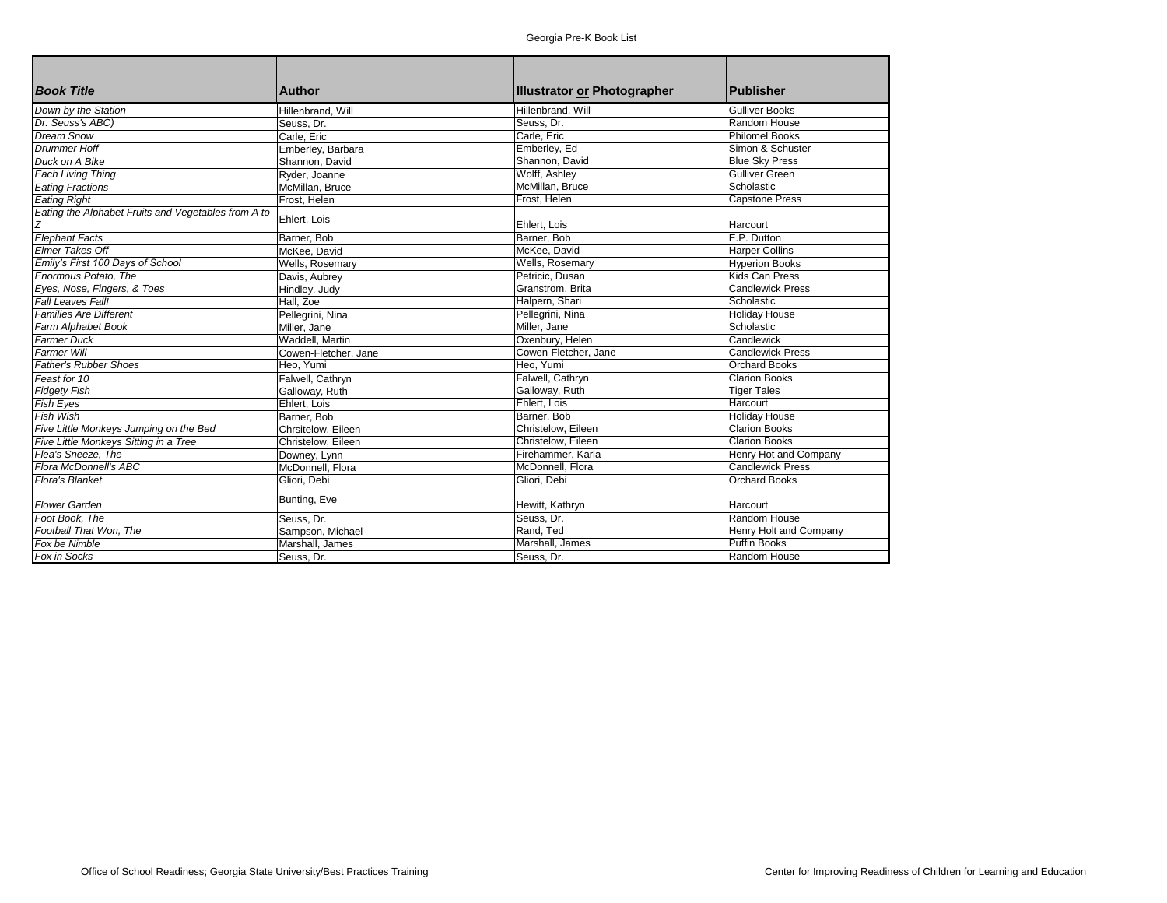| <b>Book Title</b>                                   | Author               | Illustrator or Photographer | <b>Publisher</b>        |
|-----------------------------------------------------|----------------------|-----------------------------|-------------------------|
| Down by the Station                                 | Hillenbrand, Will    | Hillenbrand, Will           | <b>Gulliver Books</b>   |
| Dr. Seuss's ABC)                                    | Seuss, Dr.           | Seuss, Dr.                  | Random House            |
| Dream Snow                                          | Carle, Eric          | Carle, Eric                 | <b>Philomel Books</b>   |
| <b>Drummer Hoff</b>                                 | Emberley, Barbara    | Emberley, Ed                | Simon & Schuster        |
| Duck on A Bike                                      | Shannon. David       | Shannon, David              | <b>Blue Sky Press</b>   |
| <b>Each Living Thing</b>                            | Ryder, Joanne        | Wolff, Ashley               | <b>Gulliver Green</b>   |
| <b>Eating Fractions</b>                             | McMillan, Bruce      | McMillan, Bruce             | Scholastic              |
| <b>Eating Right</b>                                 | Frost, Helen         | Frost, Helen                | <b>Capstone Press</b>   |
| Eating the Alphabet Fruits and Vegetables from A to | Ehlert, Lois         | Ehlert, Lois                | Harcourt                |
| <b>Elephant Facts</b>                               | Barner, Bob          | Barner, Bob                 | E.P. Dutton             |
| <b>Elmer Takes Off</b>                              | McKee. David         | McKee, David                | Harper Collins          |
| Emily's First 100 Days of School                    | Wells, Rosemary      | Wells, Rosemary             | <b>Hyperion Books</b>   |
| Enormous Potato. The                                | Davis, Aubrey        | Petricic, Dusan             | Kids Can Press          |
| Eyes, Nose, Fingers, & Toes                         | Hindley, Judy        | Granstrom, Brita            | <b>Candlewick Press</b> |
| Fall Leaves Fall!                                   | Hall, Zoe            | Halpern, Shari              | Scholastic              |
| <b>Families Are Different</b>                       | Pellegrini, Nina     | Pellegrini, Nina            | <b>Holiday House</b>    |
| Farm Alphabet Book                                  | Miller, Jane         | Miller, Jane                | Scholastic              |
| <b>Farmer Duck</b>                                  | Waddell, Martin      | Oxenbury, Helen             | Candlewick              |
| <b>Farmer Will</b>                                  | Cowen-Fletcher, Jane | Cowen-Fletcher, Jane        | <b>Candlewick Press</b> |
| <b>Father's Rubber Shoes</b>                        | Heo, Yumi            | Heo, Yumi                   | <b>Orchard Books</b>    |
| Feast for 10                                        | Falwell, Cathryn     | Falwell, Cathryn            | <b>Clarion Books</b>    |
| <b>Fidgety Fish</b>                                 | Galloway, Ruth       | Galloway, Ruth              | <b>Tiger Tales</b>      |
| Fish Eyes                                           | Ehlert, Lois         | Ehlert, Lois                | Harcourt                |
| Fish Wish                                           | Barner, Bob          | Barner, Bob                 | <b>Holiday House</b>    |
| Five Little Monkeys Jumping on the Bed              | Chrsitelow. Eileen   | Christelow, Eileen          | <b>Clarion Books</b>    |
| Five Little Monkeys Sitting in a Tree               | Christelow, Eileen   | Christelow, Eileen          | <b>Clarion Books</b>    |
| Flea's Sneeze. The                                  | Downey, Lynn         | Firehammer, Karla           | Henry Hot and Company   |
| Flora McDonnell's ABC                               | McDonnell, Flora     | McDonnell, Flora            | <b>Candlewick Press</b> |
| <b>Flora's Blanket</b>                              | Gliori, Debi         | Gliori, Debi                | <b>Orchard Books</b>    |
| <b>Flower Garden</b>                                | Bunting, Eve         | Hewitt, Kathryn             | Harcourt                |
| Foot Book. The                                      | Seuss. Dr.           | Seuss, Dr.                  | Random House            |
| Football That Won, The                              | Sampson, Michael     | Rand, Ted                   | Henry Holt and Company  |
| Fox be Nimble                                       | Marshall, James      | Marshall, James             | <b>Puffin Books</b>     |
| Fox in Socks                                        | Seuss, Dr.           | Seuss, Dr.                  | Random House            |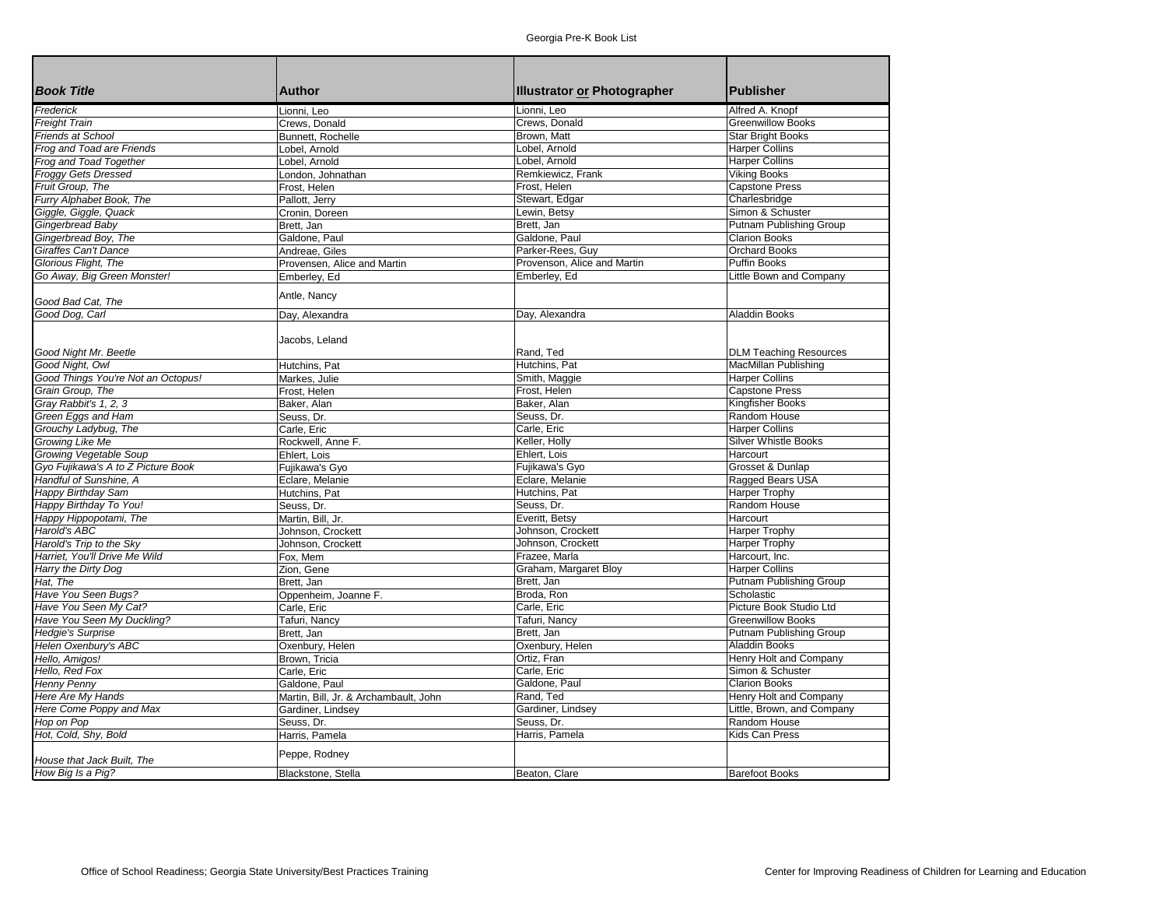| <b>Book Title</b>                                     | <b>Author</b>                         | <b>Illustrator or Photographer</b> | <b>Publisher</b>                              |
|-------------------------------------------------------|---------------------------------------|------------------------------------|-----------------------------------------------|
| Frederick                                             | Lionni, Leo                           | Lionni. Leo                        | Alfred A. Knopf                               |
| <b>Freight Train</b>                                  | Crews, Donald                         | Crews. Donald                      | <b>Greenwillow Books</b>                      |
| <b>Friends at School</b>                              | Bunnett. Rochelle                     | Brown, Matt                        | <b>Star Bright Books</b>                      |
| Frog and Toad are Friends                             | Lobel, Arnold                         | Lobel, Arnold                      | <b>Harper Collins</b>                         |
| Frog and Toad Together                                | Lobel, Arnold                         | Lobel, Arnold                      | <b>Harper Collins</b>                         |
| <b>Froggy Gets Dressed</b>                            | London, Johnathan                     | Remkiewicz, Frank                  | <b>Viking Books</b>                           |
| Fruit Group, The                                      | Frost, Helen                          | Frost, Helen                       | <b>Capstone Press</b>                         |
| Furry Alphabet Book, The                              | Pallott, Jerry                        | Stewart, Edgar                     | Charlesbridge                                 |
| Giggle, Giggle, Quack                                 | Cronin, Doreen                        | Lewin, Betsy                       | Simon & Schuster                              |
| Gingerbread Baby                                      | Brett, Jan                            | Brett, Jan                         | Putnam Publishing Group                       |
| Gingerbread Boy, The                                  | Galdone, Paul                         | Galdone, Paul                      | <b>Clarion Books</b>                          |
| <b>Giraffes Can't Dance</b>                           | Andreae, Giles                        | Parker-Rees, Guy                   | <b>Orchard Books</b>                          |
| Glorious Flight, The                                  | Provensen, Alice and Martin           | Provenson, Alice and Martin        | Puffin Books                                  |
| Go Away, Big Green Monster!                           | Emberley, Ed                          | Emberley, Ed                       | Little Bown and Company                       |
|                                                       | Antle, Nancy                          |                                    |                                               |
| Good Bad Cat, The<br>Good Dog, Carl                   |                                       | Day, Alexandra                     | <b>Aladdin Books</b>                          |
|                                                       | Day, Alexandra                        |                                    |                                               |
|                                                       |                                       |                                    |                                               |
|                                                       | Jacobs, Leland                        |                                    |                                               |
| Good Night Mr. Beetle                                 |                                       | Rand, Ted                          | <b>DLM Teaching Resources</b>                 |
| Good Night, Owl<br>Good Things You're Not an Octopus! | Hutchins, Pat                         | Hutchins, Pat                      | MacMillan Publishing<br><b>Harper Collins</b> |
|                                                       | Markes, Julie                         | Smith, Maggie                      |                                               |
| Grain Group, The                                      | Frost, Helen                          | Frost, Helen                       | <b>Capstone Press</b>                         |
| Gray Rabbit's 1, 2, 3                                 | Baker, Alan                           | Baker, Alan                        | Kingfisher Books                              |
| Green Eggs and Ham                                    | Seuss, Dr.                            | Seuss, Dr.                         | Random House                                  |
| Grouchy Ladybug, The                                  | Carle, Eric                           | Carle, Eric                        | <b>Harper Collins</b>                         |
| Growing Like Me                                       | Rockwell, Anne F.                     | Keller, Holly                      | <b>Silver Whistle Books</b>                   |
| <b>Growing Vegetable Soup</b>                         | Ehlert, Lois                          | Ehlert, Lois                       | Harcourt                                      |
| Gyo Fujikawa's A to Z Picture Book                    | Fujikawa's Gyo                        | Fujikawa's Gyo                     | Grosset & Dunlap                              |
| Handful of Sunshine, A                                | Eclare, Melanie                       | Eclare, Melanie                    | Ragged Bears USA                              |
| <b>Happy Birthday Sam</b>                             | Hutchins, Pat                         | Hutchins, Pat                      | <b>Harper Trophy</b>                          |
| Happy Birthday To You!                                | Seuss, Dr.                            | Seuss, Dr.                         | Random House                                  |
| Happy Hippopotami, The                                | Martin, Bill, Jr.                     | Everitt. Betsv                     | Harcourt                                      |
| Harold's ABC                                          | Johnson, Crockett                     | Johnson, Crockett                  | <b>Harper Trophy</b>                          |
| Harold's Trip to the Sky                              | Johnson, Crockett                     | Johnson, Crockett                  | <b>Harper Trophy</b>                          |
| Harriet, You'll Drive Me Wild                         | Fox. Mem                              | Frazee, Marla                      | Harcourt, Inc.                                |
| Harry the Dirty Dog                                   | Zion, Gene                            | Graham, Margaret Bloy              | <b>Harper Collins</b>                         |
| Hat, The                                              | Brett, Jan                            | Brett, Jan                         | Putnam Publishing Group                       |
| Have You Seen Bugs?                                   | Oppenheim, Joanne F.                  | Broda, Ron                         | Scholastic                                    |
| Have You Seen My Cat?                                 | Carle, Eric                           | Carle, Eric                        | Picture Book Studio Ltd                       |
| Have You Seen My Duckling?                            | Tafuri, Nancy                         | Tafuri, Nancy                      | <b>Greenwillow Books</b>                      |
| <b>Hedgie's Surprise</b>                              | Brett, Jan                            | Brett, Jan                         | Putnam Publishing Group                       |
| Helen Oxenbury's ABC                                  | Oxenbury, Helen                       | Oxenbury, Helen                    | <b>Aladdin Books</b>                          |
| Hello, Amigos!                                        | Brown, Tricia                         | Ortiz, Fran                        | Henry Holt and Company                        |
| Hello, Red Fox                                        | Carle, Eric                           | Carle, Eric                        | Simon & Schuster                              |
| <b>Henny Penny</b>                                    | Galdone, Paul                         | Galdone, Paul                      | <b>Clarion Books</b>                          |
| Here Are My Hands                                     | Martin, Bill, Jr. & Archambault, John | Rand, Ted                          | Henry Holt and Company                        |
| Here Come Poppy and Max                               | Gardiner, Lindsey                     | Gardiner, Lindsey                  | Little, Brown, and Company                    |
| Hop on Pop                                            | Seuss, Dr.                            | Seuss, Dr.                         | Random House                                  |
| Hot, Cold, Shy, Bold                                  | Harris, Pamela                        | Harris, Pamela                     | Kids Can Press                                |
| House that Jack Built, The                            | Peppe, Rodney                         |                                    |                                               |
| How Big Is a Pig?                                     | Blackstone, Stella                    | Beaton, Clare                      | <b>Barefoot Books</b>                         |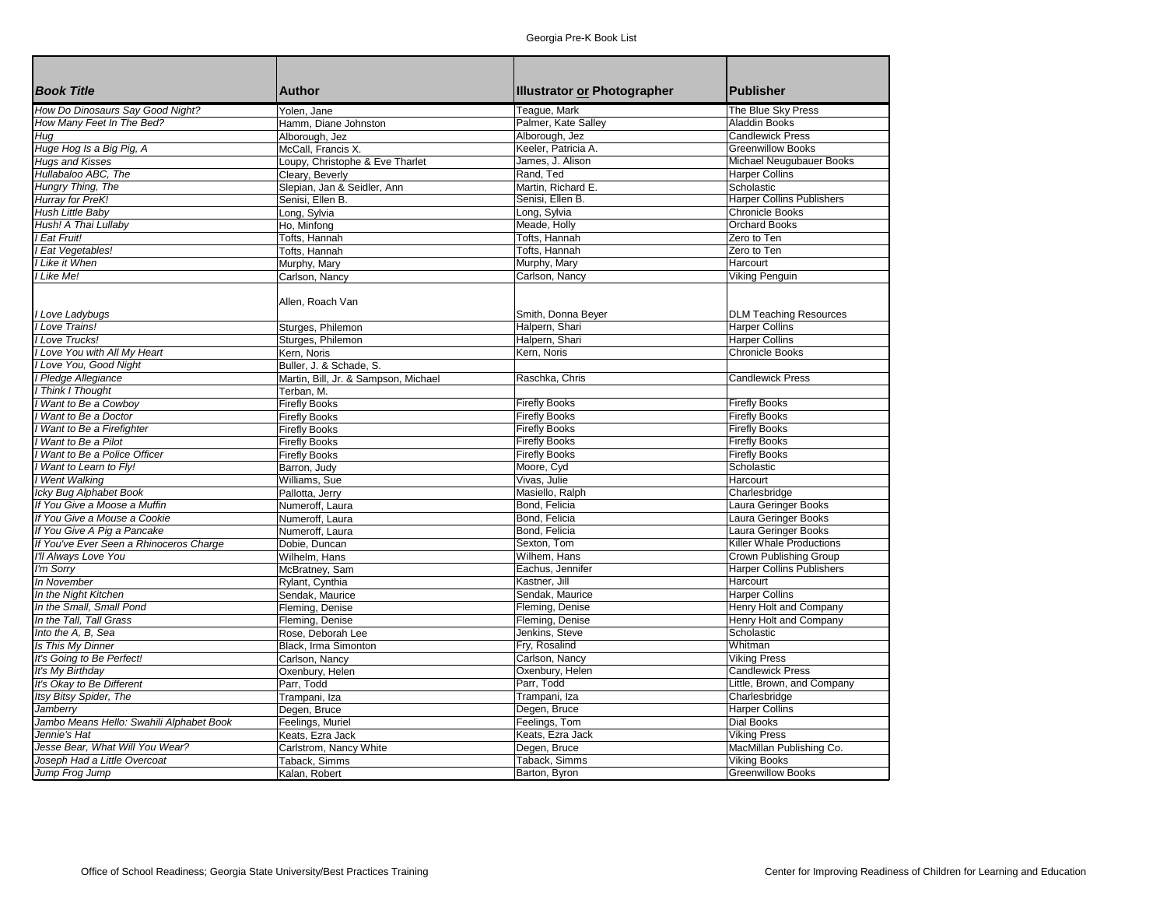| <b>Book Title</b>                        | <b>Author</b>                        | <b>Illustrator or Photographer</b> | Publisher                        |
|------------------------------------------|--------------------------------------|------------------------------------|----------------------------------|
| How Do Dinosaurs Say Good Night?         | Yolen, Jane                          | Teague, Mark                       | The Blue Sky Press               |
| How Many Feet In The Bed?                | Hamm, Diane Johnston                 | Palmer, Kate Salley                | <b>Aladdin Books</b>             |
| Hug                                      | Alborough, Jez                       | Alborough, Jez                     | <b>Candlewick Press</b>          |
| Huge Hog Is a Big Pig, A                 | McCall, Francis X.                   | Keeler, Patricia A.                | <b>Greenwillow Books</b>         |
| <b>Hugs and Kisses</b>                   | Loupy, Christophe & Eve Tharlet      | James, J. Alison                   | Michael Neugubauer Books         |
| Hullabaloo ABC, The                      | Cleary, Beverly                      | Rand, Ted                          | <b>Harper Collins</b>            |
| Hungry Thing, The                        | Slepian, Jan & Seidler, Ann          | Martin, Richard E.                 | Scholastic                       |
| Hurray for PreK!                         | Senisi, Ellen B.                     | Senisi, Ellen B.                   | <b>Harper Collins Publishers</b> |
| Hush Little Baby                         | Long, Sylvia                         | Long, Sylvia                       | <b>Chronicle Books</b>           |
| Hush! A Thai Lullaby                     | Ho, Minfong                          | Meade, Holly                       | <b>Orchard Books</b>             |
| Eat Fruit!                               | Tofts, Hannah                        | Tofts, Hannah                      | Zero to Ten                      |
| Eat Vegetables!                          | Tofts. Hannah                        | Tofts, Hannah                      | Zero to Ten                      |
| Like it When                             | Murphy, Mary                         | Murphy, Mary                       | Harcourt                         |
| Like Me!                                 | Carlson, Nancy                       | Carlson, Nancy                     | Viking Penguin                   |
|                                          |                                      |                                    |                                  |
|                                          | Allen, Roach Van                     |                                    |                                  |
| I Love Ladybugs                          |                                      | Smith, Donna Beyer                 | <b>DLM Teaching Resources</b>    |
| I Love Trains!                           | Sturges, Philemon                    | Halpern, Shari                     | <b>Harper Collins</b>            |
| I Love Trucks!                           | Sturges, Philemon                    | Halpern, Shari                     | <b>Harper Collins</b>            |
| I Love You with All My Heart             | Kern, Noris                          | Kern, Noris                        | <b>Chronicle Books</b>           |
| Love You, Good Night                     | Buller, J. & Schade, S.              |                                    |                                  |
| I Pledge Allegiance                      | Martin, Bill, Jr. & Sampson, Michael | Raschka, Chris                     | <b>Candlewick Press</b>          |
| <b>I Think I Thought</b>                 | Terban, M.                           |                                    |                                  |
| I Want to Be a Cowboy                    | <b>Firefly Books</b>                 | <b>Firefly Books</b>               | <b>Firefly Books</b>             |
| I Want to Be a Doctor                    | <b>Firefly Books</b>                 | <b>Firefly Books</b>               | <b>Firefly Books</b>             |
| Want to Be a Firefighter                 |                                      | <b>Firefly Books</b>               | <b>Firefly Books</b>             |
|                                          | <b>Firefly Books</b>                 | <b>Firefly Books</b>               | <b>Firefly Books</b>             |
| Want to Be a Pilot                       | <b>Firefly Books</b>                 |                                    | <b>Firefly Books</b>             |
| I Want to Be a Police Officer            | <b>Firefly Books</b>                 | <b>Firefly Books</b>               |                                  |
| I Want to Learn to Fly!                  | Barron, Judy                         | Moore, Cyd                         | Scholastic                       |
| I Went Walking                           | Williams, Sue                        | Vivas, Julie                       | Harcourt                         |
| Icky Bug Alphabet Book                   | Pallotta, Jerry                      | Masiello, Ralph                    | Charlesbridge                    |
| If You Give a Moose a Muffin             | Numeroff, Laura                      | Bond, Felicia                      | Laura Geringer Books             |
| If You Give a Mouse a Cookie             | Numeroff, Laura                      | Bond, Felicia                      | Laura Geringer Books             |
| If You Give A Pig a Pancake              | Numeroff, Laura                      | Bond, Felicia                      | Laura Geringer Books             |
| If You've Ever Seen a Rhinoceros Charge  | Dobie, Duncan                        | Sexton, Tom                        | Killer Whale Productions         |
| I'll Always Love You                     | Wilhelm, Hans                        | Wilhem, Hans                       | Crown Publishing Group           |
| I'm Sorry                                | McBratney, Sam                       | Eachus, Jennifer                   | <b>Harper Collins Publishers</b> |
| In November                              | Rylant, Cynthia                      | Kastner, Jill                      | Harcourt                         |
| In the Night Kitchen                     | Sendak, Maurice                      | Sendak, Maurice                    | <b>Harper Collins</b>            |
| In the Small, Small Pond                 | Fleming, Denise                      | Fleming, Denise                    | Henry Holt and Company           |
| In the Tall. Tall Grass                  | Fleming, Denise                      | Fleming, Denise                    | Henry Holt and Company           |
| Into the A, B, Sea                       | Rose. Deborah Lee                    | Jenkins, Steve                     | Scholastic                       |
| Is This My Dinner                        | Black. Irma Simonton                 | Fry, Rosalind                      | Whitman                          |
| It's Going to Be Perfect!                | Carlson, Nancy                       | Carlson, Nancy                     | <b>Viking Press</b>              |
| It's My Birthday                         | Oxenbury, Helen                      | Oxenbury, Helen                    | <b>Candlewick Press</b>          |
| It's Okay to Be Different                | Parr, Todd                           | Parr, Todd                         | Little, Brown, and Company       |
| Itsy Bitsy Spider, The                   | Trampani, Iza                        | Trampani, Iza                      | Charlesbridge                    |
| Jamberry                                 | Degen, Bruce                         | Degen, Bruce                       | <b>Harper Collins</b>            |
| Jambo Means Hello: Swahili Alphabet Book | Feelings, Muriel                     | Feelings, Tom                      | <b>Dial Books</b>                |
| Jennie's Hat                             | Keats, Ezra Jack                     | Keats, Ezra Jack                   | <b>Viking Press</b>              |
| Jesse Bear, What Will You Wear?          | Carlstrom, Nancy White               | Degen, Bruce                       | MacMillan Publishing Co.         |
| Joseph Had a Little Overcoat             | Taback, Simms                        | Taback, Simms                      | Viking Books                     |
| Jump Frog Jump                           | Kalan, Robert                        | Barton, Byron                      | <b>Greenwillow Books</b>         |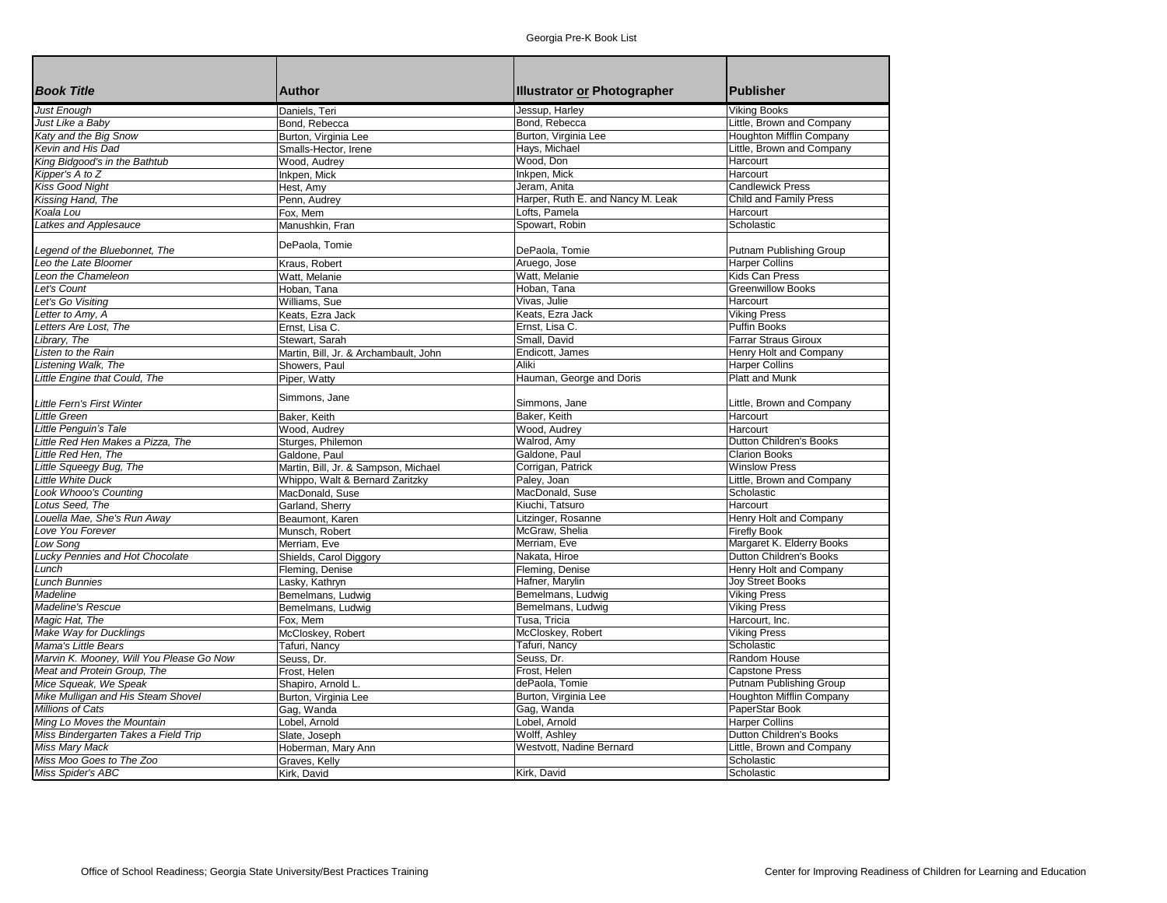|                                          |                                       |                                    | <b>Publisher</b>                                 |
|------------------------------------------|---------------------------------------|------------------------------------|--------------------------------------------------|
| <b>Book Title</b>                        | <b>Author</b>                         | <b>Illustrator or Photographer</b> |                                                  |
| <b>Just Enough</b>                       | Daniels, Teri                         | Jessup, Harley                     | Viking Books                                     |
| Just Like a Baby                         | Bond, Rebecca                         | Bond, Rebecca                      | Little, Brown and Company                        |
| Katy and the Big Snow                    | Burton, Virginia Lee                  | Burton, Virginia Lee               | <b>Houghton Mifflin Company</b>                  |
| Kevin and His Dad                        | Smalls-Hector, Irene                  | Hays, Michael                      | Little, Brown and Company                        |
| King Bidgood's in the Bathtub            | Wood, Audrey                          | Wood, Don                          | Harcourt                                         |
| Kipper's A to Z                          | Inkpen, Mick                          | Inkpen, Mick                       | Harcourt                                         |
| <b>Kiss Good Night</b>                   | Hest, Amy                             | Jeram, Anita                       | <b>Candlewick Press</b>                          |
| Kissing Hand, The                        | Penn, Audrey                          | Harper, Ruth E. and Nancy M. Leak  | <b>Child and Family Press</b>                    |
| Koala Lou                                | Fox, Mem                              | Lofts, Pamela                      | Harcourt                                         |
| Latkes and Applesauce                    | Manushkin, Fran                       | Spowart, Robin                     | Scholastic                                       |
|                                          | DePaola, Tomie                        |                                    |                                                  |
| Legend of the Bluebonnet, The            |                                       | DePaola, Tomie                     | Putnam Publishing Group                          |
| Leo the Late Bloomer                     | Kraus, Robert                         | Aruego, Jose                       | <b>Harper Collins</b>                            |
| Leon the Chameleon                       | Watt, Melanie                         | Watt, Melanie                      | Kids Can Press                                   |
| Let's Count                              | Hoban, Tana                           | Hoban, Tana                        | <b>Greenwillow Books</b>                         |
| Let's Go Visiting                        | Williams, Sue                         | Vivas, Julie                       | Harcourt                                         |
| Letter to Amy, A                         | Keats, Ezra Jack                      | Keats, Ezra Jack                   | <b>Viking Press</b>                              |
| Letters Are Lost, The                    | Ernst, Lisa C.                        | Ernst, Lisa C.                     | <b>Puffin Books</b>                              |
| Library, The                             | Stewart, Sarah                        | Small, David                       | <b>Farrar Straus Giroux</b>                      |
| Listen to the Rain                       | Martin, Bill, Jr. & Archambault, John | Endicott, James                    | Henry Holt and Company                           |
| Listening Walk, The                      | Showers, Paul                         | Aliki                              | <b>Harper Collins</b>                            |
| Little Engine that Could, The            | Piper, Watty                          | Hauman, George and Doris           | <b>Platt and Munk</b>                            |
| <b>Little Fern's First Winter</b>        | Simmons, Jane                         | Simmons, Jane                      | Little, Brown and Company                        |
| <b>Little Green</b>                      | Baker, Keith                          | Baker, Keith                       | Harcourt                                         |
| Little Penguin's Tale                    | Wood, Audrey                          | Wood, Audrey                       | Harcourt                                         |
| Little Red Hen Makes a Pizza, The        | Sturges, Philemon                     | Walrod, Amy                        | <b>Dutton Children's Books</b>                   |
| Little Red Hen, The                      | Galdone, Paul                         | Galdone, Paul                      | <b>Clarion Books</b>                             |
| Little Squeegy Bug, The                  | Martin, Bill, Jr. & Sampson, Michael  | Corrigan, Patrick                  | <b>Winslow Press</b>                             |
| <b>Little White Duck</b>                 | Whippo, Walt & Bernard Zaritzky       | Paley, Joan                        | Little, Brown and Company                        |
| <b>Look Whooo's Counting</b>             | MacDonald, Suse                       | MacDonald, Suse                    | Scholastic                                       |
| Lotus Seed, The                          | Garland, Sherry                       | Kiuchi. Tatsuro                    | Harcourt                                         |
| Louella Mae, She's Run Away              | Beaumont, Karen                       | Litzinger, Rosanne                 | Henry Holt and Company                           |
| Love You Forever                         |                                       | McGraw, Shelia                     |                                                  |
| Low Song                                 | Munsch, Robert                        | Merriam, Eve                       | <b>Firefly Book</b><br>Margaret K. Elderry Books |
|                                          | Merriam, Eve                          |                                    |                                                  |
| Lucky Pennies and Hot Chocolate          | Shields, Carol Diggory                | Nakata, Hiroe                      | Dutton Children's Books                          |
| Lunch                                    | Fleming, Denise                       | Fleming, Denise                    | Henry Holt and Company                           |
| <b>Lunch Bunnies</b>                     | Lasky, Kathryn                        | Hafner, Marylin                    | <b>Joy Street Books</b>                          |
| Madeline                                 | Bemelmans, Ludwig                     | Bemelmans, Ludwig                  | <b>Viking Press</b>                              |
| Madeline's Rescue                        | Bemelmans, Ludwig                     | Bemelmans, Ludwig                  | <b>Viking Press</b>                              |
| Magic Hat, The                           | Fox, Mem                              | Tusa, Tricia                       | Harcourt, Inc.                                   |
| Make Way for Ducklings                   | McCloskey, Robert                     | McCloskey, Robert                  | <b>Viking Press</b>                              |
| Mama's Little Bears                      | Tafuri, Nancy                         | Tafuri, Nancy                      | Scholastic                                       |
| Marvin K. Mooney, Will You Please Go Now | Seuss, Dr.                            | Seuss, Dr.                         | Random House                                     |
| Meat and Protein Group, The              | Frost, Helen                          | Frost, Helen                       | <b>Capstone Press</b>                            |
| Mice Squeak, We Speak                    | Shapiro, Arnold L.                    | dePaola, Tomie                     | Putnam Publishing Group                          |
| Mike Mulligan and His Steam Shovel       | Burton, Virginia Lee                  | Burton, Virginia Lee               | <b>Houghton Mifflin Company</b>                  |
| <b>Millions of Cats</b>                  | Gag, Wanda                            | Gag, Wanda                         | PaperStar Book                                   |
| Ming Lo Moves the Mountain               | Lobel, Arnold                         | Lobel, Arnold                      | <b>Harper Collins</b>                            |
| Miss Bindergarten Takes a Field Trip     | Slate, Joseph                         | Wolff, Ashley                      | <b>Dutton Children's Books</b>                   |
| <b>Miss Mary Mack</b>                    | Hoberman, Mary Ann                    | Westvott, Nadine Bernard           | Little, Brown and Company                        |
| Miss Moo Goes to The Zoo                 | Graves, Kelly                         |                                    | Scholastic                                       |
| Miss Spider's ABC                        | Kirk, David                           | Kirk, David                        | Scholastic                                       |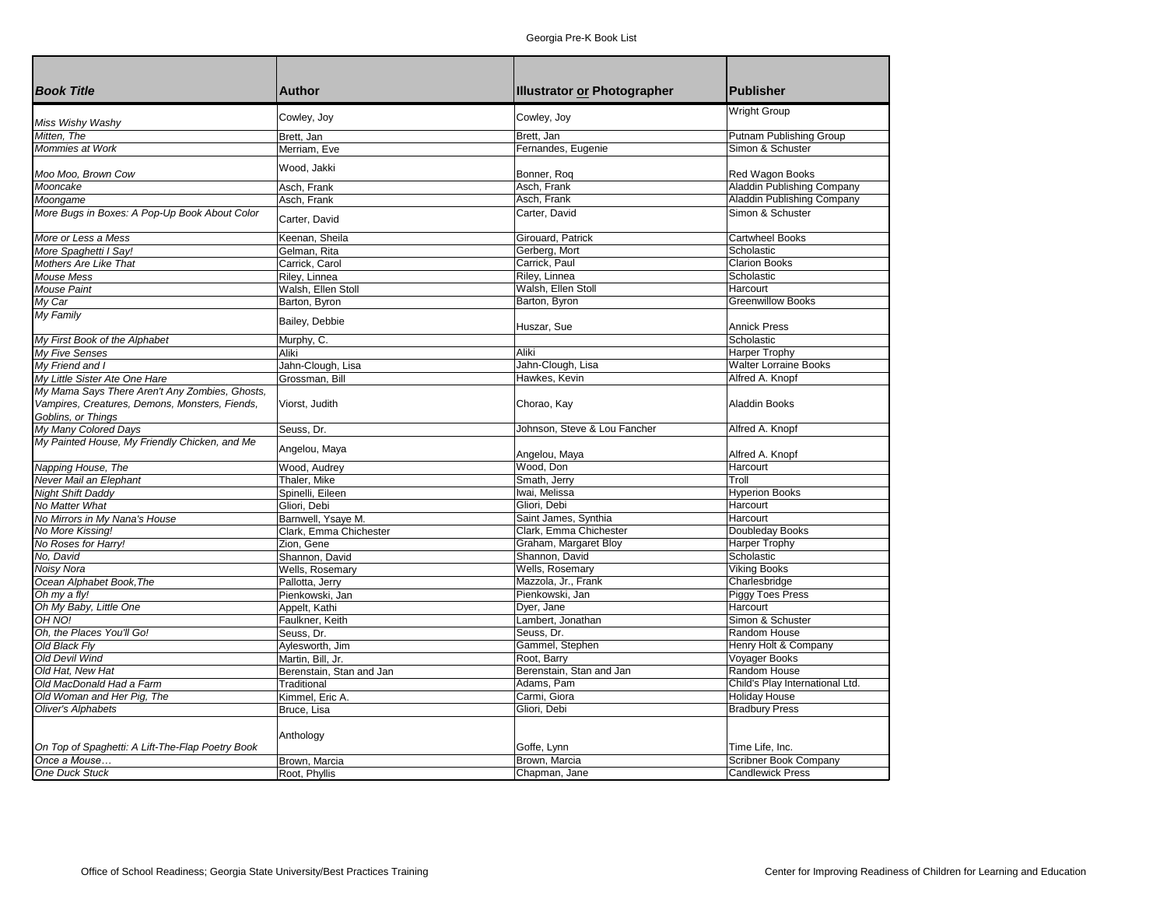| <b>Book Title</b>                                                    | <b>Author</b>            | <b>Illustrator or Photographer</b> | <b>Publisher</b>                  |
|----------------------------------------------------------------------|--------------------------|------------------------------------|-----------------------------------|
|                                                                      |                          |                                    |                                   |
| Miss Wishy Washy                                                     | Cowley, Joy              | Cowley, Joy                        | <b>Wright Group</b>               |
| Mitten. The                                                          | Brett, Jan               | Brett, Jan                         | Putnam Publishing Group           |
| Mommies at Work                                                      | Merriam, Eve             | Fernandes, Eugenie                 | Simon & Schuster                  |
|                                                                      |                          |                                    |                                   |
| Moo Moo, Brown Cow                                                   | Wood, Jakki              | Bonner, Roq                        | Red Wagon Books                   |
| Mooncake                                                             | Asch, Frank              | Asch, Frank                        | <b>Aladdin Publishing Company</b> |
| Moongame                                                             | Asch, Frank              | Asch, Frank                        | Aladdin Publishing Company        |
| More Bugs in Boxes: A Pop-Up Book About Color                        | Carter, David            | Carter, David                      | Simon & Schuster                  |
| More or Less a Mess                                                  | Keenan, Sheila           | Girouard, Patrick                  | <b>Cartwheel Books</b>            |
| More Spaghetti I Say!                                                | Gelman, Rita             | Gerberg, Mort                      | Scholastic                        |
| <b>Mothers Are Like That</b>                                         | Carrick, Carol           | Carrick, Paul                      | <b>Clarion Books</b>              |
| <b>Mouse Mess</b>                                                    | Riley, Linnea            | Riley, Linnea                      | Scholastic                        |
| <b>Mouse Paint</b>                                                   | Walsh, Ellen Stoll       | Walsh, Ellen Stoll                 | Harcourt                          |
| My Car                                                               | Barton, Byron            | Barton, Byron                      | <b>Greenwillow Books</b>          |
| My Family                                                            |                          |                                    |                                   |
|                                                                      | Bailey, Debbie           | Huszar, Sue                        | <b>Annick Press</b>               |
| My First Book of the Alphabet                                        | Murphy, C.               |                                    | Scholastic                        |
| My Five Senses                                                       | Aliki                    | Aliki                              | Harper Trophy                     |
| My Friend and I                                                      | Jahn-Clough, Lisa        | Jahn-Clough, Lisa                  | <b>Walter Lorraine Books</b>      |
| My Little Sister Ate One Hare                                        | Grossman, Bill           | Hawkes, Kevin                      | Alfred A. Knopf                   |
| My Mama Says There Aren't Any Zombies, Ghosts,                       |                          |                                    |                                   |
| Vampires, Creatures, Demons, Monsters, Fiends,<br>Goblins, or Things | Viorst, Judith           | Chorao, Kay                        | <b>Aladdin Books</b>              |
| My Many Colored Days                                                 | Seuss, Dr.               | Johnson, Steve & Lou Fancher       | Alfred A. Knopf                   |
| My Painted House, My Friendly Chicken, and Me                        |                          |                                    |                                   |
|                                                                      | Angelou, Maya            | Angelou, Maya                      | Alfred A. Knopf                   |
| Napping House, The                                                   | Wood, Audrey             | Wood, Don                          | Harcourt                          |
| Never Mail an Elephant                                               | Thaler, Mike             | Smath, Jerry                       | Troll                             |
| <b>Night Shift Daddy</b>                                             | Spinelli, Eileen         | Iwai, Melissa                      | <b>Hyperion Books</b>             |
| No Matter What                                                       | Gliori, Debi             | Gliori. Debi                       | Harcourt                          |
| No Mirrors in My Nana's House                                        | Barnwell, Ysaye M.       | Saint James, Synthia               | Harcourt                          |
| No More Kissing!                                                     | Clark, Emma Chichester   | Clark, Emma Chichester             | Doubleday Books                   |
| No Roses for Harry!                                                  | Zion, Gene               | Graham, Margaret Bloy              | <b>Harper Trophy</b>              |
| No, David                                                            | Shannon, David           | Shannon, David                     | Scholastic                        |
| Noisy Nora                                                           | Wells, Rosemary          | Wells, Rosemary                    | <b>Viking Books</b>               |
| Ocean Alphabet Book, The                                             | Pallotta, Jerry          | Mazzola, Jr., Frank                | Charlesbridge                     |
| Oh my a fly!                                                         | Pienkowski, Jan          | Pienkowski, Jan                    | <b>Piggy Toes Press</b>           |
| Oh My Baby, Little One                                               | Appelt, Kathi            | Dyer, Jane                         | Harcourt                          |
| OH NO!                                                               | Faulkner, Keith          | Lambert, Jonathan                  | Simon & Schuster                  |
| Oh, the Places You'll Go!                                            | Seuss, Dr.               | Seuss, Dr.                         | Random House                      |
| Old Black Fly                                                        | Aylesworth, Jim          | Gammel, Stephen                    | Henry Holt & Company              |
| <b>Old Devil Wind</b>                                                | Martin, Bill, Jr.        | Root, Barry                        | Voyager Books                     |
| Old Hat. New Hat                                                     | Berenstain, Stan and Jan | Berenstain, Stan and Jan           | <b>Random House</b>               |
| Old MacDonald Had a Farm                                             | Traditional              | Adams, Pam                         | Child's Play International Ltd.   |
| Old Woman and Her Pig, The                                           | Kimmel, Eric A.          | Carmi, Giora                       | <b>Holiday House</b>              |
| <b>Oliver's Alphabets</b>                                            | Bruce, Lisa              | Gliori, Debi                       | <b>Bradbury Press</b>             |
|                                                                      |                          |                                    |                                   |
|                                                                      | Anthology                |                                    |                                   |
| On Top of Spaghetti: A Lift-The-Flap Poetry Book                     |                          | Goffe, Lynn                        | Time Life, Inc.                   |
| Once a Mouse                                                         | Brown, Marcia            | Brown, Marcia                      | Scribner Book Company             |
| One Duck Stuck                                                       | Root, Phyllis            | Chapman, Jane                      | <b>Candlewick Press</b>           |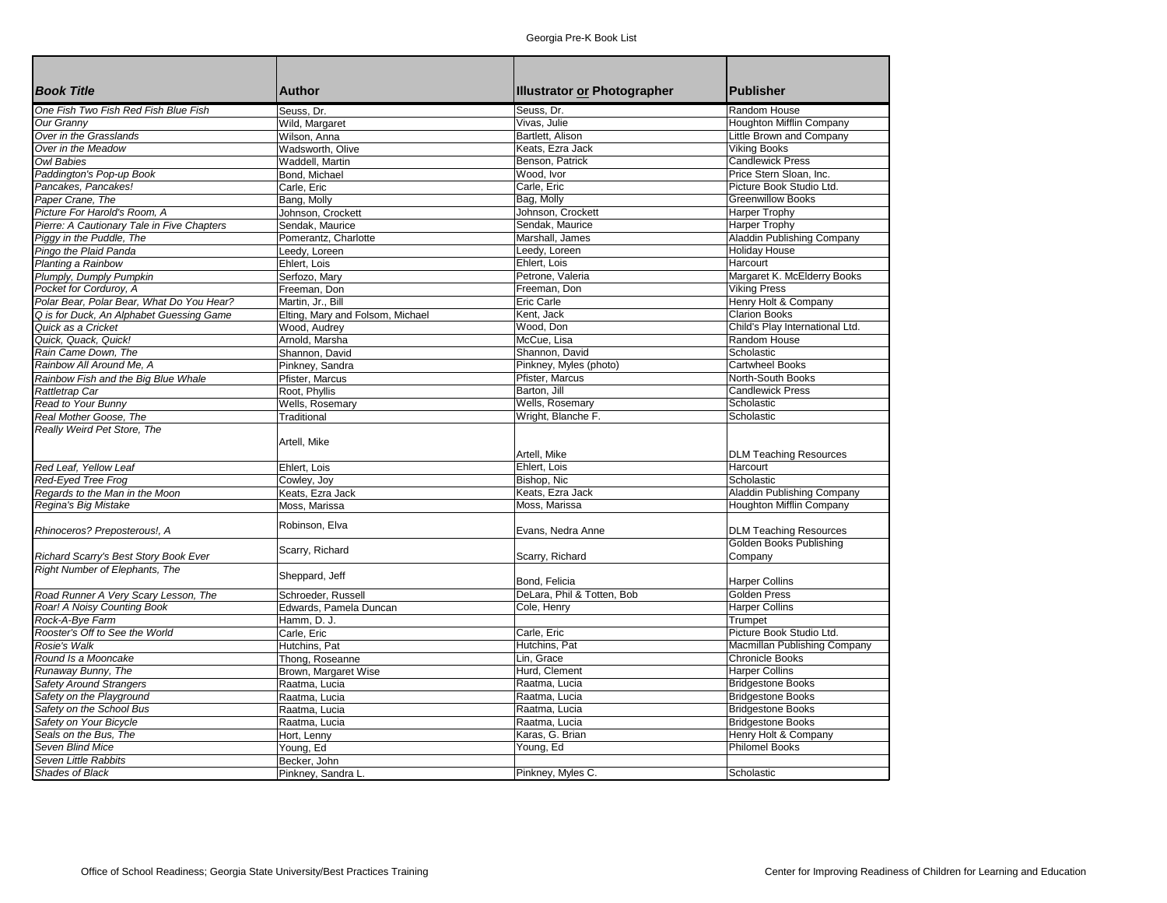| <b>Book Title</b>                                                   | <b>Author</b>                    |                                    | <b>Publisher</b>                |
|---------------------------------------------------------------------|----------------------------------|------------------------------------|---------------------------------|
|                                                                     |                                  | <b>Illustrator or Photographer</b> |                                 |
| One Fish Two Fish Red Fish Blue Fish                                | Seuss, Dr.                       | Seuss, Dr.                         | Random House                    |
| Our Granny                                                          | Wild, Margaret                   | Vivas, Julie                       | Houghton Mifflin Company        |
| Over in the Grasslands                                              | Wilson, Anna                     | Bartlett, Alison                   | Little Brown and Company        |
| Over in the Meadow                                                  | Wadsworth, Olive                 | Keats, Ezra Jack                   | <b>Viking Books</b>             |
| <b>Owl Babies</b>                                                   | Waddell, Martin                  | Benson, Patrick                    | <b>Candlewick Press</b>         |
| Paddington's Pop-up Book                                            | Bond, Michael                    | Wood, Ivor                         | Price Stern Sloan, Inc.         |
| Pancakes, Pancakes!                                                 | Carle, Eric                      | Carle, Eric                        | Picture Book Studio Ltd.        |
| Paper Crane, The                                                    | Bang, Molly                      | Bag, Molly                         | <b>Greenwillow Books</b>        |
| Picture For Harold's Room, A                                        | Johnson, Crockett                | Johnson, Crockett                  | <b>Harper Trophy</b>            |
| Pierre: A Cautionary Tale in Five Chapters                          | Sendak, Maurice                  | Sendak, Maurice                    | Harper Trophy                   |
| Piggy in the Puddle, The                                            | Pomerantz, Charlotte             | Marshall, James                    | Aladdin Publishing Company      |
| Pingo the Plaid Panda                                               | Leedy, Loreen                    | Leedy, Loreen                      | <b>Holiday House</b>            |
| Planting a Rainbow                                                  | Ehlert, Lois                     | Ehlert, Lois                       | Harcourt                        |
| Plumply, Dumply Pumpkin                                             | Serfozo, Mary                    | Petrone, Valeria                   | Margaret K. McElderry Books     |
| Pocket for Corduroy, A                                              | Freeman, Don                     | Freeman, Don                       | <b>Viking Press</b>             |
| Polar Bear, Polar Bear, What Do You Hear?                           | Martin, Jr., Bill                | Eric Carle                         | Henry Holt & Company            |
| Q is for Duck, An Alphabet Guessing Game                            | Elting, Mary and Folsom, Michael | Kent, Jack                         | <b>Clarion Books</b>            |
| Quick as a Cricket                                                  | Wood, Audrey                     | Wood, Don                          | Child's Play International Ltd. |
| Quick. Quack. Quick!                                                | Arnold, Marsha                   | McCue. Lisa                        | Random House                    |
| Rain Came Down. The                                                 | Shannon, David                   | Shannon, David                     | Scholastic                      |
| Rainbow All Around Me. A                                            | Pinkney, Sandra                  | Pinkney, Myles (photo)             | <b>Cartwheel Books</b>          |
| Rainbow Fish and the Big Blue Whale                                 | Pfister, Marcus                  | Pfister, Marcus                    | North-South Books               |
| Rattletrap Car                                                      | Root, Phyllis                    | Barton, Jill                       | <b>Candlewick Press</b>         |
| Read to Your Bunny                                                  | Wells, Rosemary                  | Wells, Rosemary                    | Scholastic                      |
| Real Mother Goose, The                                              | Traditional                      | Wright, Blanche F.                 | Scholastic                      |
| Really Weird Pet Store, The                                         |                                  |                                    |                                 |
|                                                                     | Artell, Mike                     |                                    |                                 |
|                                                                     |                                  | Artell, Mike                       | <b>DLM Teaching Resources</b>   |
| Red Leaf, Yellow Leaf                                               | Ehlert, Lois                     | Ehlert, Lois                       | Harcourt                        |
| Red-Eyed Tree Frog                                                  | Cowley, Joy                      | Bishop, Nic                        | Scholastic                      |
| Regards to the Man in the Moon                                      | Keats, Ezra Jack                 | Keats, Ezra Jack                   | Aladdin Publishing Company      |
| Regina's Big Mistake                                                | Moss, Marissa                    | Moss. Marissa                      | Houghton Mifflin Company        |
|                                                                     |                                  |                                    |                                 |
| Rhinoceros? Preposterous!, A                                        | Robinson, Elva                   | Evans, Nedra Anne                  | <b>DLM Teaching Resources</b>   |
|                                                                     |                                  |                                    | Golden Books Publishing         |
| Richard Scarry's Best Story Book Ever                               | Scarry, Richard                  | Scarry, Richard                    | Company                         |
| Right Number of Elephants, The                                      |                                  |                                    |                                 |
|                                                                     | Sheppard, Jeff                   | Bond, Felicia                      | <b>Harper Collins</b>           |
|                                                                     |                                  | DeLara, Phil & Totten, Bob         | <b>Golden Press</b>             |
| Road Runner A Very Scary Lesson, The<br>Roar! A Noisy Counting Book | Schroeder, Russell               |                                    | <b>Harper Collins</b>           |
|                                                                     | Edwards, Pamela Duncan           | Cole, Henry                        |                                 |
| Rock-A-Bye Farm                                                     | Hamm, D. J.                      |                                    | Trumpet                         |
| Rooster's Off to See the World                                      | Carle, Eric                      | Carle, Eric                        | Picture Book Studio Ltd.        |
| <b>Rosie's Walk</b>                                                 | Hutchins, Pat                    | Hutchins, Pat                      | Macmillan Publishing Company    |
| Round Is a Mooncake                                                 | Thong, Roseanne                  | Lin, Grace                         | <b>Chronicle Books</b>          |
| Runaway Bunny, The                                                  | Brown, Margaret Wise             | Hurd, Clement                      | <b>Harper Collins</b>           |
| <b>Safety Around Strangers</b>                                      | Raatma, Lucia                    | Raatma, Lucia                      | <b>Bridgestone Books</b>        |
| Safety on the Playground                                            | Raatma, Lucia                    | Raatma, Lucia                      | <b>Bridgestone Books</b>        |
| Safety on the School Bus                                            | Raatma, Lucia                    | Raatma, Lucia                      | <b>Bridgestone Books</b>        |
| Safety on Your Bicycle                                              | Raatma, Lucia                    | Raatma, Lucia                      | <b>Bridgestone Books</b>        |
| Seals on the Bus, The                                               | Hort, Lenny                      | Karas, G. Brian                    | Henry Holt & Company            |
| Seven Blind Mice                                                    | Young, Ed                        | Young, Ed                          | <b>Philomel Books</b>           |
| Seven Little Rabbits                                                | Becker, John                     |                                    |                                 |
| Shades of Black                                                     | Pinkney, Sandra L                | Pinkney, Myles C.                  | Scholastic                      |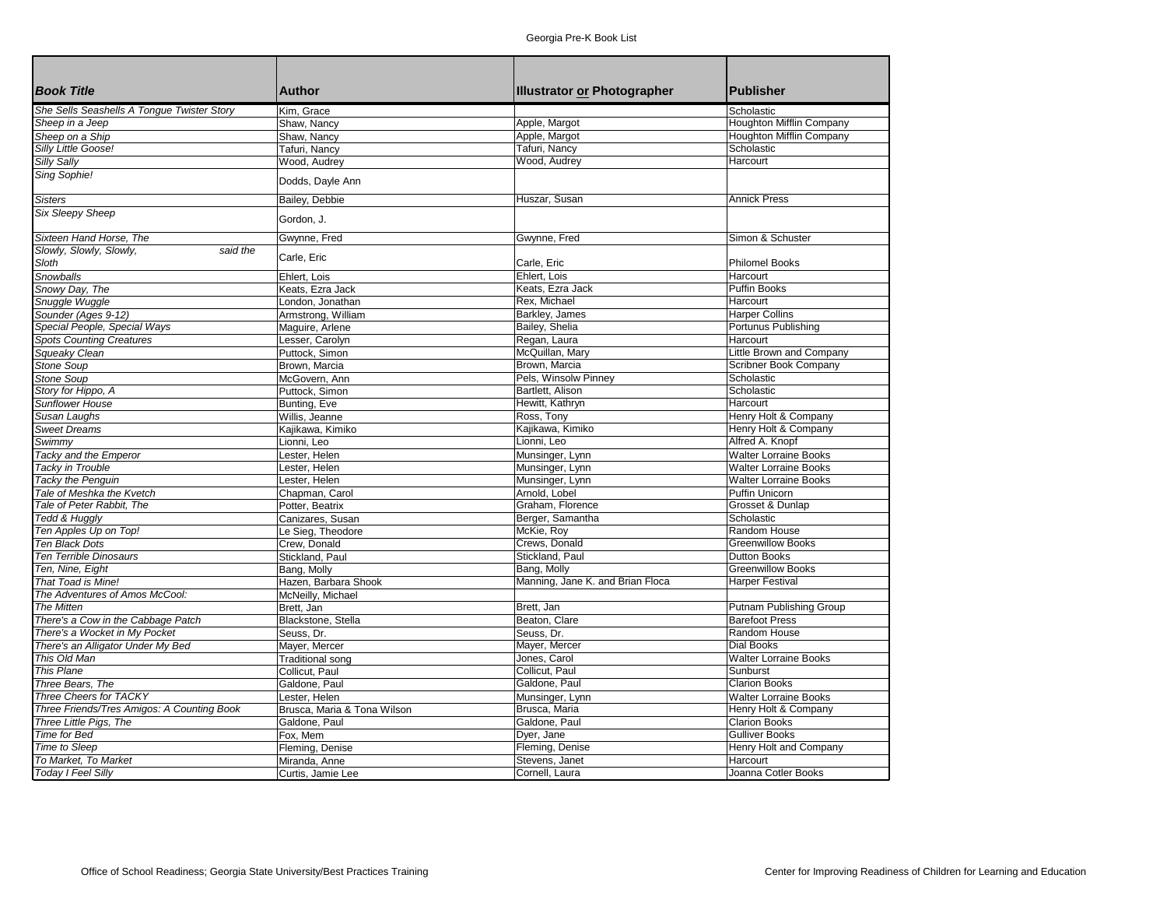| <b>Book Title</b>                          | <b>Author</b>               | <b>Illustrator or Photographer</b> | <b>Publisher</b>                |
|--------------------------------------------|-----------------------------|------------------------------------|---------------------------------|
| She Sells Seashells A Tongue Twister Story | Kim, Grace                  |                                    | Scholastic                      |
| Sheep in a Jeep                            | Shaw, Nancy                 | Apple, Margot                      | Houghton Mifflin Company        |
| Sheep on a Ship                            | Shaw, Nancy                 | Apple, Margot                      | <b>Houghton Mifflin Company</b> |
| Silly Little Goose!                        | Tafuri, Nancy               | Tafuri, Nancy                      | Scholastic                      |
| Silly Sally                                | Wood, Audrey                | Wood, Audrey                       | Harcourt                        |
| Sing Sophie!                               | Dodds, Dayle Ann            |                                    |                                 |
| <b>Sisters</b>                             | Bailey, Debbie              | Huszar, Susan                      | <b>Annick Press</b>             |
| <b>Six Sleepy Sheep</b>                    | Gordon, J.                  |                                    |                                 |
| Sixteen Hand Horse, The                    | Gwynne, Fred                | Gwynne, Fred                       | Simon & Schuster                |
| Slowly, Slowly, Slowly,<br>said the        |                             |                                    |                                 |
| Sloth                                      | Carle, Eric                 | Carle, Eric                        | <b>Philomel Books</b>           |
| Snowballs                                  | Ehlert. Lois                | Ehlert, Lois                       | Harcourt                        |
| Snowy Day, The                             | Keats, Ezra Jack            | Keats, Ezra Jack                   | <b>Puffin Books</b>             |
| Snuggle Wuggle                             | London, Jonathan            | Rex. Michael                       | Harcourt                        |
| Sounder (Ages 9-12)                        | Armstrong, William          | Barkley, James                     | <b>Harper Collins</b>           |
| Special People, Special Ways               | Maguire, Arlene             | Bailey, Shelia                     | Portunus Publishing             |
| <b>Spots Counting Creatures</b>            | Lesser, Carolyn             | Regan, Laura                       | Harcourt                        |
| Squeaky Clean                              | Puttock, Simon              | McQuillan, Mary                    | Little Brown and Company        |
| <b>Stone Soup</b>                          | Brown, Marcia               | Brown, Marcia                      | Scribner Book Company           |
| <b>Stone Soup</b>                          | McGovern, Ann               | Pels, Winsolw Pinney               | Scholastic                      |
| Story for Hippo, A                         | Puttock, Simon              | Bartlett, Alison                   | Scholastic                      |
| <b>Sunflower House</b>                     |                             |                                    | Harcourt                        |
|                                            | Bunting, Eve                | Hewitt, Kathryn                    |                                 |
| Susan Laughs                               | Willis, Jeanne              | Ross, Tony                         | Henry Holt & Company            |
| <b>Sweet Dreams</b>                        | Kajikawa, Kimiko            | Kajikawa, Kimiko                   | Henry Holt & Company            |
| Swimmy                                     | Lionni, Leo                 | Lionni, Leo                        | Alfred A. Knopf                 |
| Tacky and the Emperor                      | Lester, Helen               | Munsinger, Lynn                    | <b>Walter Lorraine Books</b>    |
| Tacky in Trouble                           | Lester, Helen               | Munsinger, Lynn                    | <b>Walter Lorraine Books</b>    |
| Tacky the Penguin                          | Lester, Helen               | Munsinger, Lynn                    | <b>Walter Lorraine Books</b>    |
| Tale of Meshka the Kvetch                  | Chapman, Carol              | Arnold, Lobel                      | Puffin Unicorn                  |
| Tale of Peter Rabbit, The                  | Potter, Beatrix             | Graham, Florence                   | Grosset & Dunlap                |
| Tedd & Huggly                              | Canizares, Susan            | Berger, Samantha                   | Scholastic                      |
| Ten Apples Up on Top!                      | Le Sieg, Theodore           | McKie, Roy                         | Random House                    |
| <b>Ten Black Dots</b>                      | Crew, Donald                | Crews, Donald                      | <b>Greenwillow Books</b>        |
| Ten Terrible Dinosaurs                     | Stickland, Paul             | Stickland, Paul                    | <b>Dutton Books</b>             |
| Ten, Nine, Eight                           | Bang, Molly                 | Bang, Molly                        | <b>Greenwillow Books</b>        |
| That Toad is Mine!                         | Hazen, Barbara Shook        | Manning, Jane K. and Brian Floca   | <b>Harper Festival</b>          |
| The Adventures of Amos McCool:             | McNeilly, Michael           |                                    |                                 |
| <b>The Mitten</b>                          | Brett, Jan                  | Brett, Jan                         | Putnam Publishing Group         |
| There's a Cow in the Cabbage Patch         | Blackstone, Stella          | Beaton, Clare                      | <b>Barefoot Press</b>           |
| There's a Wocket in My Pocket              | Seuss, Dr.                  | Seuss, Dr.                         | Random House                    |
| There's an Alligator Under My Bed          | Mayer, Mercer               | Mayer, Mercer                      | Dial Books                      |
| This Old Man                               | <b>Traditional song</b>     | Jones, Carol                       | <b>Walter Lorraine Books</b>    |
| <b>This Plane</b>                          | Collicut, Paul              | Collicut, Paul                     | Sunburst                        |
| Three Bears. The                           | Galdone, Paul               | Galdone, Paul                      | <b>Clarion Books</b>            |
| Three Cheers for TACKY                     | Lester, Helen               | Munsinger, Lynn                    | <b>Walter Lorraine Books</b>    |
| Three Friends/Tres Amigos: A Counting Book | Brusca, Maria & Tona Wilson | Brusca, Maria                      | Henry Holt & Company            |
| Three Little Pigs, The                     | Galdone, Paul               | Galdone, Paul                      | <b>Clarion Books</b>            |
| Time for Bed                               | Fox, Mem                    | Dyer, Jane                         | <b>Gulliver Books</b>           |
| Time to Sleep                              | Fleming, Denise             | Fleming, Denise                    | Henry Holt and Company          |
| To Market, To Market                       | Miranda, Anne               | Stevens, Janet                     | Harcourt                        |
| Today I Feel Silly                         | Curtis, Jamie Lee           | Cornell, Laura                     | Joanna Cotler Books             |
|                                            |                             |                                    |                                 |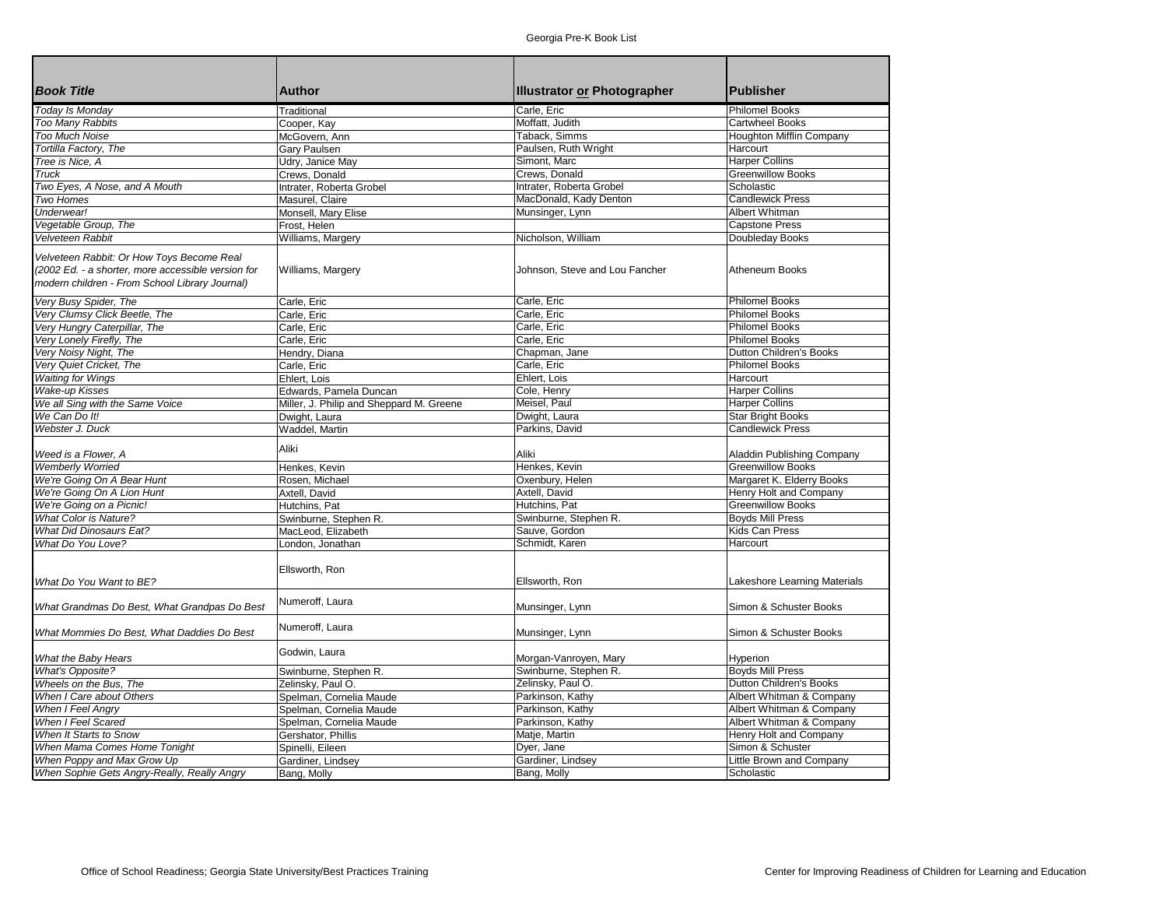| <b>Book Title</b>                                  | <b>Author</b>                            | <b>Illustrator or Photographer</b> | <b>Publisher</b>             |
|----------------------------------------------------|------------------------------------------|------------------------------------|------------------------------|
| Today Is Monday                                    | Traditional                              | Carle, Eric                        | <b>Philomel Books</b>        |
| <b>Too Many Rabbits</b>                            | Cooper, Kay                              | Moffatt, Judith                    | Cartwheel Books              |
| <b>Too Much Noise</b>                              | McGovern, Ann                            | Taback, Simms                      | Houghton Mifflin Company     |
| Tortilla Factory, The                              | Gary Paulsen                             | Paulsen, Ruth Wright               | Harcourt                     |
| Tree is Nice, A                                    | Udry, Janice May                         | Simont. Marc                       | <b>Harper Collins</b>        |
| Truck                                              | Crews, Donald                            | Crews, Donald                      | <b>Greenwillow Books</b>     |
| Two Eyes, A Nose, and A Mouth                      | Intrater, Roberta Grobel                 | Intrater, Roberta Grobel           | Scholastic                   |
| Two Homes                                          | Masurel, Claire                          | MacDonald, Kady Denton             | <b>Candlewick Press</b>      |
| Underwear!                                         | Monsell, Mary Elise                      | Munsinger, Lynn                    | Albert Whitman               |
| Vegetable Group, The                               | Frost, Helen                             |                                    | <b>Capstone Press</b>        |
| Velveteen Rabbit                                   | Williams, Margery                        | Nicholson, William                 | Doubleday Books              |
|                                                    |                                          |                                    |                              |
| Velveteen Rabbit: Or How Toys Become Real          |                                          |                                    |                              |
| (2002 Ed. - a shorter, more accessible version for | Williams, Margery                        | Johnson, Steve and Lou Fancher     | Atheneum Books               |
| modern children - From School Library Journal)     |                                          |                                    |                              |
| Very Busy Spider, The                              | Carle, Eric                              | Carle, Eric                        | <b>Philomel Books</b>        |
| Very Clumsy Click Beetle, The                      | Carle, Eric                              | Carle, Eric                        | <b>Philomel Books</b>        |
| Very Hungry Caterpillar, The                       | Carle, Eric                              | Carle, Eric                        | <b>Philomel Books</b>        |
| Very Lonely Firefly, The                           | Carle, Eric                              | Carle, Eric                        | <b>Philomel Books</b>        |
| Very Noisy Night, The                              | Hendry, Diana                            | Chapman, Jane                      | Dutton Children's Books      |
| Very Quiet Cricket, The                            | Carle, Eric                              | Carle, Eric                        | Philomel Books               |
| <b>Waiting for Wings</b>                           | Ehlert, Lois                             | Ehlert, Lois                       | Harcourt                     |
| <b>Wake-up Kisses</b>                              | Edwards, Pamela Duncan                   | Cole, Henry                        | <b>Harper Collins</b>        |
| We all Sing with the Same Voice                    | Miller, J. Philip and Sheppard M. Greene | Meisel. Paul                       | <b>Harper Collins</b>        |
| We Can Do It!                                      | Dwight, Laura                            | Dwight, Laura                      | <b>Star Bright Books</b>     |
| Webster J. Duck                                    | Waddel, Martin                           | Parkins, David                     | <b>Candlewick Press</b>      |
|                                                    |                                          |                                    |                              |
| Weed is a Flower, A                                | Aliki                                    | Aliki                              | Aladdin Publishing Company   |
| <b>Wemberly Worried</b>                            | Henkes, Kevin                            | Henkes, Kevin                      | <b>Greenwillow Books</b>     |
| We're Going On A Bear Hunt                         | Rosen, Michael                           | Oxenbury, Helen                    | Margaret K. Elderry Books    |
| We're Going On A Lion Hunt                         | Axtell, David                            | Axtell, David                      | Henry Holt and Company       |
| We're Going on a Picnic!                           | Hutchins, Pat                            | Hutchins, Pat                      | <b>Greenwillow Books</b>     |
| <b>What Color is Nature?</b>                       | Swinburne, Stephen R.                    | Swinburne, Stephen R.              | <b>Boyds Mill Press</b>      |
| <b>What Did Dinosaurs Eat?</b>                     | MacLeod, Elizabeth                       | Sauve, Gordon                      | Kids Can Press               |
| What Do You Love?                                  | London, Jonathan                         | Schmidt, Karen                     | Harcourt                     |
|                                                    |                                          |                                    |                              |
|                                                    | Ellsworth, Ron                           |                                    |                              |
| What Do You Want to BE?                            |                                          | Ellsworth, Ron                     | Lakeshore Learning Materials |
|                                                    |                                          |                                    |                              |
| What Grandmas Do Best, What Grandpas Do Best       | Numeroff, Laura                          | Munsinger, Lynn                    | Simon & Schuster Books       |
|                                                    |                                          |                                    |                              |
| What Mommies Do Best, What Daddies Do Best         | Numeroff, Laura                          | Munsinger, Lynn                    | Simon & Schuster Books       |
|                                                    |                                          |                                    |                              |
| What the Baby Hears                                | Godwin, Laura                            | Morgan-Vanroyen, Mary              | Hyperion                     |
| <b>What's Opposite?</b>                            | Swinburne, Stephen R.                    | Swinburne, Stephen R.              | <b>Boyds Mill Press</b>      |
| Wheels on the Bus. The                             |                                          | Zelinsky, Paul O.                  | Dutton Children's Books      |
| When I Care about Others                           | Zelinsky, Paul O.                        | Parkinson, Kathy                   | Albert Whitman & Company     |
|                                                    | Spelman, Cornelia Maude                  | Parkinson, Kathy                   | Albert Whitman & Company     |
| When I Feel Angry                                  | Spelman, Cornelia Maude                  | Parkinson, Kathy                   | Albert Whitman & Company     |
| When I Feel Scared                                 | Spelman, Cornelia Maude                  |                                    |                              |
| When It Starts to Snow                             | Gershator, Phillis                       | Matje, Martin                      | Henry Holt and Company       |
| When Mama Comes Home Tonight                       | Spinelli, Eileen                         | Dyer, Jane                         | Simon & Schuster             |
| When Poppy and Max Grow Up                         | Gardiner, Lindsey                        | Gardiner, Lindsey                  | Little Brown and Company     |
| When Sophie Gets Angry-Really, Really Angry        | Bang, Molly                              | Bang, Molly                        | Scholastic                   |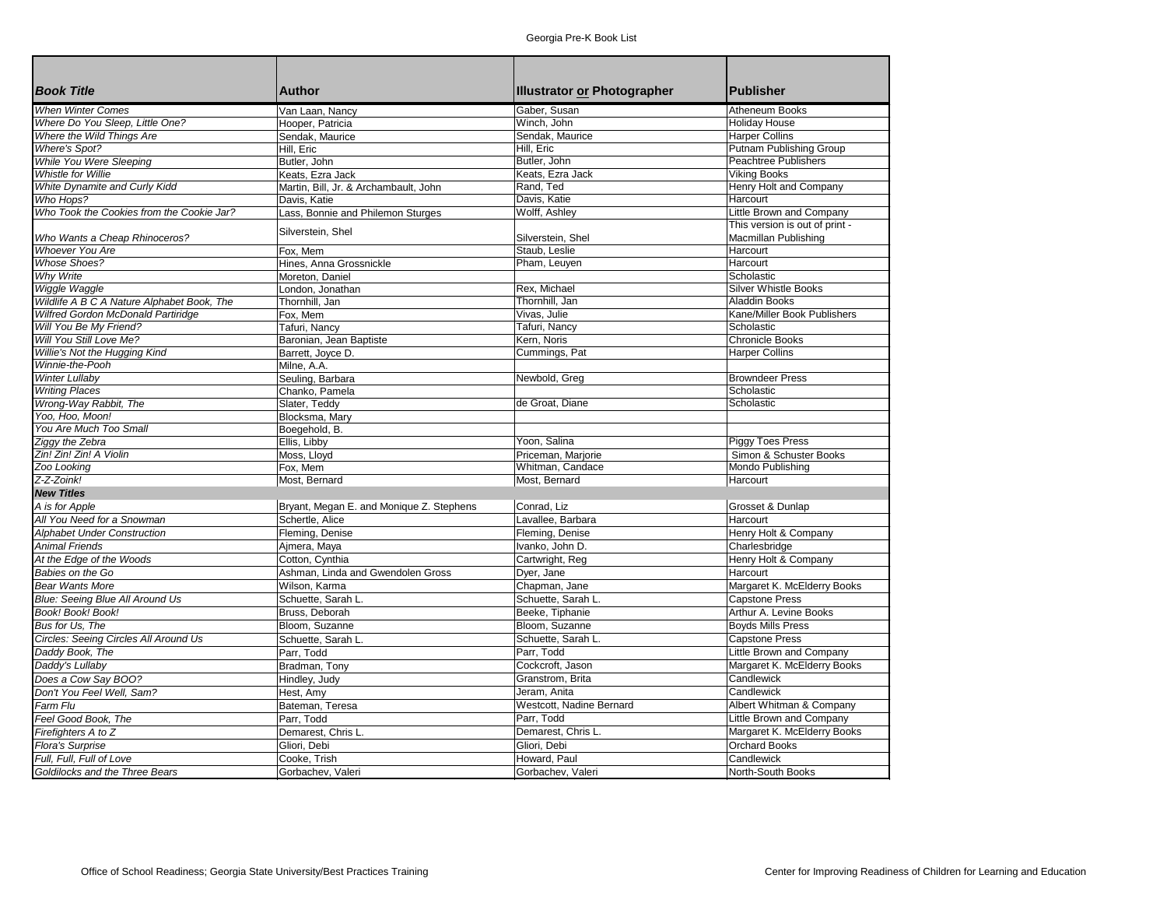|                                            |                                          |                                        | <b>Publisher</b>                                     |
|--------------------------------------------|------------------------------------------|----------------------------------------|------------------------------------------------------|
| <b>Book Title</b>                          | <b>Author</b>                            | <b>Illustrator or Photographer</b>     |                                                      |
| <b>When Winter Comes</b>                   | Van Laan, Nancy                          | Gaber, Susan                           | Atheneum Books                                       |
| Where Do You Sleep, Little One?            | Hooper, Patricia                         | Winch, John                            | <b>Holiday House</b>                                 |
| Where the Wild Things Are                  | Sendak, Maurice                          | Sendak, Maurice                        | <b>Harper Collins</b>                                |
| <b>Where's Spot?</b>                       | Hill, Eric                               | Hill, Eric                             | Putnam Publishing Group                              |
| While You Were Sleeping                    | Butler, John                             | Butler, John                           | Peachtree Publishers                                 |
| <b>Whistle for Willie</b>                  | Keats, Ezra Jack                         | Keats. Ezra Jack                       | <b>Viking Books</b>                                  |
| White Dynamite and Curly Kidd              | Martin, Bill, Jr. & Archambault, John    | Rand, Ted                              | Henry Holt and Company                               |
| Who Hops?                                  | Davis, Katie                             | Davis, Katie                           | Harcourt                                             |
| Who Took the Cookies from the Cookie Jar?  | Lass, Bonnie and Philemon Sturges        | Wolff, Ashley                          | Little Brown and Company                             |
|                                            | Silverstein, Shel                        |                                        | This version is out of print -                       |
| Who Wants a Cheap Rhinoceros?              |                                          | Silverstein, Shel                      | Macmillan Publishing                                 |
| <b>Whoever You Are</b>                     | Fox. Mem                                 | Staub. Leslie                          | Harcourt                                             |
| <b>Whose Shoes?</b>                        | Hines, Anna Grossnickle                  | Pham, Leuyen                           | Harcourt                                             |
| <b>Why Write</b>                           | Moreton, Daniel                          |                                        | Scholastic                                           |
| Wiggle Waggle                              | London. Jonathan                         | Rex, Michael                           | <b>Silver Whistle Books</b>                          |
| Wildlife A B C A Nature Alphabet Book, The | Thornhill, Jan                           | Thornhill, Jan                         | <b>Aladdin Books</b>                                 |
| Wilfred Gordon McDonald Partiridge         | Fox, Mem                                 | Vivas, Julie                           | Kane/Miller Book Publishers                          |
| Will You Be My Friend?                     | Tafuri, Nancy                            | Tafuri, Nancy                          | Scholastic                                           |
| Will You Still Love Me?                    | Baronian, Jean Baptiste                  | Kern, Noris                            | <b>Chronicle Books</b>                               |
| Willie's Not the Hugging Kind              | Barrett, Joyce D.                        | Cummings, Pat                          | <b>Harper Collins</b>                                |
| Winnie-the-Pooh                            | Milne, A.A.                              |                                        |                                                      |
| <b>Winter Lullaby</b>                      | Seuling, Barbara                         | Newbold, Greg                          | <b>Browndeer Press</b>                               |
| <b>Writing Places</b>                      | Chanko, Pamela                           |                                        | Scholastic                                           |
| Wrong-Way Rabbit, The                      | Slater, Teddy                            | de Groat, Diane                        | Scholastic                                           |
| Yoo. Hoo. Moon!                            | Blocksma, Mary                           |                                        |                                                      |
| You Are Much Too Small                     | Boegehold, B.                            |                                        |                                                      |
| Ziggy the Zebra                            | Ellis, Libby                             | Yoon, Salina                           | <b>Piggy Toes Press</b>                              |
| Zin! Zin! Zin! A Violin                    | Moss, Lloyd                              | Priceman, Marjorie                     | Simon & Schuster Books                               |
| Zoo Looking                                | Fox, Mem                                 | Whitman, Candace                       | Mondo Publishing                                     |
| Z-Z-Zoink!                                 | Most, Bernard                            | Most, Bernard                          | Harcourt                                             |
| <b>New Titles</b>                          |                                          |                                        |                                                      |
| A is for Apple                             | Bryant, Megan E. and Monique Z. Stephens | Conrad, Liz                            | Grosset & Dunlap                                     |
| All You Need for a Snowman                 | Schertle, Alice                          | Lavallee, Barbara                      | Harcourt                                             |
| <b>Alphabet Under Construction</b>         | Fleming, Denise                          | Fleming, Denise                        | Henry Holt & Company                                 |
| <b>Animal Friends</b>                      | Ajmera, Maya                             | Ivanko, John D.                        | Charlesbridge                                        |
| At the Edge of the Woods                   | Cotton, Cynthia                          | Cartwright, Reg                        | Henry Holt & Company                                 |
| Babies on the Go                           | Ashman. Linda and Gwendolen Gross        | Dyer, Jane                             | Harcourt                                             |
| <b>Bear Wants More</b>                     | Wilson, Karma                            | Chapman, Jane                          | Margaret K. McElderry Books                          |
| Blue: Seeing Blue All Around Us            | Schuette, Sarah L.                       | Schuette. Sarah L.                     | <b>Capstone Press</b>                                |
| Book! Book! Book!                          | Bruss, Deborah                           | Beeke, Tiphanie                        | Arthur A. Levine Books                               |
| Bus for Us. The                            | Bloom, Suzanne                           | Bloom, Suzanne                         | <b>Boyds Mills Press</b>                             |
| Circles: Seeing Circles All Around Us      | Schuette, Sarah L.                       | Schuette, Sarah L.                     | <b>Capstone Press</b>                                |
| Daddy Book, The                            | Parr, Todd                               | Parr, Todd                             | Little Brown and Company                             |
| Daddy's Lullaby                            | Bradman, Tony                            | Cockcroft, Jason                       | Margaret K. McElderry Books                          |
| Does a Cow Say BOO?                        | Hindley, Judy                            | Granstrom. Brita                       | Candlewick                                           |
| Don't You Feel Well, Sam?                  | Hest, Amy                                | Jeram, Anita                           | Candlewick                                           |
| Farm Flu                                   |                                          |                                        |                                                      |
| Feel Good Book, The                        | Bateman, Teresa<br>Parr, Todd            | Westcott, Nadine Bernard<br>Parr, Todd | Albert Whitman & Company<br>Little Brown and Company |
|                                            |                                          |                                        |                                                      |
| Firefighters A to Z                        | Demarest, Chris L.                       | Demarest, Chris L.                     | Margaret K. McElderry Books                          |
| <b>Flora's Surprise</b>                    | Gliori, Debi                             | Gliori, Debi                           | <b>Orchard Books</b>                                 |
| Full, Full, Full of Love                   | Cooke, Trish                             | Howard, Paul                           | Candlewick                                           |
| Goldilocks and the Three Bears             | Gorbachev, Valeri                        | Gorbachev, Valeri                      | North-South Books                                    |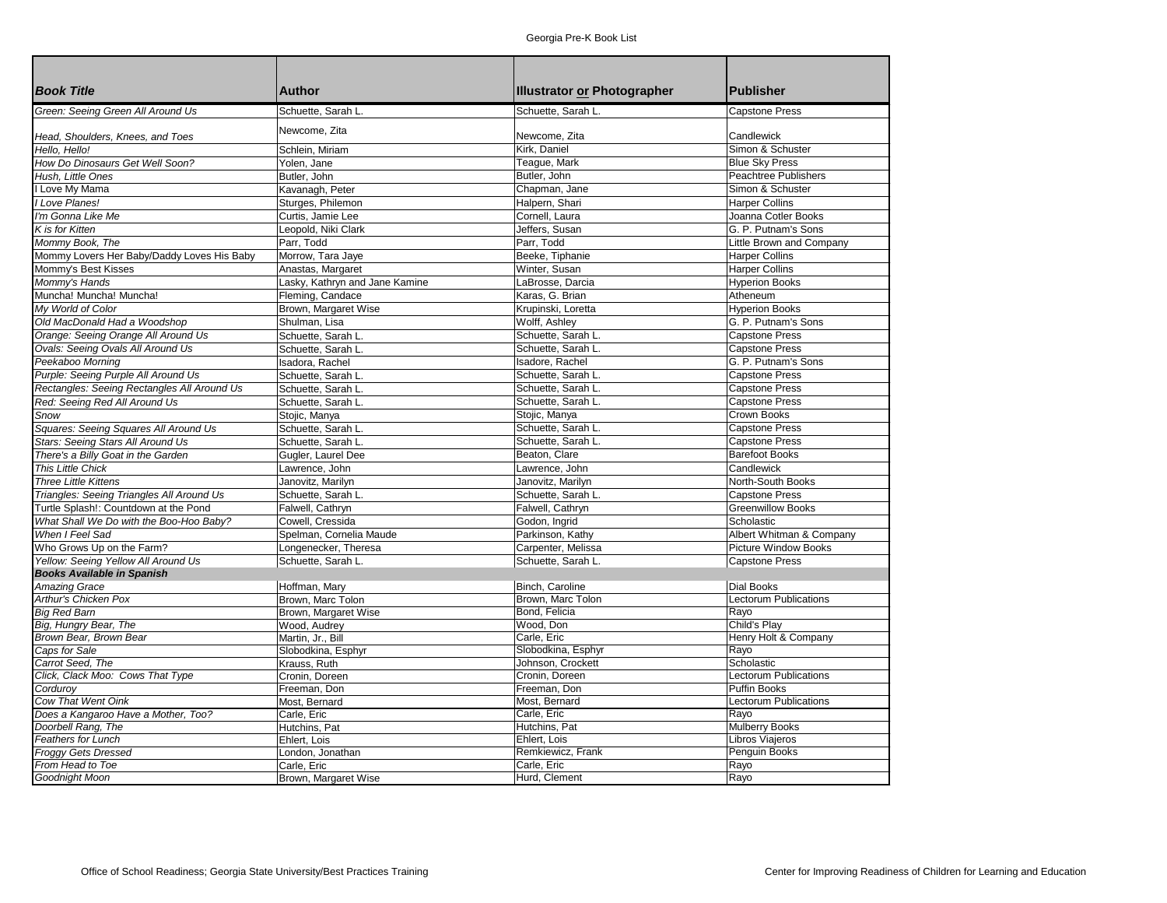| <b>Book Title</b>                                                               | <b>Author</b>                                       | Illustrator or Photographer         | <b>Publisher</b>                             |
|---------------------------------------------------------------------------------|-----------------------------------------------------|-------------------------------------|----------------------------------------------|
| Green: Seeing Green All Around Us                                               | Schuette, Sarah L.                                  | Schuette, Sarah L.                  | <b>Capstone Press</b>                        |
| Head, Shoulders, Knees, and Toes                                                | Newcome, Zita                                       | Newcome, Zita                       | Candlewick                                   |
| Hello, Hello!                                                                   |                                                     | Kirk, Daniel                        | Simon & Schuster                             |
| How Do Dinosaurs Get Well Soon?                                                 | Schlein, Miriam                                     | Teaque, Mark                        | <b>Blue Sky Press</b>                        |
| Hush, Little Ones                                                               | Yolen, Jane                                         | Butler, John                        | <b>Peachtree Publishers</b>                  |
| I Love My Mama                                                                  | Butler, John                                        |                                     | Simon & Schuster                             |
| I Love Planes!                                                                  | Kavanagh, Peter                                     | Chapman, Jane<br>Halpern, Shari     | <b>Harper Collins</b>                        |
| I'm Gonna Like Me                                                               | Sturges, Philemon                                   | Cornell, Laura                      | Joanna Cotler Books                          |
| K is for Kitten                                                                 | Curtis, Jamie Lee<br>Leopold, Niki Clark            | Jeffers, Susan                      | G. P. Putnam's Sons                          |
| Mommy Book, The                                                                 | Parr, Todd                                          | Parr, Todd                          | Little Brown and Company                     |
| Mommy Lovers Her Baby/Daddy Loves His Baby                                      |                                                     | Beeke, Tiphanie                     | Harper Collins                               |
| Mommy's Best Kisses                                                             | Morrow, Tara Jaye                                   | Winter, Susan                       | <b>Harper Collins</b>                        |
| Mommy's Hands                                                                   | Anastas, Margaret<br>Lasky, Kathryn and Jane Kamine | LaBrosse, Darcia                    | <b>Hyperion Books</b>                        |
| Muncha! Muncha! Muncha!                                                         |                                                     | Karas, G. Brian                     | Atheneum                                     |
| My World of Color                                                               | Fleming, Candace                                    |                                     |                                              |
|                                                                                 | Brown, Margaret Wise                                | Krupinski, Loretta<br>Wolff, Ashley | <b>Hyperion Books</b><br>G. P. Putnam's Sons |
| Old MacDonald Had a Woodshop                                                    | Shulman, Lisa                                       | Schuette, Sarah L.                  | <b>Capstone Press</b>                        |
| Orange: Seeing Orange All Around Us                                             | Schuette, Sarah L.                                  | Schuette. Sarah L.                  | <b>Capstone Press</b>                        |
| Ovals: Seeing Ovals All Around Us                                               | Schuette. Sarah L.                                  |                                     |                                              |
| Peekaboo Morning                                                                | Isadora, Rachel                                     | Isadore, Rachel                     | G. P. Putnam's Sons                          |
| Purple: Seeing Purple All Around Us                                             | Schuette, Sarah L.                                  | Schuette, Sarah L.                  | <b>Capstone Press</b>                        |
| Rectangles: Seeing Rectangles All Around Us                                     | Schuette, Sarah L.                                  | Schuette, Sarah L.                  | Capstone Press                               |
| Red: Seeing Red All Around Us                                                   | Schuette, Sarah L.                                  | Schuette, Sarah L.                  | <b>Capstone Press</b>                        |
| Snow                                                                            | Stojic, Manya                                       | Stojic, Manya                       | Crown Books                                  |
| Squares: Seeing Squares All Around Us                                           | Schuette, Sarah L.                                  | Schuette, Sarah L.                  | <b>Capstone Press</b>                        |
| Stars: Seeing Stars All Around Us                                               | Schuette, Sarah L.                                  | Schuette, Sarah L.                  | <b>Capstone Press</b>                        |
| There's a Billy Goat in the Garden                                              | Gugler, Laurel Dee                                  | Beaton, Clare                       | <b>Barefoot Books</b>                        |
| <b>This Little Chick</b>                                                        | Lawrence, John                                      | Lawrence. John                      | Candlewick                                   |
| <b>Three Little Kittens</b>                                                     | Janovitz, Marilyn                                   | Janovitz, Marilyn                   | North-South Books                            |
| Triangles: Seeing Triangles All Around Us                                       | Schuette, Sarah L.                                  | Schuette, Sarah L                   | <b>Capstone Press</b>                        |
| Turtle Splash!: Countdown at the Pond                                           | Falwell, Cathryn                                    | Falwell, Cathryn                    | <b>Greenwillow Books</b>                     |
| What Shall We Do with the Boo-Hoo Baby?                                         | Cowell, Cressida                                    | Godon, Ingrid                       | Scholastic                                   |
| When I Feel Sad                                                                 | Spelman, Cornelia Maude                             | Parkinson, Kathy                    | Albert Whitman & Company                     |
| Who Grows Up on the Farm?                                                       | Longenecker, Theresa                                | Carpenter, Melissa                  | Picture Window Books                         |
| <b>Yellow: Seeing Yellow All Around Us</b><br><b>Books Available in Spanish</b> | Schuette, Sarah L.                                  | Schuette, Sarah L.                  | <b>Capstone Press</b>                        |
| <b>Amazing Grace</b>                                                            | Hoffman, Mary                                       | Binch, Caroline                     | <b>Dial Books</b>                            |
| Arthur's Chicken Pox                                                            | Brown. Marc Tolon                                   | Brown, Marc Tolon                   | Lectorum Publications                        |
| <b>Big Red Barn</b>                                                             | Brown, Margaret Wise                                | Bond, Felicia                       | Rayo                                         |
| Big, Hungry Bear, The                                                           | Wood, Audrey                                        | Wood, Don                           | Child's Play                                 |
| Brown Bear, Brown Bear                                                          | Martin, Jr., Bill                                   | Carle, Eric                         | Henry Holt & Company                         |
| Caps for Sale                                                                   | Slobodkina, Esphyr                                  | Slobodkina, Esphyr                  | Rayo                                         |
| Carrot Seed, The                                                                | Krauss, Ruth                                        | Johnson, Crockett                   | Scholastic                                   |
| Click, Clack Moo: Cows That Type                                                | Cronin, Doreen                                      | Cronin, Doreen                      | Lectorum Publications                        |
| Cordurov                                                                        | Freeman, Don                                        | Freeman, Don                        | Puffin Books                                 |
| <b>Cow That Went Oink</b>                                                       | Most. Bernard                                       | Most, Bernard                       | Lectorum Publications                        |
| Does a Kangaroo Have a Mother, Too?                                             | Carle, Eric                                         | Carle, Eric                         | Rayo                                         |
| Doorbell Rang, The                                                              | Hutchins, Pat                                       | Hutchins, Pat                       | <b>Mulberry Books</b>                        |
| Feathers for Lunch                                                              | Ehlert, Lois                                        | Ehlert, Lois                        | Libros Viajeros                              |
| <b>Froggy Gets Dressed</b>                                                      | London, Jonathan                                    | Remkiewicz, Frank                   | Penguin Books                                |
| From Head to Toe                                                                | Carle, Eric                                         | Carle, Eric                         | Rayo                                         |
| <b>Goodnight Moon</b>                                                           | Brown, Margaret Wise                                | Hurd, Clement                       | Rayo                                         |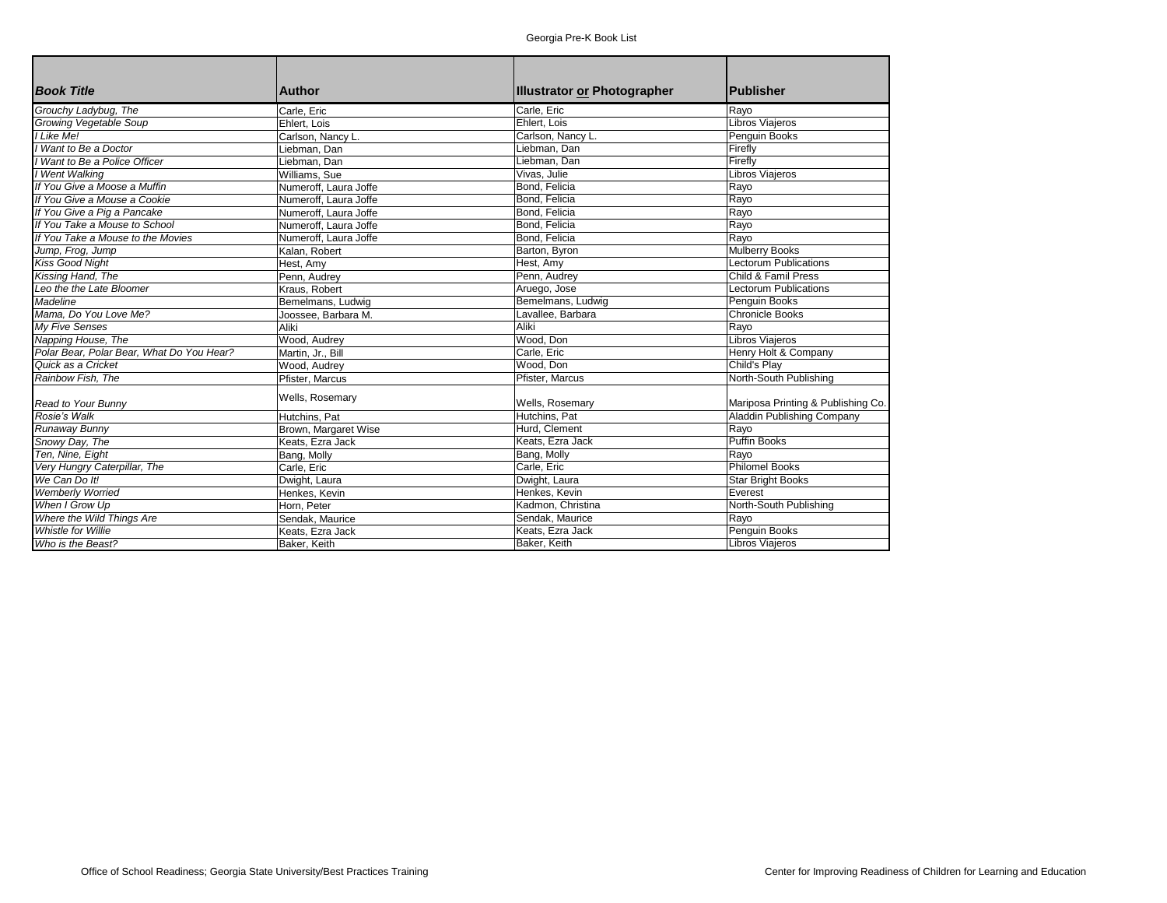| <b>Book Title</b>                         | <b>Author</b>         | <b>Illustrator or Photographer</b> | <b>Publisher</b>                   |
|-------------------------------------------|-----------------------|------------------------------------|------------------------------------|
| Grouchy Ladybug, The                      | Carle, Eric           | Carle, Eric                        | Rayo                               |
| <b>Growing Vegetable Soup</b>             | Ehlert, Lois          | Ehlert, Lois                       | <b>Libros Viajeros</b>             |
| I Like Me!                                | Carlson, Nancy L.     | Carlson, Nancy L.                  | Penguin Books                      |
| I Want to Be a Doctor                     | Liebman, Dan          | Liebman. Dan                       | Firefly                            |
| I Want to Be a Police Officer             | Liebman, Dan          | Liebman, Dan                       | Firefly                            |
| I Went Walking                            | Williams, Sue         | Vivas, Julie                       | Libros Viajeros                    |
| If You Give a Moose a Muffin              | Numeroff. Laura Joffe | Bond, Felicia                      | Rayo                               |
| If You Give a Mouse a Cookie              | Numeroff. Laura Joffe | Bond, Felicia                      | Rayo                               |
| If You Give a Pig a Pancake               | Numeroff. Laura Joffe | Bond, Felicia                      | Rayo                               |
| If You Take a Mouse to School             | Numeroff. Laura Joffe | Bond, Felicia                      | Rayo                               |
| If You Take a Mouse to the Movies         | Numeroff, Laura Joffe | Bond, Felicia                      | Rayo                               |
| Jump, Frog, Jump                          | Kalan, Robert         | Barton, Byron                      | <b>Mulberry Books</b>              |
| Kiss Good Night                           | Hest, Amy             | Hest, Amy                          | <b>Lectorum Publications</b>       |
| Kissing Hand, The                         | Penn, Audrey          | Penn, Audrey                       | Child & Famil Press                |
| Leo the the Late Bloomer                  | Kraus, Robert         | Aruego, Jose                       | <b>Lectorum Publications</b>       |
| Madeline                                  | Bemelmans, Ludwig     | Bemelmans, Ludwig                  | Penguin Books                      |
| Mama, Do You Love Me?                     | Joossee, Barbara M.   | Lavallee, Barbara                  | <b>Chronicle Books</b>             |
| <b>Mv Five Senses</b>                     | Aliki                 | Aliki                              | Rayo                               |
| Napping House, The                        | Wood, Audrey          | Wood, Don                          | <b>Libros Viaieros</b>             |
| Polar Bear, Polar Bear, What Do You Hear? | Martin, Jr., Bill     | Carle, Eric                        | Henry Holt & Company               |
| Quick as a Cricket                        | Wood, Audrey          | Wood, Don                          | Child's Play                       |
| Rainbow Fish. The                         | Pfister, Marcus       | Pfister, Marcus                    | North-South Publishing             |
| Read to Your Bunny                        | Wells, Rosemary       | Wells, Rosemary                    | Mariposa Printing & Publishing Co. |
| Rosie's Walk                              | Hutchins. Pat         | Hutchins, Pat                      | Aladdin Publishing Company         |
| Runaway Bunny                             | Brown, Margaret Wise  | Hurd, Clement                      | Rayo                               |
| Snowy Day, The                            | Keats, Ezra Jack      | Keats, Ezra Jack                   | <b>Puffin Books</b>                |
| Ten, Nine, Eight                          | Bang, Molly           | Bang, Molly                        | Rayo                               |
| Very Hungry Caterpillar, The              | Carle, Eric           | Carle, Eric                        | <b>Philomel Books</b>              |
| We Can Do It!                             | Dwight, Laura         | Dwight, Laura                      | <b>Star Bright Books</b>           |
| <b>Wemberly Worried</b>                   | Henkes, Kevin         | Henkes, Kevin                      | Everest                            |
| When I Grow Up                            | Horn, Peter           | Kadmon, Christina                  | North-South Publishing             |
| Where the Wild Things Are                 | Sendak, Maurice       | Sendak, Maurice                    | Rayo                               |
| <b>Whistle for Willie</b>                 | Keats, Ezra Jack      | Keats, Ezra Jack                   | Penguin Books                      |
| Who is the Beast?                         | Baker, Keith          | Baker, Keith                       | <b>Libros Viajeros</b>             |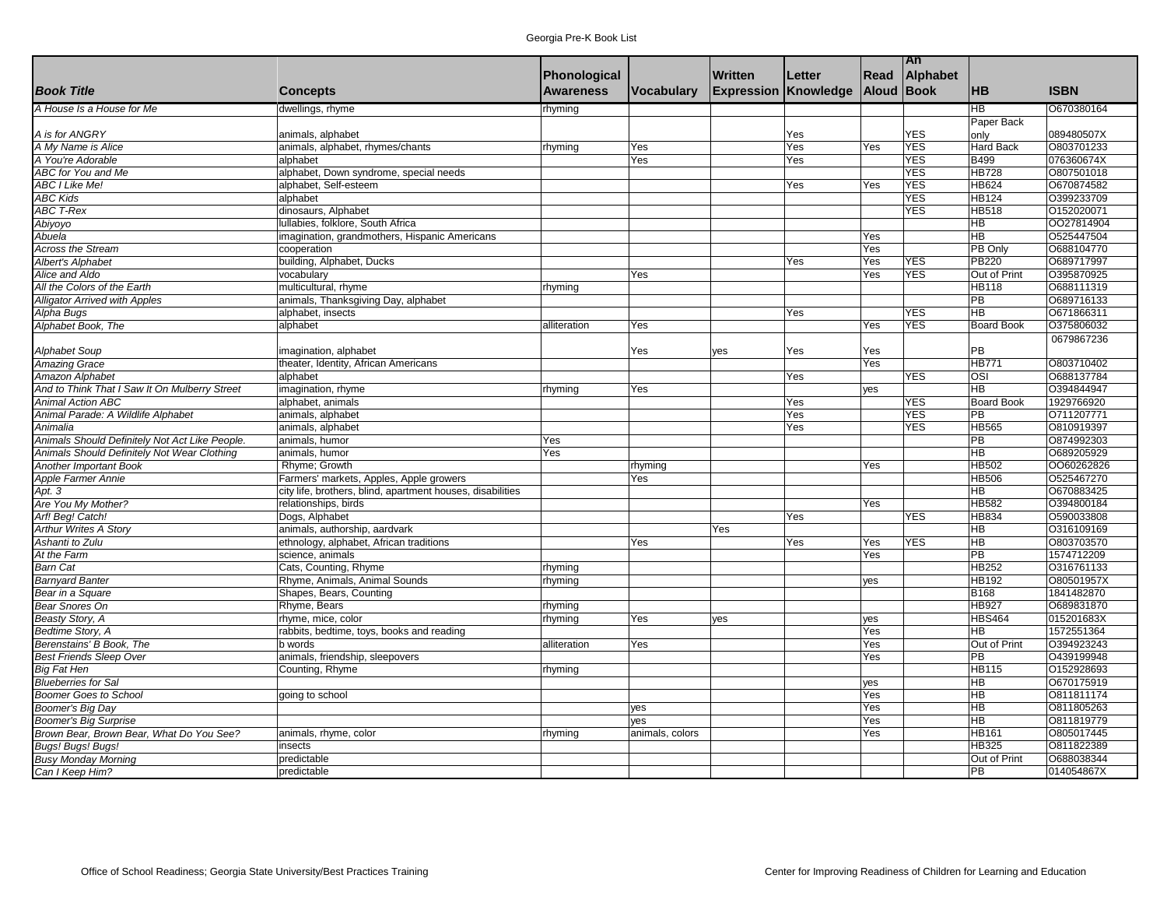|                                                |                                                            |                  |                   |                             |        |            | An         |                        |             |
|------------------------------------------------|------------------------------------------------------------|------------------|-------------------|-----------------------------|--------|------------|------------|------------------------|-------------|
|                                                |                                                            | Phonological     |                   | <b>Written</b>              | Letter | Read       | Alphabet   |                        |             |
| <b>Book Title</b>                              | <b>Concepts</b>                                            | <b>Awareness</b> | <b>Vocabulary</b> | <b>Expression Knowledge</b> |        | Aloud Book |            | <b>HB</b>              | <b>ISBN</b> |
| A House Is a House for Me                      | dwellings, rhyme                                           | rhyming          |                   |                             |        |            |            | HB                     | O670380164  |
|                                                |                                                            |                  |                   |                             |        |            |            | Paper Back             |             |
| A is for ANGRY                                 | animals, alphabet                                          |                  |                   |                             | Yes    |            | <b>YES</b> | only                   | 089480507X  |
| A My Name is Alice                             | animals, alphabet, rhymes/chants                           | rhyming          | Yes               |                             | Yes    | Yes        | <b>YES</b> | Hard Back              | O803701233  |
| A You're Adorable                              | alphabet                                                   |                  | Yes               |                             | Yes    |            | <b>YES</b> | <b>B499</b>            | 076360674X  |
| ABC for You and Me                             | alphabet, Down syndrome, special needs                     |                  |                   |                             |        |            | <b>YES</b> | <b>HB728</b>           | 0807501018  |
| <b>ABC I Like Me!</b>                          | alphabet, Self-esteem                                      |                  |                   |                             | Yes    | Yes        | <b>YES</b> | <b>HB624</b>           | O670874582  |
| <b>ABC Kids</b>                                | alphabet                                                   |                  |                   |                             |        |            | <b>YES</b> | <b>HB124</b>           | O399233709  |
| <b>ABC T-Rex</b>                               | dinosaurs, Alphabet                                        |                  |                   |                             |        |            | YES        | <b>HB518</b>           | 0152020071  |
| Abiyoyo                                        | Iullabies, folklore, South Africa                          |                  |                   |                             |        |            |            | <b>HB</b>              | 0027814904  |
| Abuela                                         | imagination, grandmothers, Hispanic Americans              |                  |                   |                             |        | Yes        |            | <b>HB</b>              | 0525447504  |
| Across the Stream                              | cooperation                                                |                  |                   |                             |        | Yes        |            | PB Only                | O688104770  |
| Albert's Alphabet                              | building, Alphabet, Ducks                                  |                  |                   |                             | Yes    | Yes        | <b>YES</b> | <b>PB220</b>           | O689717997  |
| Alice and Aldo                                 | vocabulary                                                 |                  | Yes               |                             |        | Yes        | <b>YES</b> | Out of Print           | O395870925  |
| All the Colors of the Earth                    | multicultural, rhyme                                       | rhyming          |                   |                             |        |            |            | <b>HB118</b>           | 0688111319  |
| <b>Alligator Arrived with Apples</b>           | animals, Thanksgiving Day, alphabet                        |                  |                   |                             |        |            |            | PB                     | O689716133  |
| Alpha Bugs                                     | alphabet, insects                                          |                  |                   |                             | Yes    |            | <b>YES</b> | HB                     | O671866311  |
| Alphabet Book, The                             | alphabet                                                   | alliteration     | Yes               |                             |        | Yes        | <b>YES</b> | <b>Board Book</b>      | O375806032  |
|                                                |                                                            |                  |                   |                             |        |            |            |                        | 0679867236  |
| <b>Alphabet Soup</b>                           | magination, alphabet                                       |                  | Yes               | lyes                        | Yes    | Yes        |            | PB                     |             |
| <b>Amazing Grace</b>                           | theater, Identity, African Americans                       |                  |                   |                             |        | Yes        |            | <b>HB771</b>           | 0803710402  |
| Amazon Alphabet                                | alphabet                                                   |                  |                   |                             | Yes    |            | YES        | $\overline{OSI}$       | O688137784  |
| And to Think That I Saw It On Mulberry Street  | imagination, rhyme                                         | rhyming          | Yes               |                             |        | yes        |            | <b>HB</b>              | O394844947  |
| <b>Animal Action ABC</b>                       | alphabet, animals                                          |                  |                   |                             | Yes    |            | <b>YES</b> | <b>Board Book</b>      | 1929766920  |
| Animal Parade: A Wildlife Alphabet             | animals, alphabet                                          |                  |                   |                             | Yes    |            | <b>YES</b> | PB                     | 0711207771  |
| Animalia                                       | animals, alphabet                                          |                  |                   |                             | Yes    |            | <b>YES</b> | <b>HB565</b>           | O810919397  |
| Animals Should Definitely Not Act Like People. | animals, humor                                             | Yes              |                   |                             |        |            |            | PB                     | 0874992303  |
| Animals Should Definitely Not Wear Clothing    | animals, humor                                             | Yes              |                   |                             |        |            |            | <b>HB</b>              | O689205929  |
| <b>Another Important Book</b>                  | Rhyme; Growth                                              |                  | rhyming           |                             |        | Yes        |            | <b>HB502</b>           | 0060262826  |
| Apple Farmer Annie                             | Farmers' markets, Apples, Apple growers                    |                  | Yes               |                             |        |            |            | <b>HB506</b>           | 0525467270  |
| Apt. 3                                         | city life, brothers, blind, apartment houses, disabilities |                  |                   |                             |        |            |            | <b>HB</b>              | O670883425  |
| Are You My Mother?                             | relationships, birds                                       |                  |                   |                             |        | Yes        |            | <b>HB582</b>           | O394800184  |
| Arf! Beg! Catch!                               | Dogs, Alphabet                                             |                  |                   |                             | Yes    |            | <b>YES</b> | <b>HB834</b>           | O590033808  |
| <b>Arthur Writes A Story</b>                   | animals, authorship, aardvark                              |                  |                   | Yes                         |        |            |            | <b>HB</b>              | 0316109169  |
| Ashanti to Zulu                                | ethnology, alphabet, African traditions                    |                  | Yes               |                             | Yes    | Yes        | <b>YES</b> | <b>HB</b>              | O803703570  |
| At the Farm                                    | science, animals                                           |                  |                   |                             |        | Yes        |            | PB                     | 1574712209  |
| <b>Barn Cat</b>                                | Cats, Counting, Rhyme                                      | rhyming          |                   |                             |        |            |            | <b>HB252</b>           | 0316761133  |
| <b>Barnyard Banter</b>                         | Rhyme, Animals, Animal Sounds                              | rhyming          |                   |                             |        | yes        |            | <b>HB192</b>           | O80501957X  |
| Bear in a Square                               | Shapes, Bears, Counting                                    |                  |                   |                             |        |            |            | <b>B168</b>            | 1841482870  |
| <b>Bear Snores On</b>                          | Rhyme, Bears                                               | rhyming          |                   |                             |        |            |            | <b>HB927</b>           | O689831870  |
| <b>Beasty Story, A</b>                         | rhyme, mice, color                                         | rhyming          | Yes               | lyes                        |        | yes        |            | HBS464                 | 015201683X  |
| Bedtime Story, A                               | rabbits, bedtime, toys, books and reading                  |                  |                   |                             |        | Yes        |            | <b>HB</b>              | 1572551364  |
| Berenstains' B Book, The                       | b words                                                    | alliteration     | Yes               |                             |        | Yes        |            | Out of Print           | 0394923243  |
| <b>Best Friends Sleep Over</b>                 | animals, friendship, sleepovers                            |                  |                   |                             |        | Yes        |            | PB                     | O439199948  |
| <b>Big Fat Hen</b>                             | Counting, Rhyme                                            | rhyming          |                   |                             |        |            |            | <b>HB115</b>           | O152928693  |
| <b>Blueberries for Sal</b>                     |                                                            |                  |                   |                             |        | yes        |            | <b>HB</b>              | 0670175919  |
| <b>Boomer Goes to School</b>                   | going to school                                            |                  |                   |                             |        | Yes        |            | <b>HB</b>              | O811811174  |
| Boomer's Big Day                               |                                                            |                  | yes               |                             |        | Yes        |            | <b>HB</b><br><b>HB</b> | O811805263  |
| <b>Boomer's Big Surprise</b>                   |                                                            |                  | yes               |                             |        | Yes        |            |                        | O811819779  |
| Brown Bear, Brown Bear, What Do You See?       | animals, rhyme, color                                      | rhyming          | animals, colors   |                             |        | Yes        |            | <b>HB161</b>           | O805017445  |
| Bugs! Bugs! Bugs!                              | insects                                                    |                  |                   |                             |        |            |            | <b>HB325</b>           | 0811822389  |
| <b>Busy Monday Morning</b>                     | predictable                                                |                  |                   |                             |        |            |            | Out of Print           | O688038344  |
| Can I Keep Him?                                | predictable                                                |                  |                   |                             |        |            |            | PB                     | 014054867X  |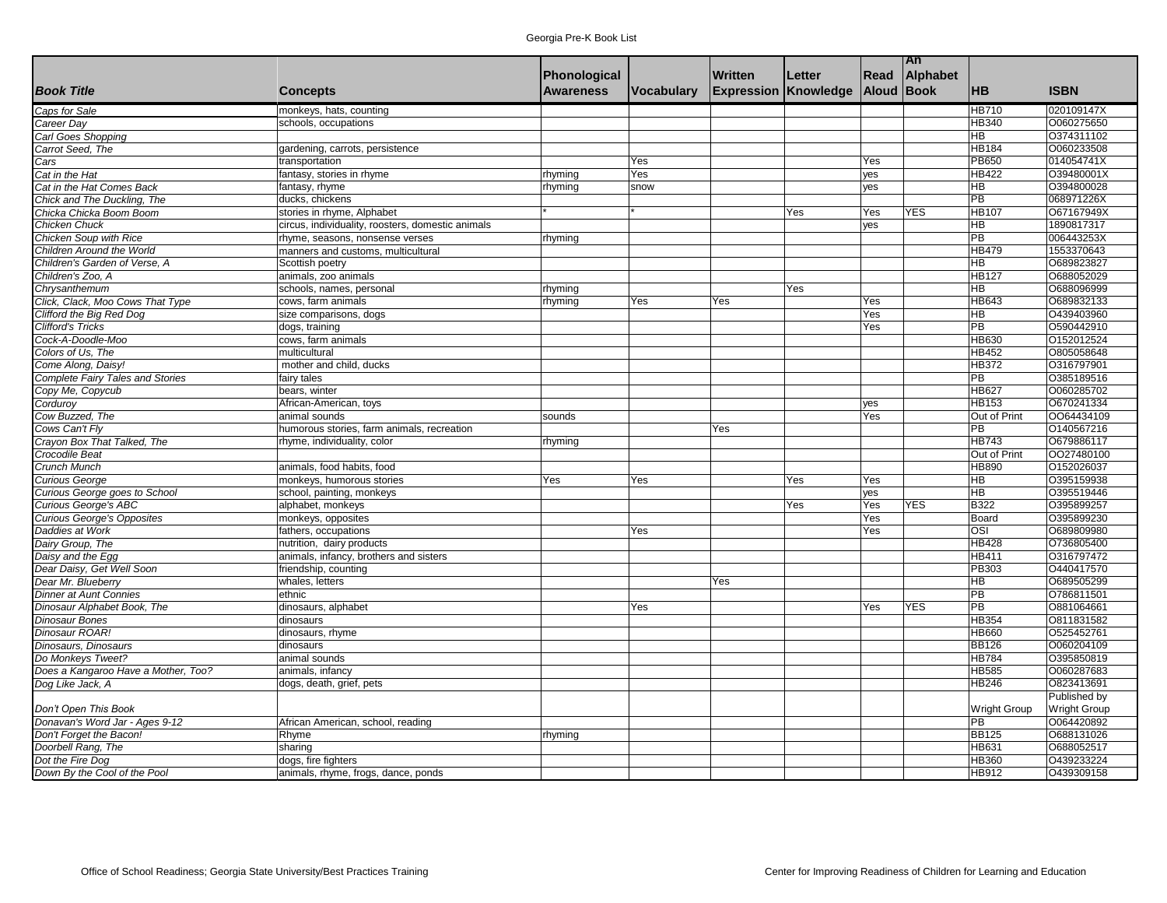| Georgia Pre-K Book List |  |  |  |
|-------------------------|--|--|--|
|-------------------------|--|--|--|

|                                                         |                                                   |                  |                   |                   |           |            | An         |                                   |                     |
|---------------------------------------------------------|---------------------------------------------------|------------------|-------------------|-------------------|-----------|------------|------------|-----------------------------------|---------------------|
|                                                         |                                                   | Phonological     |                   | <b>Written</b>    | Letter    | Read       | Alphabet   |                                   |                     |
| <b>Book Title</b>                                       | <b>Concepts</b>                                   | <b>Awareness</b> | <b>Vocabulary</b> | <b>Expression</b> | Knowledge | Aloud Book |            | <b>HB</b>                         | <b>ISBN</b>         |
| Caps for Sale                                           | monkeys, hats, counting                           |                  |                   |                   |           |            |            | <b>HB710</b>                      | 020109147X          |
| Career Day                                              | schools, occupations                              |                  |                   |                   |           |            |            | <b>HB340</b>                      | O060275650          |
| Carl Goes Shopping                                      |                                                   |                  |                   |                   |           |            |            | $\overline{\mathsf{H}\mathsf{B}}$ | O374311102          |
| Carrot Seed, The                                        | gardening, carrots, persistence                   |                  |                   |                   |           |            |            | <b>HB184</b>                      | O060233508          |
| Cars                                                    | transportation                                    |                  | Yes               |                   |           | Yes        |            | <b>PB650</b>                      | 014054741X          |
| Cat in the Hat                                          | fantasy, stories in rhyme                         | rhyming          | Yes               |                   |           | yes        |            | <b>HB422</b>                      | O39480001X          |
| Cat in the Hat Comes Back                               | fantasy, rhyme                                    | rhyming          | snow              |                   |           | yes        |            | $\overline{\mathsf{H}}$           | O394800028          |
| Chick and The Duckling, The                             | ducks, chickens                                   |                  |                   |                   |           |            |            | $\overline{PB}$                   | 068971226X          |
| Chicka Chicka Boom Boom                                 | stories in rhyme, Alphabet                        |                  |                   |                   | Yes       | Yes        | <b>YES</b> | <b>HB107</b>                      | O67167949X          |
| Chicken Chuck                                           | circus, individuality, roosters, domestic animals |                  |                   |                   |           | yes        |            | $\overline{\mathsf{H}}$           | 1890817317          |
| Chicken Soup with Rice                                  | rhyme, seasons, nonsense verses                   | rhyming          |                   |                   |           |            |            | $\overline{PB}$                   | 006443253X          |
| Children Around the World                               | manners and customs, multicultural                |                  |                   |                   |           |            |            | <b>HB479</b>                      | 1553370643          |
| Children's Garden of Verse, A                           | Scottish poetry                                   |                  |                   |                   |           |            |            | HB                                | O689823827          |
| Children's Zoo, A                                       | animals, zoo animals                              |                  |                   |                   |           |            |            | <b>HB127</b>                      | O688052029          |
| Chrysanthemum                                           | schools, names, personal                          | rhyming          |                   |                   | Yes       |            |            | HB                                | O688096999          |
| Click, Clack, Moo Cows That Type                        | cows, farm animals                                | rhyming          | Yes               | Yes               |           | Yes        |            | HB643                             | O689832133          |
| Clifford the Big Red Dog                                | size comparisons, dogs                            |                  |                   |                   |           | Yes        |            | HB                                | O439403960          |
| <b>Clifford's Tricks</b>                                | dogs, training                                    |                  |                   |                   |           | Yes        |            | $\overline{PB}$                   | O590442910          |
| Cock-A-Doodle-Moo                                       | cows, farm animals                                |                  |                   |                   |           |            |            | <b>HB630</b>                      | O152012524          |
| Colors of Us. The                                       | multicultural                                     |                  |                   |                   |           |            |            | <b>HB452</b>                      | O805058648          |
| Come Along, Daisy!                                      | mother and child, ducks                           |                  |                   |                   |           |            |            | <b>HB372</b>                      | O316797901          |
| <b>Complete Fairy Tales and Stories</b>                 | fairy tales                                       |                  |                   |                   |           |            |            | $\overline{PB}$                   | O385189516          |
| Copy Me, Copycub                                        | bears, winter                                     |                  |                   |                   |           |            |            | <b>HB627</b>                      | O060285702          |
| Corduroy                                                | African-American, toys                            |                  |                   |                   |           | yes        |            | <b>HB153</b>                      | O670241334          |
| Cow Buzzed, The                                         | animal sounds                                     | sounds           |                   |                   |           | Yes        |            | Out of Print                      | OO64434109          |
| Cows Can't Flv                                          | humorous stories, farm animals, recreation        |                  |                   | Yes               |           |            |            | $\overline{PB}$                   | 0140567216          |
| Crayon Box That Talked, The                             | rhyme, individuality, color                       |                  |                   |                   |           |            |            | <b>HB743</b>                      | O679886117          |
| Crocodile Beat                                          |                                                   | rhyming          |                   |                   |           |            |            | Out of Print                      | OO27480100          |
| Crunch Munch                                            | animals, food habits, food                        |                  |                   |                   |           |            |            | HB890                             | O152026037          |
| <b>Curious George</b>                                   | monkeys, humorous stories                         | Yes              | Yes               |                   | Yes       | Yes        |            | $\overline{AB}$                   | O395159938          |
|                                                         | school, painting, monkeys                         |                  |                   |                   |           | yes        |            | $\overline{AB}$                   | O395519446          |
| Curious George goes to School<br>Curious George's ABC   | alphabet, monkeys                                 |                  |                   |                   | Yes       | Yes        | <b>YES</b> | B322                              | O395899257          |
| Curious George's Opposites                              | monkeys, opposites                                |                  |                   |                   |           | Yes        |            | Board                             | O395899230          |
| Daddies at Work                                         | fathers, occupations                              |                  | Yes               |                   |           | Yes        |            | OSI                               | O689809980          |
| Dairy Group, The                                        | nutrition, dairy products                         |                  |                   |                   |           |            |            | <b>HB428</b>                      | O736805400          |
| Daisy and the Egg                                       | animals, infancy, brothers and sisters            |                  |                   |                   |           |            |            | HB411                             | O316797472          |
| Dear Daisy, Get Well Soon                               | friendship, counting                              |                  |                   |                   |           |            |            | PB303                             | O440417570          |
| Dear Mr. Blueberry                                      | whales, letters                                   |                  |                   | Yes               |           |            |            | <b>HB</b>                         | O689505299          |
| <b>Dinner at Aunt Connies</b>                           | ethnic                                            |                  |                   |                   |           |            |            | $\overline{PB}$                   | O786811501          |
| Dinosaur Alphabet Book, The                             | dinosaurs, alphabet                               |                  | Yes               |                   |           | Yes        | <b>YES</b> | PB                                | O881064661          |
| Dinosaur Bones                                          | dinosaurs                                         |                  |                   |                   |           |            |            | HB354                             | O811831582          |
| Dinosaur ROAR!                                          | dinosaurs, rhyme                                  |                  |                   |                   |           |            |            | <b>HB660</b>                      | O525452761          |
| Dinosaurs, Dinosaurs                                    | dinosaurs                                         |                  |                   |                   |           |            |            | <b>BB126</b>                      | O060204109          |
| Do Monkeys Tweet?                                       |                                                   |                  |                   |                   |           |            |            | <b>HB784</b>                      | O395850819          |
|                                                         | animal sounds                                     |                  |                   |                   |           |            |            | <b>HB585</b>                      | O060287683          |
| Does a Kangaroo Have a Mother, Too?<br>Dog Like Jack, A | animals, infancy                                  |                  |                   |                   |           |            |            | <b>HB246</b>                      | O823413691          |
|                                                         | dogs, death, grief, pets                          |                  |                   |                   |           |            |            |                                   | Published by        |
| Don't Open This Book                                    |                                                   |                  |                   |                   |           |            |            | Wright Group                      | <b>Wright Group</b> |
| Donavan's Word Jar - Ages 9-12                          | African American, school, reading                 |                  |                   |                   |           |            |            | $\overline{PB}$                   | O064420892          |
| Don't Forget the Bacon!                                 | Rhyme                                             | rhyming          |                   |                   |           |            |            | <b>BB125</b>                      | O688131026          |
| Doorbell Rang, The                                      | sharing                                           |                  |                   |                   |           |            |            | HB631                             | O688052517          |
| Dot the Fire Dog                                        | dogs, fire fighters                               |                  |                   |                   |           |            |            | HB360                             | O439233224          |
| Down By the Cool of the Pool                            | animals, rhyme, frogs, dance, ponds               |                  |                   |                   |           |            |            | HB912                             | O439309158          |
|                                                         |                                                   |                  |                   |                   |           |            |            |                                   |                     |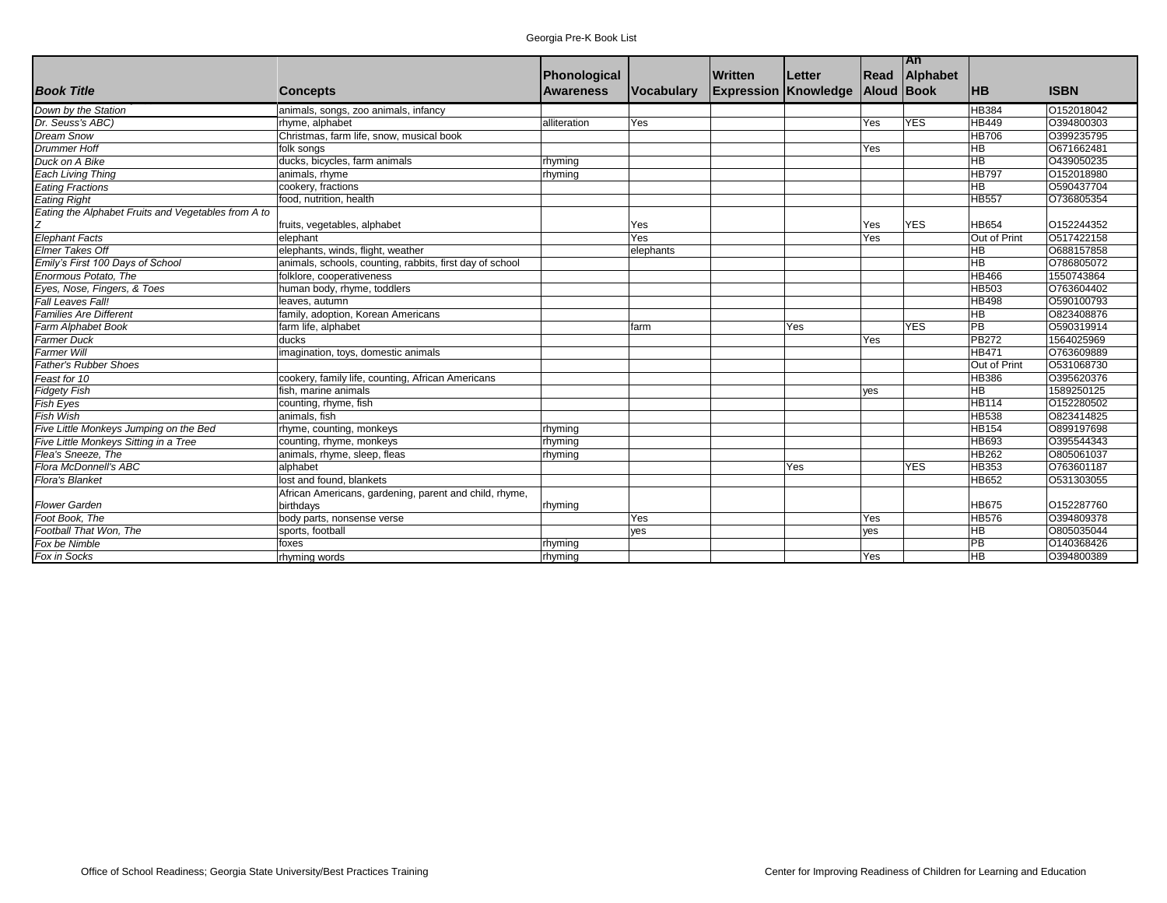|                                                     |                                                          |              |                   |                             |        |                   | <b>TAn</b> |                 |             |
|-----------------------------------------------------|----------------------------------------------------------|--------------|-------------------|-----------------------------|--------|-------------------|------------|-----------------|-------------|
|                                                     |                                                          | Phonological |                   | Written                     | Letter | Read              | Alphabet   |                 |             |
| <b>Book Title</b>                                   | <b>Concepts</b>                                          | Awareness    | <b>Vocabulary</b> | <b>Expression Knowledge</b> |        | <b>Aloud Book</b> |            | <b>HB</b>       | <b>ISBN</b> |
| Down by the Station                                 | animals, songs, zoo animals, infancy                     |              |                   |                             |        |                   |            | <b>HB384</b>    | 0152018042  |
| Dr. Seuss's ABC)                                    | rhyme, alphabet                                          | alliteration | Yes               |                             |        | Yes               | <b>YES</b> | <b>HB449</b>    | O394800303  |
| <b>Dream Snow</b>                                   | Christmas, farm life, snow, musical book                 |              |                   |                             |        |                   |            | <b>HB706</b>    | O399235795  |
| <b>Drummer Hoff</b>                                 | folk songs                                               |              |                   |                             |        | Yes               |            | HВ              | O671662481  |
| Duck on A Bike                                      | ducks, bicycles, farm animals                            | rhyming      |                   |                             |        |                   |            | H <sub>B</sub>  | O439050235  |
| <b>Each Living Thing</b>                            | animals, rhyme                                           | rhyming      |                   |                             |        |                   |            | <b>HB797</b>    | O152018980  |
| <b>Eating Fractions</b>                             | cookery, fractions                                       |              |                   |                             |        |                   |            | <b>HB</b>       | O590437704  |
| <b>Eating Right</b>                                 | food, nutrition, health                                  |              |                   |                             |        |                   |            | <b>HB557</b>    | O736805354  |
| Eating the Alphabet Fruits and Vegetables from A to |                                                          |              |                   |                             |        |                   |            |                 |             |
|                                                     | fruits, vegetables, alphabet                             |              | Yes               |                             |        | Yes               | <b>YES</b> | <b>HB654</b>    | O152244352  |
| <b>Elephant Facts</b>                               | elephant                                                 |              | Yes               |                             |        | Yes               |            | Out of Print    | O517422158  |
| Elmer Takes Off                                     | elephants, winds, flight, weather                        |              | elephants         |                             |        |                   |            | HB              | O688157858  |
| Emily's First 100 Days of School                    | animals, schools, counting, rabbits, first day of school |              |                   |                             |        |                   |            | HB              | O786805072  |
| Enormous Potato. The                                | folklore, cooperativeness                                |              |                   |                             |        |                   |            | <b>HB466</b>    | 1550743864  |
| Eyes, Nose, Fingers, & Toes                         | human body, rhyme, toddlers                              |              |                   |                             |        |                   |            | <b>HB503</b>    | O763604402  |
| Fall Leaves Fall!                                   | leaves, autumn                                           |              |                   |                             |        |                   |            | <b>HB498</b>    | O590100793  |
| <b>Families Are Different</b>                       | family, adoption, Korean Americans                       |              |                   |                             |        |                   |            | <b>HB</b>       | O823408876  |
| Farm Alphabet Book                                  | farm life, alphabet                                      |              | farm              |                             | Yes    |                   | <b>YES</b> | $\overline{PB}$ | O590319914  |
| <b>Farmer Duck</b>                                  | ducks                                                    |              |                   |                             |        | Yes               |            | <b>PB272</b>    | 1564025969  |
| <b>Farmer Will</b>                                  | imagination, toys, domestic animals                      |              |                   |                             |        |                   |            | <b>HB471</b>    | 0763609889  |
| <b>Father's Rubber Shoes</b>                        |                                                          |              |                   |                             |        |                   |            | Out of Print    | O531068730  |
| Feast for 10                                        | cookery, family life, counting, African Americans        |              |                   |                             |        |                   |            | <b>HB386</b>    | O395620376  |
| <b>Fidgety Fish</b>                                 | fish, marine animals                                     |              |                   |                             |        | yes               |            | <b>HB</b>       | 1589250125  |
| Fish Eyes                                           | counting, rhyme, fish                                    |              |                   |                             |        |                   |            | <b>HB114</b>    | 0152280502  |
| <b>Fish Wish</b>                                    | animals, fish                                            |              |                   |                             |        |                   |            | <b>HB538</b>    | O823414825  |
| Five Little Monkeys Jumping on the Bed              | rhyme, counting, monkeys                                 | rhyming      |                   |                             |        |                   |            | <b>HB154</b>    | O899197698  |
| Five Little Monkeys Sitting in a Tree               | counting, rhyme, monkeys                                 | rhyming      |                   |                             |        |                   |            | <b>HB693</b>    | O395544343  |
| Flea's Sneeze, The                                  | animals, rhyme, sleep, fleas                             | rhyming      |                   |                             |        |                   |            | <b>HB262</b>    | O805061037  |
| Flora McDonnell's ABC                               | alphabet                                                 |              |                   |                             | Yes    |                   | <b>YES</b> | <b>HB353</b>    | O763601187  |
| <b>Flora's Blanket</b>                              | lost and found, blankets                                 |              |                   |                             |        |                   |            | <b>HB652</b>    | O531303055  |
|                                                     | African Americans, gardening, parent and child, rhyme,   |              |                   |                             |        |                   |            |                 |             |
| <b>Flower Garden</b>                                | birthdavs                                                | rhyming      |                   |                             |        |                   |            | <b>HB675</b>    | O152287760  |
| Foot Book, The                                      | body parts, nonsense verse                               |              | Yes               |                             |        | Yes               |            | <b>HB576</b>    | O394809378  |
| Football That Won, The                              | sports, football                                         |              | yes               |                             |        | ves               |            | HВ              | O805035044  |
| Fox be Nimble                                       | foxes                                                    | rhyming      |                   |                             |        |                   |            | PB              | O140368426  |
| Fox in Socks                                        | rhyming words                                            | rhyming      |                   |                             |        | Yes               |            | HВ              | O394800389  |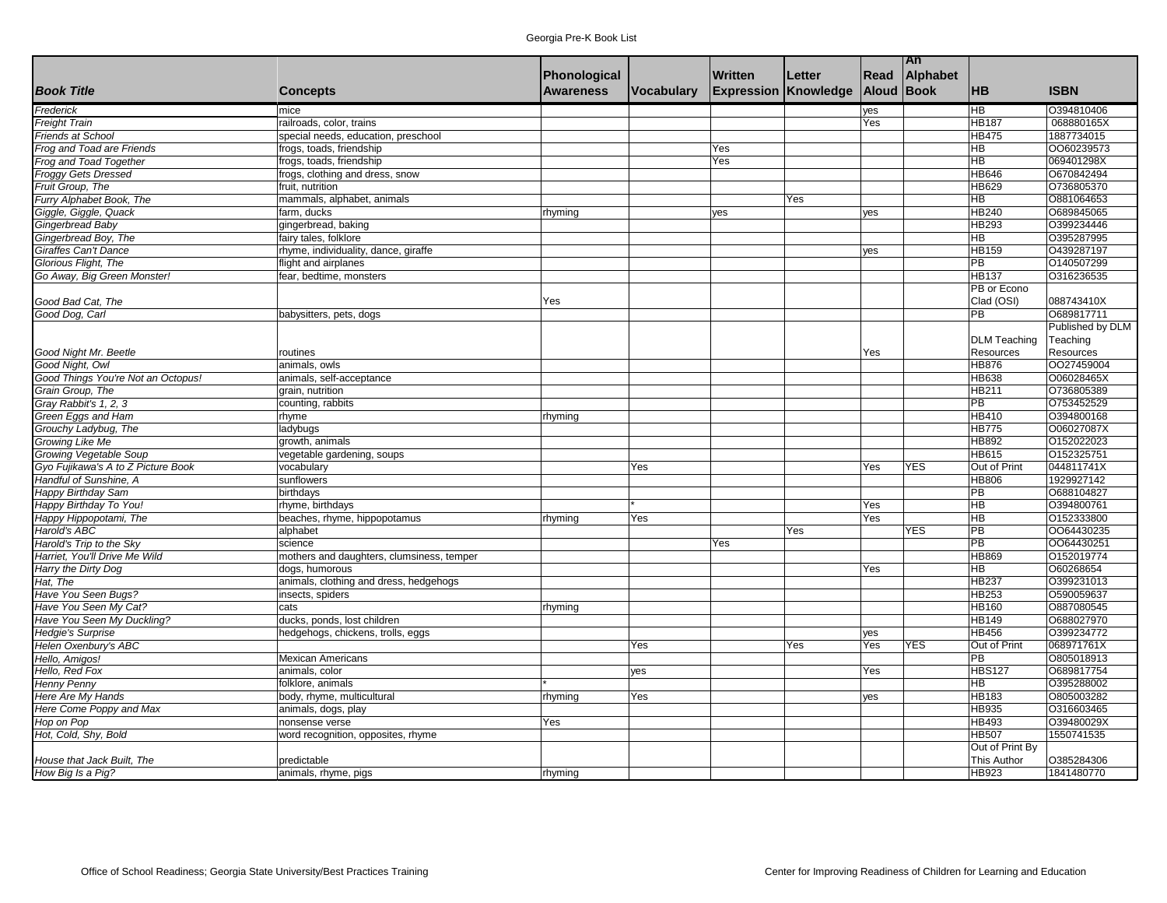|                                    |                                           |                     |            |                             |        |            | An         |                                   |                  |
|------------------------------------|-------------------------------------------|---------------------|------------|-----------------------------|--------|------------|------------|-----------------------------------|------------------|
|                                    |                                           | <b>Phonological</b> |            | <b>Written</b>              | Letter | Read       | Alphabet   |                                   |                  |
| <b>Book Title</b>                  | <b>Concepts</b>                           | <b>Awareness</b>    | Vocabulary | <b>Expression Knowledge</b> |        | Aloud Book |            | <b>HB</b>                         | <b>ISBN</b>      |
| Frederick                          | mice                                      |                     |            |                             |        | yes        |            | <b>HB</b>                         | O394810406       |
| <b>Freight Train</b>               | railroads, color, trains                  |                     |            |                             |        | Yes        |            | <b>HB187</b>                      | 068880165X       |
| <b>Friends at School</b>           | special needs, education, preschool       |                     |            |                             |        |            |            | <b>HB475</b>                      | 1887734015       |
| Frog and Toad are Friends          | frogs, toads, friendship                  |                     |            | Yes                         |        |            |            | $\overline{\mathsf{H}}$           | 0060239573       |
| Frog and Toad Together             | frogs, toads, friendship                  |                     |            | Yes                         |        |            |            | $\overline{HB}$                   | 069401298X       |
| <b>Froggy Gets Dressed</b>         | frogs, clothing and dress, snow           |                     |            |                             |        |            |            | <b>HB646</b>                      | O670842494       |
| Fruit Group, The                   | fruit, nutrition                          |                     |            |                             |        |            |            | <b>HB629</b>                      | O736805370       |
| Furry Alphabet Book, The           | mammals, alphabet, animals                |                     |            |                             | Yes    |            |            | $\overline{\mathsf{H}\mathsf{B}}$ | O881064653       |
| Giggle, Giggle, Quack              | farm, ducks                               | rhyming             |            | yes                         |        | yes        |            | <b>HB240</b>                      | O689845065       |
| Gingerbread Baby                   | gingerbread, baking                       |                     |            |                             |        |            |            | HB293                             | O399234446       |
| Gingerbread Boy, The               | fairy tales, folklore                     |                     |            |                             |        |            |            | HB                                | O395287995       |
| Giraffes Can't Dance               | rhyme, individuality, dance, giraffe      |                     |            |                             |        | yes        |            | <b>HB159</b>                      | O439287197       |
| Glorious Flight, The               | flight and airplanes                      |                     |            |                             |        |            |            | <b>PB</b>                         | O140507299       |
| Go Away, Big Green Monster!        | fear, bedtime, monsters                   |                     |            |                             |        |            |            | <b>HB137</b>                      | O316236535       |
|                                    |                                           |                     |            |                             |        |            |            | PB or Econo                       |                  |
| Good Bad Cat, The                  |                                           | Yes                 |            |                             |        |            |            | Clad (OSI)                        | 088743410X       |
| Good Dog, Carl                     | babysitters, pets, dogs                   |                     |            |                             |        |            |            | PB                                | O689817711       |
|                                    |                                           |                     |            |                             |        |            |            |                                   | Published by DLM |
|                                    |                                           |                     |            |                             |        |            |            | <b>DLM Teaching</b>               | Teaching         |
| Good Night Mr. Beetle              | routines                                  |                     |            |                             |        | Yes        |            | <b>Resources</b>                  | Resources        |
| Good Night, Owl                    | animals, owls                             |                     |            |                             |        |            |            | <b>HB876</b>                      | 0027459004       |
| Good Things You're Not an Octopus! | animals, self-acceptance                  |                     |            |                             |        |            |            | <b>HB638</b>                      | O06028465X       |
| Grain Group, The                   | grain, nutrition                          |                     |            |                             |        |            |            | <b>HB211</b>                      | O736805389       |
| Gray Rabbit's 1, 2, 3              | counting, rabbits                         |                     |            |                             |        |            |            | $\overline{PB}$                   | 0753452529       |
| Green Eggs and Ham                 | rhyme                                     | rhyming             |            |                             |        |            |            | <b>HB410</b>                      | O394800168       |
| Grouchy Ladybug, The               | ladybugs                                  |                     |            |                             |        |            |            | <b>HB775</b>                      | O06027087X       |
| Growing Like Me                    | growth, animals                           |                     |            |                             |        |            |            | <b>HB892</b>                      | O152022023       |
| Growing Vegetable Soup             | vegetable gardening, soups                |                     |            |                             |        |            |            | <b>HB615</b>                      | 0152325751       |
| Gyo Fujikawa's A to Z Picture Book | vocabulary                                |                     | Yes        |                             |        | Yes        | <b>YES</b> | Out of Print                      | 044811741X       |
| Handful of Sunshine. A             | sunflowers                                |                     |            |                             |        |            |            | <b>HB806</b>                      | 1929927142       |
| <b>Happy Birthday Sam</b>          | birthdays                                 |                     |            |                             |        |            |            | $\overline{PB}$                   | O688104827       |
| Happy Birthday To You!             | rhyme, birthdays                          |                     |            |                             |        | Yes        |            | $\overline{\mathsf{H}}$           | O394800761       |
| Happy Hippopotami, The             | beaches, rhyme, hippopotamus              | rhyming             | Yes        |                             |        | Yes        |            | HB                                | O152333800       |
| Harold's ABC                       | alphabet                                  |                     |            |                             | Yes    |            | <b>YES</b> | PB                                | 0064430235       |
| Harold's Trip to the Sky           | science                                   |                     |            | Yes                         |        |            |            | $\overline{PB}$                   | 0064430251       |
| Harriet, You'll Drive Me Wild      | mothers and daughters, clumsiness, temper |                     |            |                             |        |            |            | HB869                             | O152019774       |
| Harry the Dirty Dog                | dogs, humorous                            |                     |            |                             |        | Yes        |            | HB                                | O60268654        |
| Hat, The                           | animals, clothing and dress, hedgehogs    |                     |            |                             |        |            |            | <b>HB237</b>                      | O399231013       |
| Have You Seen Bugs?                | insects, spiders                          |                     |            |                             |        |            |            | HB253                             | O590059637       |
| Have You Seen My Cat?              | cats                                      | rhyming             |            |                             |        |            |            | <b>HB160</b>                      | O887080545       |
| Have You Seen My Duckling?         | ducks, ponds, lost children               |                     |            |                             |        |            |            | <b>HB149</b>                      | O688027970       |
| <b>Hedgie's Surprise</b>           | hedgehogs, chickens, trolls, eggs         |                     |            |                             |        | yes        |            | <b>HB456</b>                      | O399234772       |
| Helen Oxenbury's ABC               |                                           |                     | Yes        |                             | Yes    | Yes        | <b>YES</b> | Out of Print                      | 068971761X       |
| Hello, Amigos!                     | <b>Mexican Americans</b>                  |                     |            |                             |        |            |            | PB                                | O805018913       |
| Hello, Red Fox                     | animals, color                            |                     | yes        |                             |        | Yes        |            | <b>HBS127</b>                     | O689817754       |
| <b>Henny Penny</b>                 | folklore, animals                         |                     |            |                             |        |            |            | <b>HB</b>                         | O395288002       |
| Here Are My Hands                  | body, rhyme, multicultural                | rhyming             | Yes        |                             |        | yes        |            | <b>HB183</b>                      | O805003282       |
| Here Come Poppy and Max            | animals, dogs, play                       |                     |            |                             |        |            |            | HB935                             | O316603465       |
| Hop on Pop                         | nonsense verse                            | Yes                 |            |                             |        |            |            | HB493                             | O39480029X       |
| Hot, Cold, Shy, Bold               | word recognition, opposites, rhyme        |                     |            |                             |        |            |            | <b>HB507</b><br>Out of Print By   | 1550741535       |
| House that Jack Built, The         | predictable                               |                     |            |                             |        |            |            | <b>This Author</b>                | O385284306       |
| How Big Is a Pig?                  | animals, rhyme, pigs                      | rhyming             |            |                             |        |            |            | HB923                             | 1841480770       |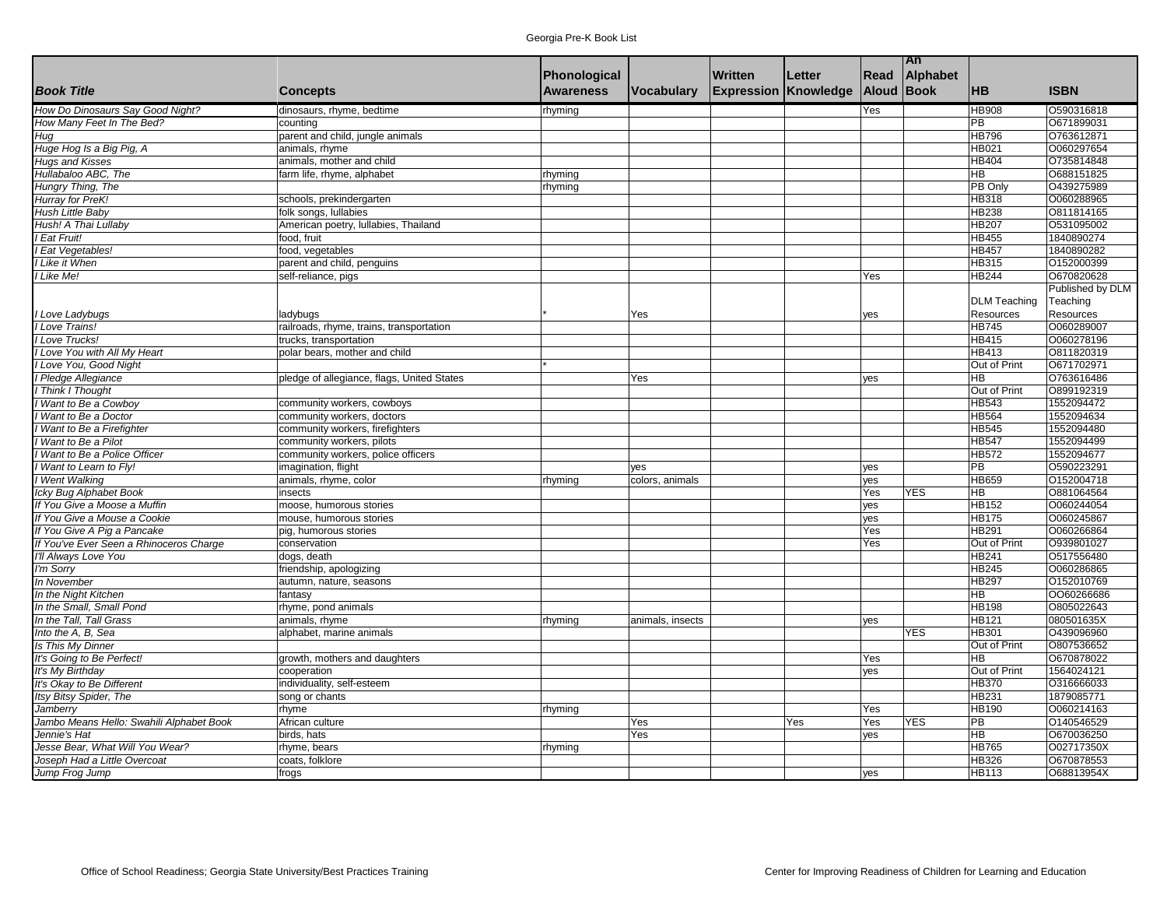|                                          |                                              |                  |                  |                             |        |                   | An         |                     |                  |
|------------------------------------------|----------------------------------------------|------------------|------------------|-----------------------------|--------|-------------------|------------|---------------------|------------------|
|                                          |                                              | Phonological     |                  | <b>Written</b>              | Letter | Read              | Alphabet   |                     |                  |
| <b>Book Title</b>                        | <b>Concepts</b>                              | <b>Awareness</b> | Vocabulary       | <b>Expression Knowledge</b> |        | <b>Aloud Book</b> |            | <b>HB</b>           | <b>ISBN</b>      |
| How Do Dinosaurs Say Good Night?         | dinosaurs, rhyme, bedtime                    | rhyming          |                  |                             |        | Yes               |            | <b>HB908</b>        | 0590316818       |
| How Many Feet In The Bed?                | countina                                     |                  |                  |                             |        |                   |            | <b>PB</b>           | 0671899031       |
| Hug                                      | parent and child, jungle animals             |                  |                  |                             |        |                   |            | <b>HB796</b>        | O763612871       |
| Huge Hog Is a Big Pig, A                 | animals, rhyme                               |                  |                  |                             |        |                   |            | <b>HB021</b>        | 0060297654       |
| <b>Hugs and Kisses</b>                   | animals, mother and child                    |                  |                  |                             |        |                   |            | <b>HB404</b>        | 0735814848       |
| Hullabaloo ABC, The                      | farm life, rhyme, alphabet                   | rhyming          |                  |                             |        |                   |            | <b>HB</b>           | 0688151825       |
| Hungry Thing, The                        |                                              | rhyming          |                  |                             |        |                   |            | PB Only             | O439275989       |
| Hurray for PreK!                         | schools, prekindergarten                     |                  |                  |                             |        |                   |            | <b>HB318</b>        | 0060288965       |
| Hush Little Baby                         | folk songs, lullabies                        |                  |                  |                             |        |                   |            | <b>HB238</b>        | O811814165       |
| Hush! A Thai Lullaby                     | American poetry, lullabies, Thailand         |                  |                  |                             |        |                   |            | <b>HB207</b>        | 0531095002       |
| Eat Fruit!                               | food. fruit                                  |                  |                  |                             |        |                   |            | <b>HB455</b>        | 1840890274       |
|                                          |                                              |                  |                  |                             |        |                   |            | <b>HB457</b>        | 1840890282       |
| Eat Vegetables!                          | food, vegetables                             |                  |                  |                             |        |                   |            | <b>HB315</b>        | 0152000399       |
| Like it When                             | parent and child, penguins                   |                  |                  |                             |        |                   |            |                     |                  |
| I Like Me!                               | self-reliance, pigs                          |                  |                  |                             |        | Yes               |            | <b>HB244</b>        | O670820628       |
|                                          |                                              |                  |                  |                             |        |                   |            |                     | Published by DLM |
|                                          |                                              |                  |                  |                             |        |                   |            | <b>DLM Teaching</b> | Teaching         |
| Love Ladybugs                            | ladybugs                                     |                  | Yes              |                             |        | yes               |            | Resources           | Resources        |
| Love Trains!                             | railroads, rhyme, trains, transportation     |                  |                  |                             |        |                   |            | <b>HB745</b>        | O060289007       |
| I Love Trucks!                           | trucks, transportation                       |                  |                  |                             |        |                   |            | <b>HB415</b>        | O060278196       |
| Love You with All My Heart               | polar bears, mother and child                |                  |                  |                             |        |                   |            | <b>HB413</b>        | 0811820319       |
| Love You, Good Night                     |                                              |                  |                  |                             |        |                   |            | Out of Print        | 0671702971       |
| Pledge Allegiance                        | pledge of allegiance, flags, United States   |                  | Yes              |                             |        | ves               |            | <b>HB</b>           | 0763616486       |
| <b>Think I Thought</b>                   |                                              |                  |                  |                             |        |                   |            | Out of Print        | O899192319       |
| Want to Be a Cowboy                      | community workers, cowboys                   |                  |                  |                             |        |                   |            | <b>HB543</b>        | 1552094472       |
| Want to Be a Doctor                      | community workers, doctors                   |                  |                  |                             |        |                   |            | <b>HB564</b>        | 1552094634       |
| Want to Be a Firefighter                 | community workers, firefighters              |                  |                  |                             |        |                   |            | <b>HB545</b>        | 1552094480       |
| Want to Be a Pilot                       | community workers, pilots                    |                  |                  |                             |        |                   |            | <b>HB547</b>        | 1552094499       |
| Want to Be a Police Officer              | community workers, police officers           |                  |                  |                             |        |                   |            | <b>HB572</b>        | 1552094677       |
| Want to Learn to Fly!                    | imagination, flight                          |                  | yes              |                             |        | yes               |            | <b>PB</b>           | 0590223291       |
| Went Walking                             | animals, rhyme, color                        | rhyming          | colors, animals  |                             |        | yes               |            | <b>HB659</b>        | 0152004718       |
| Icky Bug Alphabet Book                   | insects                                      |                  |                  |                             |        | Yes               | <b>YES</b> | HB                  | O881064564       |
| If You Give a Moose a Muffin             | moose, humorous stories                      |                  |                  |                             |        | yes               |            | <b>HB152</b>        | O060244054       |
| If You Give a Mouse a Cookie             | mouse, humorous stories                      |                  |                  |                             |        | yes               |            | <b>HB</b> 175       | 0060245867       |
| If You Give A Pig a Pancake              | pig, humorous stories                        |                  |                  |                             |        | Yes               |            | <b>HB291</b>        | O060266864       |
| If You've Ever Seen a Rhinoceros Charge  | conservation                                 |                  |                  |                             |        | Yes               |            | Out of Print        | 0939801027       |
| I'll Always Love You                     | dogs, death                                  |                  |                  |                             |        |                   |            | <b>HB241</b>        | O517556480       |
| 'm Sorry                                 | friendship, apologizing                      |                  |                  |                             |        |                   |            | <b>HB245</b>        | 0060286865       |
| In November                              | autumn, nature, seasons                      |                  |                  |                             |        |                   |            | <b>HB297</b>        | O152010769       |
| In the Night Kitchen                     | fantasy                                      |                  |                  |                             |        |                   |            | <b>HB</b>           | 0060266686       |
| In the Small, Small Pond                 | rhyme, pond animals                          |                  |                  |                             |        |                   |            | <b>HB198</b>        | O805022643       |
| In the Tall, Tall Grass                  | animals, rhyme                               | rhyming          | animals, insects |                             |        | yes               |            | <b>HB121</b>        | 080501635X       |
| Into the A, B, Sea                       | alphabet, marine animals                     |                  |                  |                             |        |                   | <b>YES</b> | <b>HB301</b>        | O439096960       |
| Is This My Dinner                        |                                              |                  |                  |                             |        |                   |            | Out of Print        | 0807536652       |
| It's Going to Be Perfect!                |                                              |                  |                  |                             |        | Yes               |            | <b>HB</b>           | O670878022       |
| It's My Birthday                         | growth, mothers and daughters<br>cooperation |                  |                  |                             |        |                   |            | Out of Print        | 1564024121       |
|                                          |                                              |                  |                  |                             |        | yes               |            | <b>HB370</b>        | O316666033       |
| It's Okay to Be Different                | individuality, self-esteem                   |                  |                  |                             |        |                   |            | <b>HB231</b>        |                  |
| Itsy Bitsy Spider, The                   | song or chants                               |                  |                  |                             |        |                   |            |                     | 1879085771       |
| Jamberry                                 | rhyme                                        | rhyming          |                  |                             |        | Yes               |            | <b>HB190</b>        | O060214163       |
| Jambo Means Hello: Swahili Alphabet Book | African culture                              |                  | Yes              |                             | Yes    | Yes               | <b>YES</b> | PB                  | O140546529       |
| Jennie's Hat                             | birds, hats                                  |                  | Yes              |                             |        | yes               |            | <b>HB</b>           | O670036250       |
| Jesse Bear, What Will You Wear?          | rhyme, bears                                 | rhyming          |                  |                             |        |                   |            | <b>HB765</b>        | O02717350X       |
| Joseph Had a Little Overcoat             | coats, folklore                              |                  |                  |                             |        |                   |            | <b>HB326</b>        | O670878553       |
| Jump Frog Jump                           | frogs                                        |                  |                  |                             |        | yes               |            | <b>HB113</b>        | O68813954X       |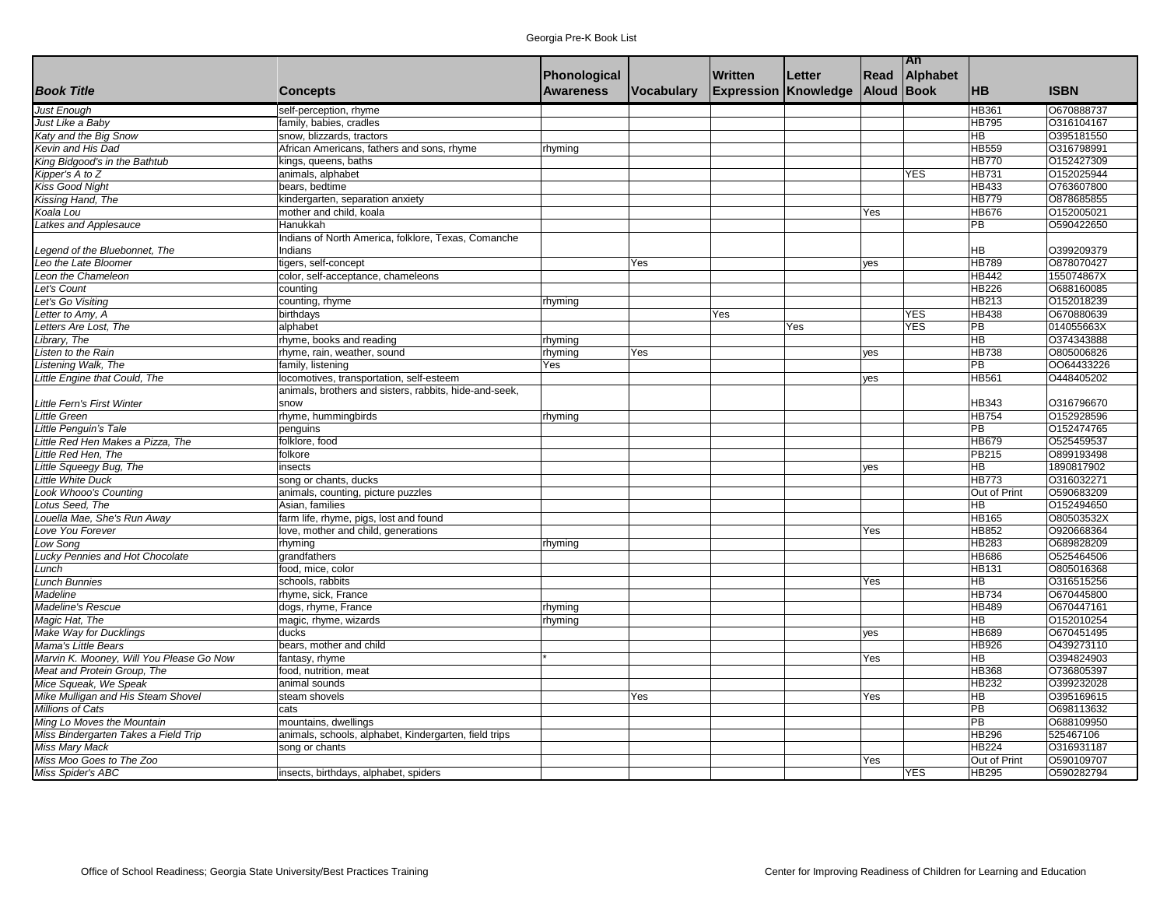|                                          |                                                        |                  |            |                             |        |                   | An         |                   |             |
|------------------------------------------|--------------------------------------------------------|------------------|------------|-----------------------------|--------|-------------------|------------|-------------------|-------------|
|                                          |                                                        | Phonological     |            | Written                     | Letter | Read              | Alphabet   |                   |             |
| <b>Book Title</b>                        | <b>Concepts</b>                                        | <b>Awareness</b> | Vocabulary | <b>Expression Knowledge</b> |        | <b>Aloud Book</b> |            | <b>HB</b>         | <b>ISBN</b> |
| <b>Just Enough</b>                       | self-perception, rhyme                                 |                  |            |                             |        |                   |            | HB361             | 0670888737  |
| Just Like a Baby                         | family, babies, cradles                                |                  |            |                             |        |                   |            | <b>HB795</b>      | O316104167  |
| Katy and the Big Snow                    | snow, blizzards, tractors                              |                  |            |                             |        |                   |            | HB                | O395181550  |
| Kevin and His Dad                        | African Americans, fathers and sons, rhyme             | rhyming          |            |                             |        |                   |            | <b>HB559</b>      | O316798991  |
| King Bidgood's in the Bathtub            | kings, queens, baths                                   |                  |            |                             |        |                   |            | HB770             | 0152427309  |
| Kipper's $A$ to $Z$                      | animals, alphabet                                      |                  |            |                             |        |                   | YES        | <b>HB731</b>      | 0152025944  |
| Kiss Good Night                          | bears, bedtime                                         |                  |            |                             |        |                   |            | <b>HB433</b>      | O763607800  |
| Kissing Hand, The                        | kindergarten, separation anxiety                       |                  |            |                             |        |                   |            | <b>HB779</b>      | 0878685855  |
| Koala Lou                                | mother and child, koala                                |                  |            |                             |        | Yes               |            | <b>HB676</b>      | 0152005021  |
| Latkes and Applesauce                    | Hanukkah                                               |                  |            |                             |        |                   |            | $\overline{PB}$   | O590422650  |
|                                          | Indians of North America, folklore, Texas, Comanche    |                  |            |                             |        |                   |            |                   |             |
| Legend of the Bluebonnet, The            | Indians                                                |                  |            |                             |        |                   |            | <b>HB</b>         | O399209379  |
| Leo the Late Bloomer                     | tigers, self-concept                                   |                  | Yes        |                             |        |                   |            | <b>HB789</b>      | O878070427  |
| Leon the Chameleon                       |                                                        |                  |            |                             |        | yes               |            | <b>HB442</b>      | 155074867X  |
|                                          | color, self-acceptance, chameleons                     |                  |            |                             |        |                   |            | <b>HB226</b>      | O688160085  |
| Let's Count                              | counting                                               |                  |            |                             |        |                   |            |                   |             |
| Let's Go Visiting                        | counting, rhyme                                        | rhyming          |            |                             |        |                   |            | <b>HB213</b>      | 0152018239  |
| etter to Amy, A                          | birthdays                                              |                  |            | Yes                         |        |                   | <b>YES</b> | <b>HB438</b>      | O670880639  |
| Letters Are Lost, The                    | alphabet                                               |                  |            |                             | Yes    |                   | <b>YES</b> | PB                | 014055663X  |
| Library, The                             | rhyme, books and reading                               | rhyming          |            |                             |        |                   |            | <b>HB</b>         | 0374343888  |
| Listen to the Rain                       | rhyme, rain, weather, sound                            | rhyming          | Yes        |                             |        | yes               |            | <b>HB738</b>      | 0805006826  |
| Listening Walk, The                      | family, listening                                      | Yes              |            |                             |        |                   |            | <b>PB</b>         | 0064433226  |
| Little Engine that Could, The            | locomotives, transportation, self-esteem               |                  |            |                             |        | yes               |            | <b>HB561</b>      | O448405202  |
|                                          | animals, brothers and sisters, rabbits, hide-and-seek, |                  |            |                             |        |                   |            |                   |             |
| Little Fern's First Winter               | snow                                                   |                  |            |                             |        |                   |            | <b>HB343</b>      | O316796670  |
| <b>Little Green</b>                      | rhyme, hummingbirds                                    | rhyming          |            |                             |        |                   |            | HB754             | O152928596  |
| ittle Penguin's Tale                     | penguins                                               |                  |            |                             |        |                   |            | PB                | 0152474765  |
| Little Red Hen Makes a Pizza, The        | folklore, food                                         |                  |            |                             |        |                   |            | <b>HB679</b>      | 0525459537  |
| Little Red Hen, The                      | folkore                                                |                  |            |                             |        |                   |            | <b>PB215</b>      | 0899193498  |
| Little Squeegy Bug, The                  | insects                                                |                  |            |                             |        | yes               |            | H <sub>B</sub>    | 1890817902  |
| ittle White Duck                         | song or chants, ducks                                  |                  |            |                             |        |                   |            | HB773             | 0316032271  |
| Look Whooo's Counting                    | animals, counting, picture puzzles                     |                  |            |                             |        |                   |            | Out of Print      | O590683209  |
| otus Seed, The                           | Asian, families                                        |                  |            |                             |        |                   |            | <b>HB</b>         | 0152494650  |
| ouella Mae, She's Run Away               | farm life, rhyme, pigs, lost and found                 |                  |            |                             |        |                   |            | <b>HB165</b>      | O80503532X  |
| ove You Forever                          | love, mother and child, generations                    |                  |            |                             |        | Yes               |            | <b>HB852</b>      | O920668364  |
| Low Song                                 | rhyming                                                | rhyming          |            |                             |        |                   |            | <b>HB283</b>      | 0689828209  |
| Lucky Pennies and Hot Chocolate          | grandfathers                                           |                  |            |                             |        |                   |            | <b>HB686</b>      | O525464506  |
| -unch                                    | food, mice, color                                      |                  |            |                             |        |                   |            | <b>HB131</b>      | O805016368  |
| unch Bunnies                             | schools, rabbits                                       |                  |            |                             |        | Yes               |            | <b>HB</b>         | O316515256  |
| Madeline                                 | rhyme, sick, France                                    |                  |            |                             |        |                   |            | HB734             | 0670445800  |
| Madeline's Rescue                        | dogs, rhyme, France                                    | rhyming          |            |                             |        |                   |            | <b>HB489</b>      | O670447161  |
| Magic Hat, The                           | magic, rhyme, wizards                                  | rhyming          |            |                             |        |                   |            | <b>HB</b>         | 0152010254  |
| Make Way for Ducklings                   | ducks                                                  |                  |            |                             |        | ves               |            | <b>HB689</b>      | O670451495  |
| Mama's Little Bears                      | bears, mother and child                                |                  |            |                             |        |                   |            | <b>HB926</b>      | 0439273110  |
| Marvin K. Mooney, Will You Please Go Now | fantasy, rhyme                                         |                  |            |                             |        | Yes               |            | <b>HB</b>         | O394824903  |
| Meat and Protein Group, The              | food, nutrition, meat                                  |                  |            |                             |        |                   |            | <b>HB368</b>      | O736805397  |
| Mice Squeak, We Speak                    | animal sounds                                          |                  |            |                             |        |                   |            | <b>HB232</b>      | 0399232028  |
|                                          | steam shovels                                          |                  | Yes        |                             |        | Yes               |            | HB                | 0395169615  |
| Mike Mulligan and His Steam Shovel       |                                                        |                  |            |                             |        |                   |            |                   |             |
| Millions of Cats                         | cats                                                   |                  |            |                             |        |                   |            | PB                | O698113632  |
| Ming Lo Moves the Mountain               | mountains, dwellings                                   |                  |            |                             |        |                   |            | $\overline{PB}$   | 0688109950  |
| Miss Bindergarten Takes a Field Trip     | animals, schools, alphabet, Kindergarten, field trips  |                  |            |                             |        |                   |            | <b>HB296</b>      | 525467106   |
| Miss Mary Mack                           | song or chants                                         |                  |            |                             |        |                   |            | HB <sub>224</sub> | O316931187  |
| Miss Moo Goes to The Zoo                 |                                                        |                  |            |                             |        | Yes               |            | Out of Print      | O590109707  |
| Miss Spider's ABC                        | insects, birthdays, alphabet, spiders                  |                  |            |                             |        |                   | YES        | <b>HB295</b>      | O590282794  |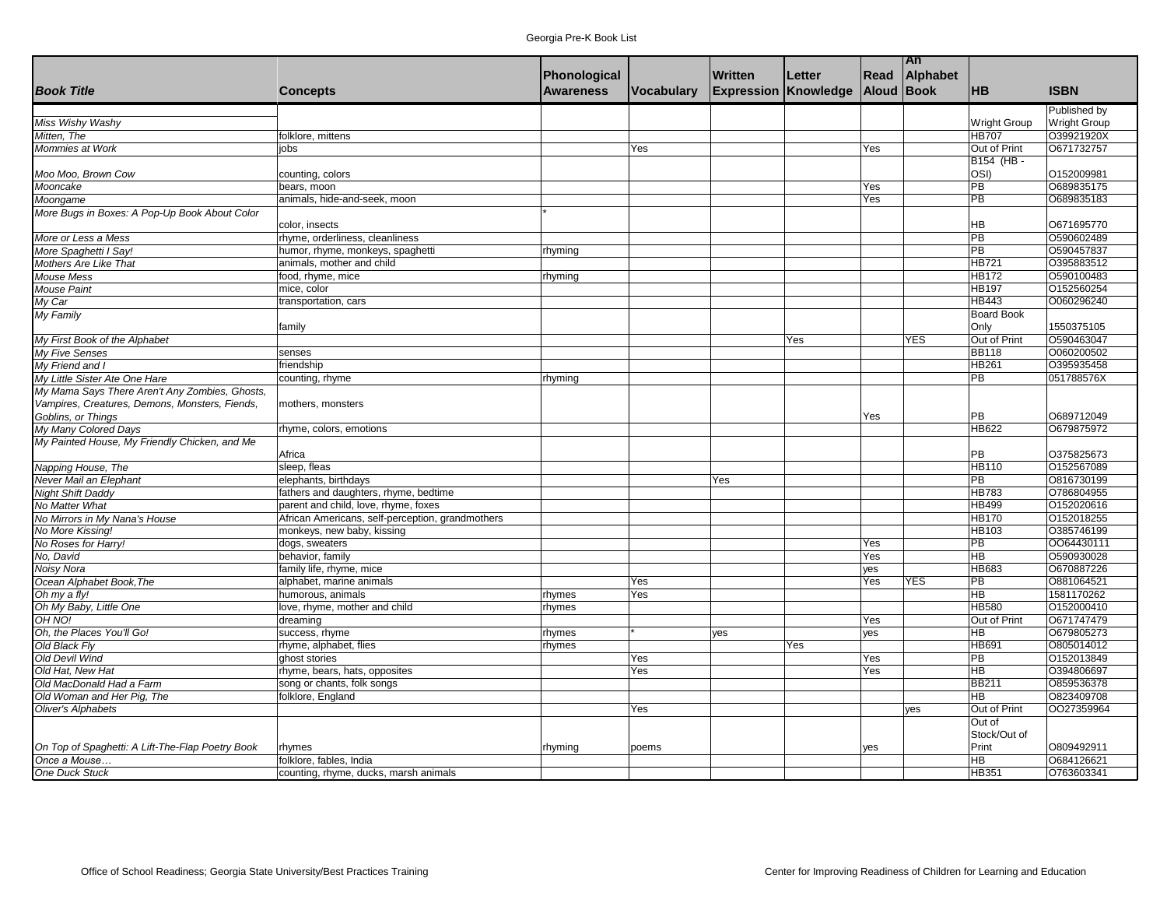|                                                  |                                                  |                  |            |                |                             |            | <b>TAn</b> |                          |                     |
|--------------------------------------------------|--------------------------------------------------|------------------|------------|----------------|-----------------------------|------------|------------|--------------------------|---------------------|
|                                                  |                                                  | Phonological     |            | <b>Written</b> | Letter                      | Read       | Alphabet   |                          |                     |
| <b>Book Title</b>                                | <b>Concepts</b>                                  | <b>Awareness</b> | Vocabulary |                | <b>Expression Knowledge</b> | Aloud Book |            | <b>HB</b>                | <b>ISBN</b>         |
|                                                  |                                                  |                  |            |                |                             |            |            |                          | Published by        |
| Miss Wishy Washy                                 |                                                  |                  |            |                |                             |            |            | Wright Group             | <b>Wright Group</b> |
| Mitten, The                                      | folklore, mittens                                |                  |            |                |                             |            |            | <b>HB707</b>             | O39921920X          |
| <b>Mommies at Work</b>                           | iobs                                             |                  | Yes        |                |                             | Yes        |            | Out of Print             | O671732757          |
|                                                  |                                                  |                  |            |                |                             |            |            | B154 (HB-                |                     |
| Moo Moo, Brown Cow                               | counting, colors                                 |                  |            |                |                             |            |            | OSI)                     | O152009981          |
| Mooncake                                         | bears, moon                                      |                  |            |                |                             | Yes        |            | <b>PB</b>                | O689835175          |
| Moongame                                         | animals, hide-and-seek, moon                     |                  |            |                |                             | Yes        |            | $\overline{PB}$          | O689835183          |
| More Bugs in Boxes: A Pop-Up Book About Color    |                                                  |                  |            |                |                             |            |            |                          |                     |
|                                                  | color, insects                                   |                  |            |                |                             |            |            | HВ                       | O671695770          |
| More or Less a Mess                              | rhyme, orderliness, cleanliness                  |                  |            |                |                             |            |            | $\overline{PB}$          | O590602489          |
| More Spaghetti I Say!                            | humor, rhyme, monkeys, spaghetti                 | rhyming          |            |                |                             |            |            | $\overline{PB}$          | O590457837          |
| Mothers Are Like That                            | animals, mother and child                        |                  |            |                |                             |            |            | <b>HB721</b>             | O395883512          |
| Mouse Mess                                       | food, rhyme, mice                                | rhyming          |            |                |                             |            |            | <b>HB172</b>             | O590100483          |
| <b>Mouse Paint</b>                               | mice, color                                      |                  |            |                |                             |            |            | <b>HB197</b>             | O152560254          |
| My Car                                           | transportation, cars                             |                  |            |                |                             |            |            | <b>HB443</b>             | O060296240          |
| My Family                                        |                                                  |                  |            |                |                             |            |            | <b>Board Book</b>        |                     |
|                                                  | family                                           |                  |            |                |                             |            |            | Only                     | 1550375105          |
| My First Book of the Alphabet                    |                                                  |                  |            |                | Yes                         |            | <b>YES</b> | Out of Print             | O590463047          |
| <b>My Five Senses</b>                            | senses                                           |                  |            |                |                             |            |            | <b>BB118</b>             | O060200502          |
| My Friend and I                                  | friendship                                       |                  |            |                |                             |            |            | <b>HB261</b>             | O395935458          |
| My Little Sister Ate One Hare                    | counting, rhyme                                  | rhyming          |            |                |                             |            |            | $\overline{PB}$          | 051788576X          |
| My Mama Says There Aren't Any Zombies, Ghosts,   |                                                  |                  |            |                |                             |            |            |                          |                     |
| Vampires, Creatures, Demons, Monsters, Fiends,   | mothers, monsters                                |                  |            |                |                             |            |            |                          |                     |
| Goblins, or Things                               |                                                  |                  |            |                |                             | Yes        |            | PB                       | O689712049          |
| My Many Colored Days                             | rhyme, colors, emotions                          |                  |            |                |                             |            |            | <b>HB622</b>             | O679875972          |
| My Painted House, My Friendly Chicken, and Me    |                                                  |                  |            |                |                             |            |            |                          |                     |
|                                                  | Africa                                           |                  |            |                |                             |            |            | PB                       | O375825673          |
| Napping House, The                               | sleep, fleas                                     |                  |            |                |                             |            |            | <b>HB110</b>             | 0152567089          |
| Never Mail an Elephant                           | elephants, birthdays                             |                  |            | Yes            |                             |            |            | $\overline{\mathsf{PB}}$ | O816730199          |
| <b>Night Shift Daddy</b>                         | fathers and daughters, rhyme, bedtime            |                  |            |                |                             |            |            | <b>HB783</b>             | O786804955          |
| No Matter What                                   | parent and child, love, rhyme, foxes             |                  |            |                |                             |            |            | <b>HB499</b>             | 0152020616          |
| No Mirrors in My Nana's House                    | African Americans, self-perception, grandmothers |                  |            |                |                             |            |            | <b>HB170</b>             | 0152018255          |
| No More Kissing!                                 | monkeys, new baby, kissing                       |                  |            |                |                             |            |            | HB103                    | O385746199          |
| No Roses for Harry!                              | dogs, sweaters                                   |                  |            |                |                             | Yes        |            | $\overline{PB}$          | 0064430111          |
| No, David                                        | behavior, family                                 |                  |            |                |                             | Yes        |            | HВ                       | O590930028          |
| Noisy Nora                                       | family life, rhyme, mice                         |                  |            |                |                             | yes        |            | HB683                    | O670887226          |
| Ocean Alphabet Book, The                         | alphabet, marine animals                         |                  | Yes        |                |                             | Yes        | <b>YES</b> | $\overline{PB}$          | O881064521          |
| Oh my a fly!                                     | humorous, animals                                | rhymes           | Yes        |                |                             |            |            | $\overline{HB}$          | 1581170262          |
| Oh My Baby, Little One                           | love, rhyme, mother and child                    | rhymes           |            |                |                             |            |            | <b>HB580</b>             | O152000410          |
| OH NO!                                           | dreaming                                         |                  |            |                |                             | Yes        |            | Out of Print             | O671747479          |
| Oh, the Places You'll Go!                        | success, rhyme                                   | rhymes           |            | yes            |                             | ves        |            | <b>HB</b>                | O679805273          |
| Old Black Fly                                    | rhyme, alphabet, flies                           | rhymes           |            |                | Yes                         |            |            | HB691                    | O805014012          |
| <b>Old Devil Wind</b>                            | ghost stories                                    |                  | Yes        |                |                             | Yes        |            | $\overline{PB}$          | O152013849          |
| Old Hat. New Hat                                 | rhyme, bears, hats, opposites                    |                  | Yes        |                |                             | Yes        |            | $\overline{HB}$          | O394806697          |
| Old MacDonald Had a Farm                         | song or chants, folk songs                       |                  |            |                |                             |            |            | <b>BB211</b>             | O859536378          |
| Old Woman and Her Pig, The                       | folklore, England                                |                  |            |                |                             |            |            | <b>HB</b>                | O823409708          |
| <b>Oliver's Alphabets</b>                        |                                                  |                  | Yes        |                |                             |            | yes        | Out of Print             | 0027359964          |
|                                                  |                                                  |                  |            |                |                             |            |            | Out of                   |                     |
|                                                  |                                                  |                  |            |                |                             |            |            | Stock/Out of             |                     |
| On Top of Spaghetti: A Lift-The-Flap Poetry Book | rhymes                                           | rhyming          | poems      |                |                             | yes        |            | Print                    | O809492911          |
| Once a Mouse                                     | folklore, fables, India                          |                  |            |                |                             |            |            | ΗB                       | O684126621          |
| One Duck Stuck                                   | counting, rhyme, ducks, marsh animals            |                  |            |                |                             |            |            | <b>HB351</b>             | O763603341          |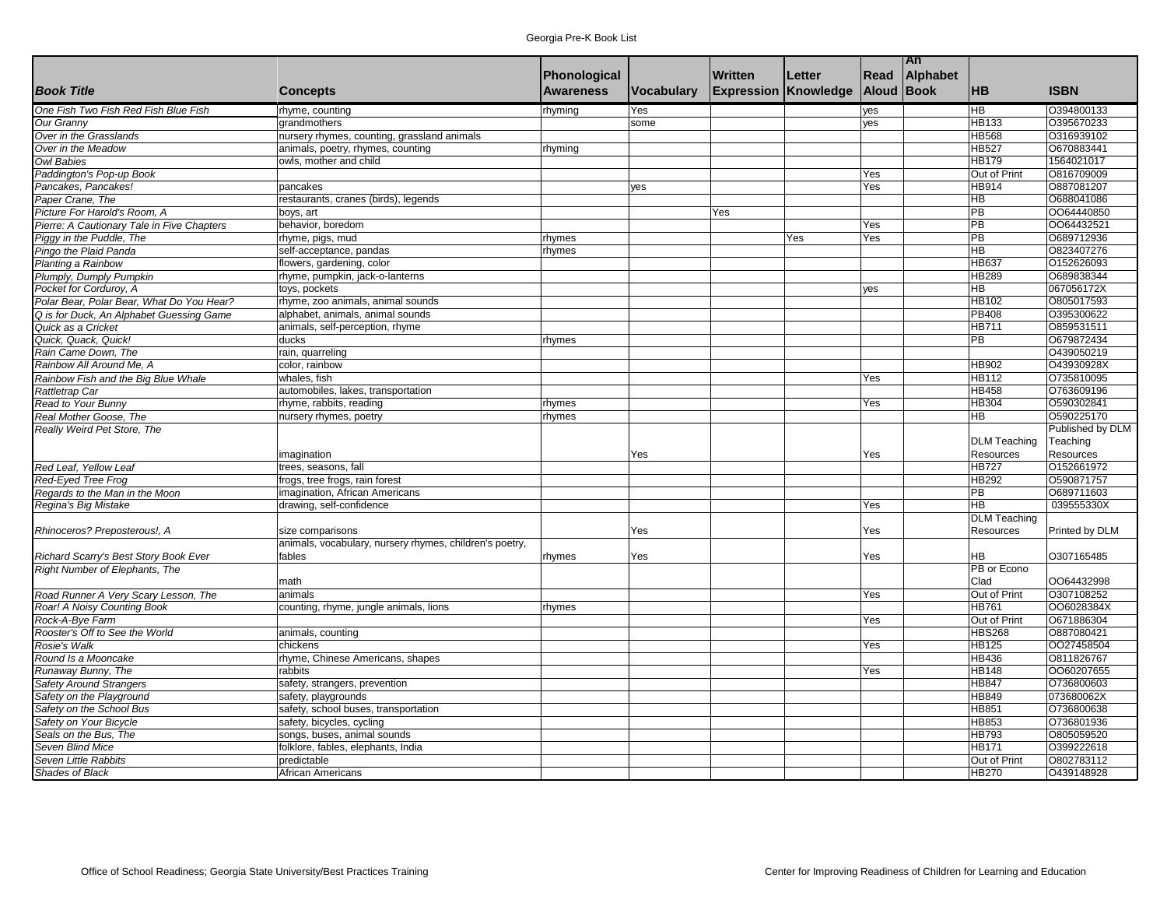|                                            |                                                         |                  |                   |                             |        |            | An       |                                   |                  |
|--------------------------------------------|---------------------------------------------------------|------------------|-------------------|-----------------------------|--------|------------|----------|-----------------------------------|------------------|
|                                            |                                                         | Phonological     |                   | <b>Written</b>              | Letter | Read       | Alphabet |                                   |                  |
| <b>Book Title</b>                          | <b>Concepts</b>                                         | <b>Awareness</b> | <b>Vocabulary</b> | <b>Expression Knowledge</b> |        | Aloud Book |          | <b>HB</b>                         | <b>ISBN</b>      |
| One Fish Two Fish Red Fish Blue Fish       | rhyme, counting                                         | rhyming          | Yes               |                             |        | yes        |          | <b>HB</b>                         | O394800133       |
| Our Granny                                 | grandmothers                                            |                  | some              |                             |        | yes        |          | <b>HB133</b>                      | O395670233       |
| Over in the Grasslands                     | nursery rhymes, counting, grassland animals             |                  |                   |                             |        |            |          | <b>HB568</b>                      | O316939102       |
| Over in the Meadow                         | animals, poetry, rhymes, counting                       | rhyming          |                   |                             |        |            |          | <b>HB527</b>                      | O670883441       |
| <b>Owl Babies</b>                          | owls, mother and child                                  |                  |                   |                             |        |            |          | <b>HB179</b>                      | 1564021017       |
| Paddington's Pop-up Book                   |                                                         |                  |                   |                             |        | Yes        |          | Out of Print                      | O816709009       |
| Pancakes, Pancakes!                        | pancakes                                                |                  | yes               |                             |        | Yes        |          | HB914                             | O887081207       |
| Paper Crane, The                           | restaurants, cranes (birds), legends                    |                  |                   |                             |        |            |          | $\overline{\mathsf{H}}$           | O688041086       |
| Picture For Harold's Room, A               | boys, art                                               |                  |                   | Yes                         |        |            |          | $\overline{PB}$                   | 0064440850       |
| Pierre: A Cautionary Tale in Five Chapters | behavior, boredom                                       |                  |                   |                             |        | Yes        |          | PB                                | 0064432521       |
| Piggy in the Puddle, The                   | rhyme, pigs, mud                                        | rhymes           |                   |                             | Yes    | Yes        |          | $\overline{PB}$                   | O689712936       |
| Pingo the Plaid Panda                      | self-acceptance, pandas                                 | rhymes           |                   |                             |        |            |          | $\overline{\mathsf{H}}$           | O823407276       |
| Planting a Rainbow                         | flowers, gardening, color                               |                  |                   |                             |        |            |          | HB637                             | O152626093       |
| Plumply, Dumply Pumpkin                    | rhyme, pumpkin, jack-o-lanterns                         |                  |                   |                             |        |            |          | HB289                             | O689838344       |
| Pocket for Corduroy, A                     | toys, pockets                                           |                  |                   |                             |        | yes        |          | HB                                | 067056172X       |
| Polar Bear, Polar Bear, What Do You Hear?  | rhyme, zoo animals, animal sounds                       |                  |                   |                             |        |            |          | <b>HB102</b>                      | O805017593       |
| Q is for Duck, An Alphabet Guessing Game   | alphabet, animals, animal sounds                        |                  |                   |                             |        |            |          | PB408                             | O395300622       |
| Quick as a Cricket                         | animals, self-perception, rhyme                         |                  |                   |                             |        |            |          | <b>HB711</b>                      | O859531511       |
| Quick, Quack, Quick!                       | ducks                                                   | rhymes           |                   |                             |        |            |          | $\overline{PB}$                   | O679872434       |
| Rain Came Down. The                        | rain, quarreling                                        |                  |                   |                             |        |            |          |                                   | O439050219       |
| Rainbow All Around Me. A                   | color, rainbow                                          |                  |                   |                             |        |            |          | HB902                             | O43930928X       |
| Rainbow Fish and the Big Blue Whale        | whales, fish                                            |                  |                   |                             |        | Yes        |          | <b>HB112</b>                      | O735810095       |
| Rattletrap Car                             | automobiles, lakes, transportation                      |                  |                   |                             |        |            |          | <b>HB458</b>                      | O763609196       |
| Read to Your Bunny                         | rhyme, rabbits, reading                                 | rhymes           |                   |                             |        | Yes        |          | <b>HB304</b>                      | O590302841       |
| Real Mother Goose, The                     | nursery rhymes, poetry                                  | rhymes           |                   |                             |        |            |          | $\overline{\mathsf{H}\mathsf{B}}$ | O590225170       |
| Really Weird Pet Store, The                |                                                         |                  |                   |                             |        |            |          |                                   | Published by DLM |
|                                            |                                                         |                  |                   |                             |        |            |          | <b>DLM Teaching</b>               | Teaching         |
|                                            | imagination                                             |                  | Yes               |                             |        | Yes        |          | <b>Resources</b>                  | Resources        |
| Red Leaf, Yellow Leaf                      | trees, seasons, fall                                    |                  |                   |                             |        |            |          | <b>HB727</b>                      | 0152661972       |
| Red-Eyed Tree Frog                         | frogs, tree frogs, rain forest                          |                  |                   |                             |        |            |          | <b>HB292</b>                      | O590871757       |
| Regards to the Man in the Moon             | imagination, African Americans                          |                  |                   |                             |        |            |          | $\overline{PB}$                   | O689711603       |
| Regina's Big Mistake                       | drawing, self-confidence                                |                  |                   |                             |        | Yes        |          | $\overline{AB}$                   | 039555330X       |
|                                            |                                                         |                  |                   |                             |        |            |          | <b>DLM Teaching</b>               |                  |
| Rhinoceros? Preposterous!, A               | size comparisons                                        |                  | Yes               |                             |        | Yes        |          | <b>Resources</b>                  | Printed by DLM   |
|                                            | animals, vocabulary, nursery rhymes, children's poetry, |                  |                   |                             |        |            |          |                                   |                  |
| Richard Scarry's Best Story Book Ever      | fables                                                  | rhymes           | Yes               |                             |        | Yes        |          | HВ                                | O307165485       |
| Right Number of Elephants, The             |                                                         |                  |                   |                             |        |            |          | PB or Econo                       |                  |
|                                            | math                                                    |                  |                   |                             |        |            |          | Clad                              | 0064432998       |
| Road Runner A Very Scary Lesson, The       | animals                                                 |                  |                   |                             |        | Yes        |          | Out of Print                      | O307108252       |
| Roar! A Noisy Counting Book                | counting, rhyme, jungle animals, lions                  | rhymes           |                   |                             |        |            |          | <b>HB761</b>                      | OO6028384X       |
| Rock-A-Bye Farm                            |                                                         |                  |                   |                             |        | Yes        |          | Out of Print                      | O671886304       |
| Rooster's Off to See the World             | animals, counting                                       |                  |                   |                             |        |            |          | <b>HBS268</b>                     | O887080421       |
| Rosie's Walk                               | chickens                                                |                  |                   |                             |        | Yes        |          | <b>HB125</b>                      | 0027458504       |
| Round Is a Mooncake                        | rhyme, Chinese Americans, shapes                        |                  |                   |                             |        |            |          | HB436                             | O811826767       |
| Runaway Bunny, The                         | rabbits                                                 |                  |                   |                             |        | Yes        |          | <b>HB148</b>                      | 0060207655       |
| <b>Safety Around Strangers</b>             | safety, strangers, prevention                           |                  |                   |                             |        |            |          | <b>HB847</b>                      | O736800603       |
| Safety on the Playground                   | safety, playgrounds                                     |                  |                   |                             |        |            |          | HB849                             | 073680062X       |
| Safety on the School Bus                   | safety, school buses, transportation                    |                  |                   |                             |        |            |          | HB851                             | O736800638       |
| Safety on Your Bicycle                     | safety, bicycles, cycling                               |                  |                   |                             |        |            |          | HB853                             | O736801936       |
| Seals on the Bus, The                      | songs, buses, animal sounds                             |                  |                   |                             |        |            |          | <b>HB793</b>                      | O805059520       |
| Seven Blind Mice                           | folklore, fables, elephants, India                      |                  |                   |                             |        |            |          | <b>HB171</b>                      | 0399222618       |
| Seven Little Rabbits                       | predictable                                             |                  |                   |                             |        |            |          | Out of Print                      | O802783112       |
| Shades of Black                            | African Americans                                       |                  |                   |                             |        |            |          | <b>HB270</b>                      | O439148928       |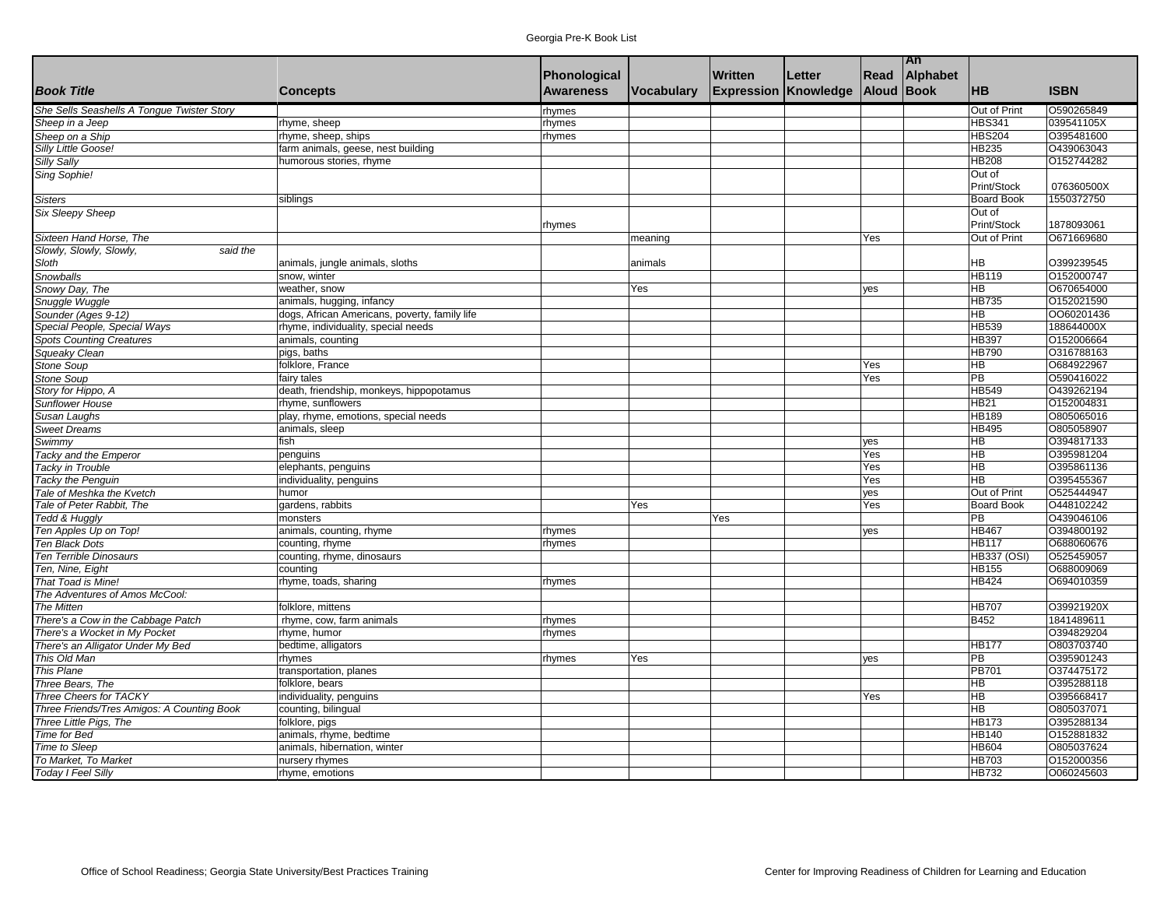|                                            |                                               |                  |                   |                             |        |                   | <b>An</b> |                    |             |
|--------------------------------------------|-----------------------------------------------|------------------|-------------------|-----------------------------|--------|-------------------|-----------|--------------------|-------------|
|                                            |                                               | Phonological     |                   | Written                     | Letter | Read              | Alphabet  |                    |             |
| <b>Book Title</b>                          | <b>Concepts</b>                               | <b>Awareness</b> | <b>Vocabulary</b> | <b>Expression Knowledge</b> |        | <b>Aloud Book</b> |           | <b>HB</b>          | <b>ISBN</b> |
| She Sells Seashells A Tongue Twister Story |                                               | rhymes           |                   |                             |        |                   |           | Out of Print       | O590265849  |
| Sheep in a Jeep                            | rhyme, sheep                                  | rhymes           |                   |                             |        |                   |           | <b>HBS341</b>      | 039541105X  |
| Sheep on a Ship                            | rhyme, sheep, ships                           | rhymes           |                   |                             |        |                   |           | <b>HBS204</b>      | O395481600  |
| Silly Little Goose!                        | farm animals, geese, nest building            |                  |                   |                             |        |                   |           | <b>HB235</b>       | O439063043  |
| Silly Sally                                | humorous stories, rhyme                       |                  |                   |                             |        |                   |           | <b>HB208</b>       | O152744282  |
| Sing Sophie!                               |                                               |                  |                   |                             |        |                   |           | Out of             |             |
|                                            |                                               |                  |                   |                             |        |                   |           | Print/Stock        | 076360500X  |
| <b>Sisters</b>                             | siblings                                      |                  |                   |                             |        |                   |           | <b>Board Book</b>  | 1550372750  |
| <b>Six Sleepy Sheep</b>                    |                                               |                  |                   |                             |        |                   |           | Out of             |             |
|                                            |                                               | rhymes           |                   |                             |        |                   |           | Print/Stock        | 1878093061  |
| Sixteen Hand Horse, The                    |                                               |                  | meaning           |                             |        | Yes               |           | Out of Print       | O671669680  |
| Slowly, Slowly, Slowly,<br>said the        |                                               |                  |                   |                             |        |                   |           |                    |             |
| Sloth                                      | animals, jungle animals, sloths               |                  | animals           |                             |        |                   |           | HВ                 | O399239545  |
| Snowballs                                  | snow, winter                                  |                  |                   |                             |        |                   |           | HB119              | O152000747  |
| Snowy Day, The                             | weather, snow                                 |                  | Yes               |                             |        | yes               |           | HВ                 | O670654000  |
| Snuggle Wuggle                             | animals, hugging, infancy                     |                  |                   |                             |        |                   |           | HB735              | O152021590  |
| Sounder (Ages 9-12)                        | dogs, African Americans, poverty, family life |                  |                   |                             |        |                   |           | HВ                 | OO60201436  |
| Special People, Special Ways               | rhyme, individuality, special needs           |                  |                   |                             |        |                   |           | HB539              | 188644000X  |
| <b>Spots Counting Creatures</b>            | animals, counting                             |                  |                   |                             |        |                   |           | <b>HB397</b>       | O152006664  |
| Squeaky Clean                              | pigs, baths                                   |                  |                   |                             |        |                   |           | HB790              | O316788163  |
| Stone Soup                                 | folklore, France                              |                  |                   |                             |        | Yes               |           | <b>HB</b>          | O684922967  |
| <b>Stone Soup</b>                          | fairy tales                                   |                  |                   |                             |        | Yes               |           | $\overline{PB}$    | O590416022  |
| Story for Hippo, A                         | death, friendship, monkeys, hippopotamus      |                  |                   |                             |        |                   |           | HB549              | O439262194  |
| <b>Sunflower House</b>                     | rhyme, sunflowers                             |                  |                   |                             |        |                   |           | <b>HB21</b>        | O152004831  |
| Susan Laughs                               | play, rhyme, emotions, special needs          |                  |                   |                             |        |                   |           | <b>HB189</b>       | O805065016  |
| <b>Sweet Dreams</b>                        | animals, sleep                                |                  |                   |                             |        |                   |           | HB495              | O805058907  |
| Swimmy                                     | fish                                          |                  |                   |                             |        | yes               |           | HВ                 | O394817133  |
| Tacky and the Emperor                      | penguins                                      |                  |                   |                             |        | Yes               |           | ΗB                 | O395981204  |
| Tacky in Trouble                           | elephants, penguins                           |                  |                   |                             |        | Yes               |           | $\overline{HB}$    | O395861136  |
| <b>Tacky the Penguin</b>                   | individuality, penguins                       |                  |                   |                             |        | Yes               |           | $\overline{HB}$    | O395455367  |
| Tale of Meshka the Kvetch                  | humor                                         |                  |                   |                             |        | yes               |           | Out of Print       | O525444947  |
| Tale of Peter Rabbit. The                  | gardens, rabbits                              |                  | Yes               |                             |        | Yes               |           | <b>Board Book</b>  | O448102242  |
| Tedd & Huggly                              | monsters                                      |                  |                   | Yes                         |        |                   |           | PB                 | O439046106  |
| Ten Apples Up on Top!                      | animals, counting, rhyme                      | rhymes           |                   |                             |        | yes               |           | HB467              | O394800192  |
| Ten Black Dots                             | counting, rhyme                               | rhymes           |                   |                             |        |                   |           | <b>HB117</b>       | O688060676  |
| Ten Terrible Dinosaurs                     | counting, rhyme, dinosaurs                    |                  |                   |                             |        |                   |           | <b>HB337 (OSI)</b> | O525459057  |
| Ten, Nine, Eight                           | counting                                      |                  |                   |                             |        |                   |           | HB155              | O688009069  |
| That Toad is Mine!                         | rhyme, toads, sharing                         | rhymes           |                   |                             |        |                   |           | HB424              | O694010359  |
| The Adventures of Amos McCool:             |                                               |                  |                   |                             |        |                   |           |                    |             |
| <b>The Mitten</b>                          | folklore, mittens                             |                  |                   |                             |        |                   |           | <b>HB707</b>       | O39921920X  |
| There's a Cow in the Cabbage Patch         | rhyme, cow, farm animals                      | rhymes           |                   |                             |        |                   |           | <b>B452</b>        | 1841489611  |
| There's a Wocket in My Pocket              | rhyme, humor                                  |                  |                   |                             |        |                   |           |                    | O394829204  |
| There's an Alligator Under My Bed          |                                               | rhymes           |                   |                             |        |                   |           | <b>HB177</b>       | O803703740  |
| This Old Man                               | bedtime, alligators                           |                  |                   |                             |        |                   |           | $\overline{PB}$    | O395901243  |
|                                            | rhymes                                        | rhymes           | Yes               |                             |        | yes               |           | <b>PB701</b>       | 0374475172  |
| This Plane                                 | transportation, planes                        |                  |                   |                             |        |                   |           |                    |             |
| Three Bears, The                           | folklore, bears                               |                  |                   |                             |        |                   |           | HB                 | O395288118  |
| Three Cheers for TACKY                     | individuality, penguins                       |                  |                   |                             |        | Yes               |           | ΗB                 | O395668417  |
| Three Friends/Tres Amigos: A Counting Book | counting, bilingual                           |                  |                   |                             |        |                   |           | $\overline{HB}$    | O805037071  |
| Three Little Pigs, The                     | folklore, pigs                                |                  |                   |                             |        |                   |           | <b>HB173</b>       | O395288134  |
| Time for Bed                               | animals, rhyme, bedtime                       |                  |                   |                             |        |                   |           | <b>HB140</b>       | O152881832  |
| Time to Sleep                              | animals, hibernation, winter                  |                  |                   |                             |        |                   |           | <b>HB604</b>       | O805037624  |
| To Market, To Market                       | nursery rhymes                                |                  |                   |                             |        |                   |           | <b>HB703</b>       | O152000356  |
| <b>Today I Feel Silly</b>                  | rhyme, emotions                               |                  |                   |                             |        |                   |           | <b>HB732</b>       | O060245603  |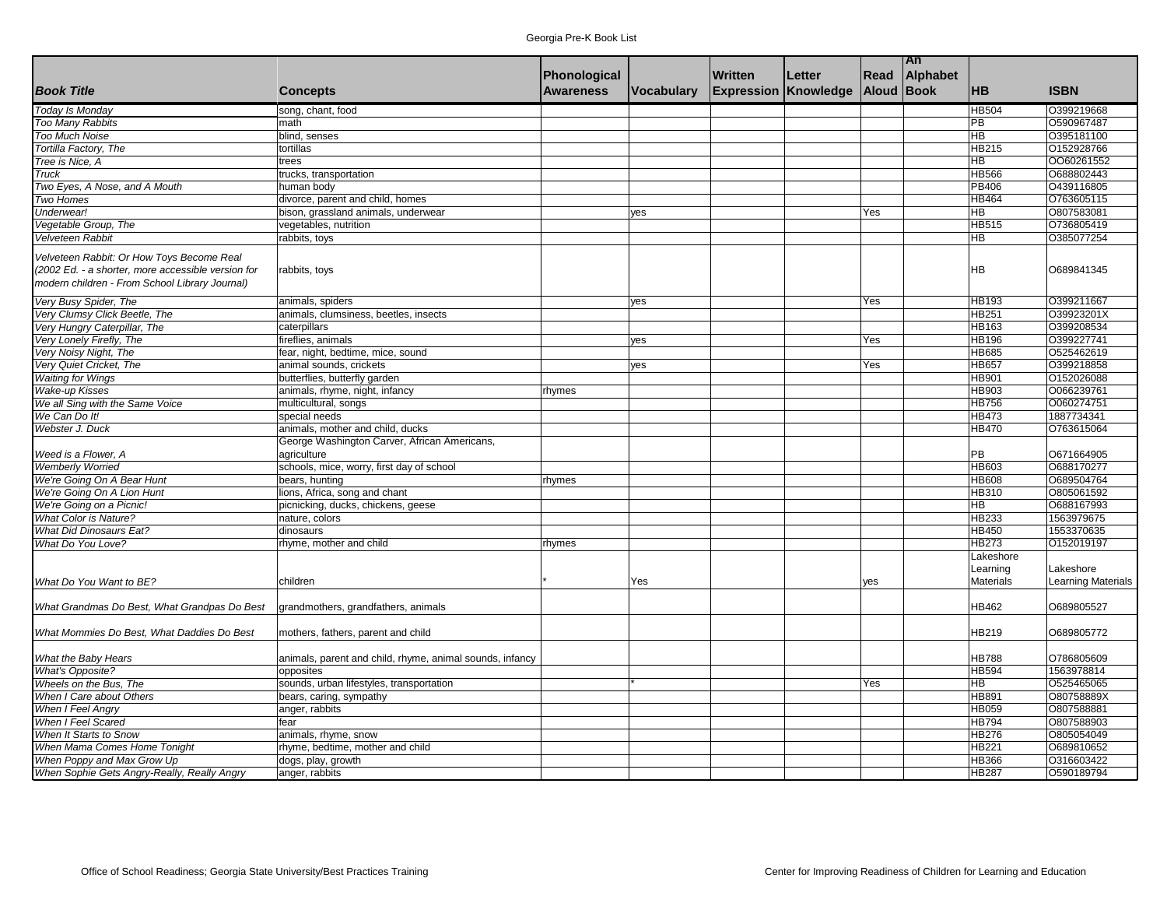|                                                    |                                                                       |                  |                   |                             |        |                   | An       |                 |                           |
|----------------------------------------------------|-----------------------------------------------------------------------|------------------|-------------------|-----------------------------|--------|-------------------|----------|-----------------|---------------------------|
|                                                    |                                                                       | Phonological     |                   | <b>Written</b>              | Letter | Read              | Alphabet |                 |                           |
| <b>Book Title</b>                                  | <b>Concepts</b>                                                       | <b>Awareness</b> | <b>Vocabulary</b> | <b>Expression Knowledge</b> |        | <b>Aloud Book</b> |          | <b>HB</b>       | <b>ISBN</b>               |
| Today Is Monday                                    | song, chant, food                                                     |                  |                   |                             |        |                   |          | <b>HB504</b>    | 0399219668                |
| Too Many Rabbits                                   | math                                                                  |                  |                   |                             |        |                   |          | PB              | O590967487                |
| <b>Too Much Noise</b>                              | blind, senses                                                         |                  |                   |                             |        |                   |          | <b>HB</b>       | O395181100                |
| Tortilla Factory, The                              | tortillas                                                             |                  |                   |                             |        |                   |          | <b>HB215</b>    | 0152928766                |
| Tree is Nice, A                                    | trees                                                                 |                  |                   |                             |        |                   |          | <b>HB</b>       | 0060261552                |
| <b>Truck</b>                                       | trucks, transportation                                                |                  |                   |                             |        |                   |          | <b>HB566</b>    | O688802443                |
| Two Eyes, A Nose, and A Mouth                      | human body                                                            |                  |                   |                             |        |                   |          | <b>PB406</b>    | O439116805                |
| Two Homes                                          | divorce, parent and child, homes                                      |                  |                   |                             |        |                   |          | <b>HB464</b>    | 0763605115                |
| Underwear!                                         | bison, grassland animals, underwear                                   |                  | yes               |                             |        | Yes               |          | $\overline{HB}$ | O807583081                |
| Vegetable Group, The                               | vegetables, nutrition                                                 |                  |                   |                             |        |                   |          | <b>HB515</b>    | 0736805419                |
| Velveteen Rabbit                                   | rabbits, toys                                                         |                  |                   |                             |        |                   |          | <b>HB</b>       | O385077254                |
|                                                    |                                                                       |                  |                   |                             |        |                   |          |                 |                           |
| Velveteen Rabbit: Or How Toys Become Real          |                                                                       |                  |                   |                             |        |                   |          |                 |                           |
| (2002 Ed. - a shorter, more accessible version for | rabbits, toys                                                         |                  |                   |                             |        |                   |          | <b>HB</b>       | O689841345                |
| modern children - From School Library Journal)     |                                                                       |                  |                   |                             |        |                   |          |                 |                           |
| Very Busy Spider, The                              | animals, spiders                                                      |                  | yes               |                             |        | Yes               |          | HB193           | O399211667                |
| Very Clumsy Click Beetle, The                      | animals, clumsiness, beetles, insects                                 |                  |                   |                             |        |                   |          | <b>HB251</b>    | O39923201X                |
| Very Hungry Caterpillar, The                       | caterpillars                                                          |                  |                   |                             |        |                   |          | HB163           | O399208534                |
| Very Lonely Firefly, The                           | fireflies, animals                                                    |                  | ves               |                             |        | Yes               |          | <b>HB196</b>    | O399227741                |
| Very Noisy Night, The                              | fear, night, bedtime, mice, sound                                     |                  |                   |                             |        |                   |          | <b>HB685</b>    | 0525462619                |
| Very Quiet Cricket, The                            | animal sounds, crickets                                               |                  | yes               |                             |        | Yes               |          | <b>HB657</b>    | O399218858                |
| <b>Waiting for Wings</b>                           | butterflies, butterfly garden                                         |                  |                   |                             |        |                   |          | <b>HB901</b>    | 0152026088                |
| <b>Wake-up Kisses</b>                              |                                                                       |                  |                   |                             |        |                   |          | <b>HB903</b>    | 0066239761                |
|                                                    | animals, rhyme, night, infancy                                        | rhymes           |                   |                             |        |                   |          |                 | O060274751                |
| We all Sing with the Same Voice                    | multicultural, songs                                                  |                  |                   |                             |        |                   |          | <b>HB756</b>    |                           |
| We Can Do It!                                      | special needs                                                         |                  |                   |                             |        |                   |          | <b>HB473</b>    | 1887734341                |
| Webster J. Duck                                    | animals, mother and child, ducks                                      |                  |                   |                             |        |                   |          | <b>HB470</b>    | O763615064                |
|                                                    | George Washington Carver, African Americans,                          |                  |                   |                             |        |                   |          | PB              |                           |
| Weed is a Flower, A                                | agriculture                                                           |                  |                   |                             |        |                   |          | <b>HB603</b>    | O671664905<br>O688170277  |
| <b>Wemberly Worried</b>                            | schools, mice, worry, first day of school                             |                  |                   |                             |        |                   |          | <b>HB608</b>    | O689504764                |
| We're Going On A Bear Hunt                         | bears, hunting                                                        | rhymes           |                   |                             |        |                   |          |                 | O805061592                |
| We're Going On A Lion Hunt                         | lions, Africa, song and chant                                         |                  |                   |                             |        |                   |          | <b>HB310</b>    |                           |
| We're Going on a Picnic!                           | picnicking, ducks, chickens, geese                                    |                  |                   |                             |        |                   |          | HB              | O688167993                |
| <b>What Color is Nature?</b>                       | nature, colors                                                        |                  |                   |                             |        |                   |          | <b>HB233</b>    | 1563979675                |
| <b>What Did Dinosaurs Eat?</b>                     | dinosaurs                                                             |                  |                   |                             |        |                   |          | <b>HB450</b>    | 1553370635                |
| What Do You Love?                                  | rhyme, mother and child                                               | rhymes           |                   |                             |        |                   |          | <b>HB273</b>    | O152019197                |
|                                                    |                                                                       |                  |                   |                             |        |                   |          | Lakeshore       |                           |
|                                                    |                                                                       |                  |                   |                             |        |                   |          | Learning        | Lakeshore                 |
| What Do You Want to BE?                            | children                                                              |                  | Yes               |                             |        | yes               |          | Materials       | <b>Learning Materials</b> |
|                                                    |                                                                       |                  |                   |                             |        |                   |          | <b>HB462</b>    |                           |
| What Grandmas Do Best, What Grandpas Do Best       | grandmothers, grandfathers, animals                                   |                  |                   |                             |        |                   |          |                 | O689805527                |
|                                                    |                                                                       |                  |                   |                             |        |                   |          |                 |                           |
| What Mommies Do Best. What Daddies Do Best         | mothers, fathers, parent and child                                    |                  |                   |                             |        |                   |          | <b>HB219</b>    | O689805772                |
| What the Baby Hears                                |                                                                       |                  |                   |                             |        |                   |          | <b>HB788</b>    | O786805609                |
|                                                    | animals, parent and child, rhyme, animal sounds, infancy<br>opposites |                  |                   |                             |        |                   |          | <b>HB594</b>    | 1563978814                |
| <b>What's Opposite?</b>                            |                                                                       |                  |                   |                             |        |                   |          | <b>HB</b>       | 0525465065                |
| Wheels on the Bus, The                             | sounds, urban lifestyles, transportation                              |                  |                   |                             |        | Yes               |          |                 |                           |
| When I Care about Others                           | bears, caring, sympathy                                               |                  |                   |                             |        |                   |          | <b>HB891</b>    | O80758889X                |
| When I Feel Angry                                  | anger, rabbits                                                        |                  |                   |                             |        |                   |          | <b>HB059</b>    | O807588881                |
| When I Feel Scared                                 | fear                                                                  |                  |                   |                             |        |                   |          | HB794           | O807588903                |
| When It Starts to Snow                             | animals, rhyme, snow                                                  |                  |                   |                             |        |                   |          | <b>HB276</b>    | O805054049                |
| When Mama Comes Home Tonight                       | rhyme, bedtime, mother and child                                      |                  |                   |                             |        |                   |          | <b>HB221</b>    | O689810652                |
| When Poppy and Max Grow Up                         | dogs, play, growth                                                    |                  |                   |                             |        |                   |          | <b>HB366</b>    | 0316603422                |
| When Sophie Gets Angry-Really, Really Angry        | anger, rabbits                                                        |                  |                   |                             |        |                   |          | <b>HB287</b>    | O590189794                |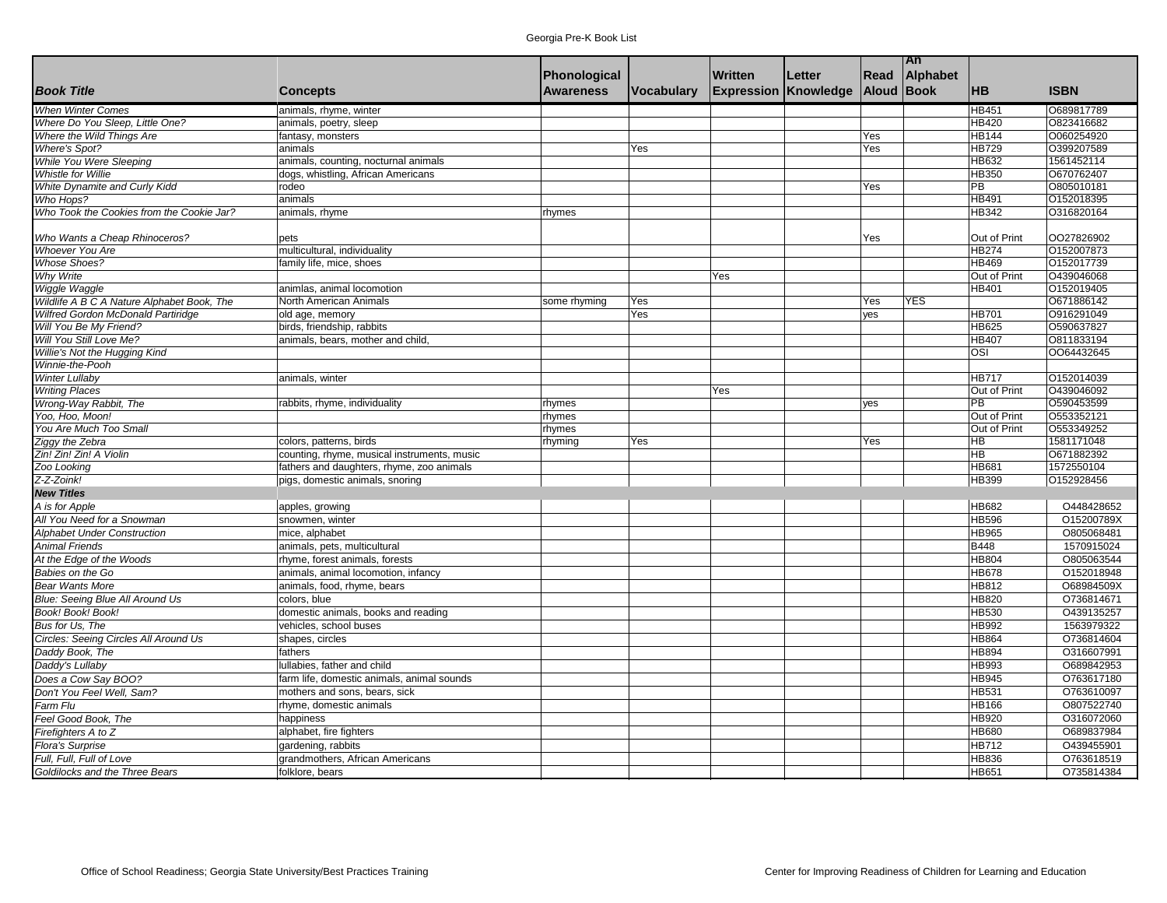|                                            |                                             |                  |                   |                |                             |            | <b>TAn</b> |                 |             |
|--------------------------------------------|---------------------------------------------|------------------|-------------------|----------------|-----------------------------|------------|------------|-----------------|-------------|
|                                            |                                             | Phonological     |                   | <b>Written</b> | Letter                      | Read       | Alphabet   |                 |             |
| <b>Book Title</b>                          | <b>Concepts</b>                             | <b>Awareness</b> | <b>Vocabulary</b> |                | <b>Expression Knowledge</b> | Aloud Book |            | <b>HB</b>       | <b>ISBN</b> |
| <b>When Winter Comes</b>                   | animals, rhyme, winter                      |                  |                   |                |                             |            |            | <b>HB451</b>    | O689817789  |
| Where Do You Sleep, Little One?            | animals, poetry, sleep                      |                  |                   |                |                             |            |            | <b>HB420</b>    | O823416682  |
| Where the Wild Things Are                  | fantasy, monsters                           |                  |                   |                |                             | Yes        |            | <b>HB144</b>    | O060254920  |
| <b>Where's Spot?</b>                       | animals                                     |                  | Yes               |                |                             | Yes        |            | <b>HB729</b>    | O399207589  |
| While You Were Sleeping                    | animals, counting, nocturnal animals        |                  |                   |                |                             |            |            | <b>HB632</b>    | 1561452114  |
| <b>Whistle for Willie</b>                  | dogs, whistling, African Americans          |                  |                   |                |                             |            |            | <b>HB350</b>    | O670762407  |
| White Dynamite and Curly Kidd              | rodeo                                       |                  |                   |                |                             | Yes        |            | $\overline{PB}$ | O805010181  |
| Who Hops?                                  | animals                                     |                  |                   |                |                             |            |            | <b>HB491</b>    | O152018395  |
| Who Took the Cookies from the Cookie Jar?  | animals, rhyme                              | rhymes           |                   |                |                             |            |            | <b>HB342</b>    | O316820164  |
|                                            |                                             |                  |                   |                |                             |            |            |                 |             |
| Who Wants a Cheap Rhinoceros?              | pets                                        |                  |                   |                |                             | Yes        |            | Out of Print    | OO27826902  |
| <b>Whoever You Are</b>                     | multicultural, individuality                |                  |                   |                |                             |            |            | HB274           | O152007873  |
| <b>Whose Shoes?</b>                        | family life, mice, shoes                    |                  |                   |                |                             |            |            | HB469           | O152017739  |
| <b>Why Write</b>                           |                                             |                  |                   | Yes            |                             |            |            | Out of Print    | O439046068  |
| Wiggle Waggle                              | animlas, animal locomotion                  |                  |                   |                |                             |            |            | HB401           | O152019405  |
| Wildlife A B C A Nature Alphabet Book, The | North American Animals                      | some rhyming     | Yes               |                |                             | Yes        | YES        |                 | O671886142  |
| Wilfred Gordon McDonald Partiridge         | old age, memory                             |                  | Yes               |                |                             | yes        |            | HB701           | O916291049  |
| Will You Be My Friend?                     | birds, friendship, rabbits                  |                  |                   |                |                             |            |            | HB625           | O590637827  |
| Will You Still Love Me?                    | animals, bears, mother and child.           |                  |                   |                |                             |            |            | <b>HB407</b>    | O811833194  |
| Willie's Not the Hugging Kind              |                                             |                  |                   |                |                             |            |            | OSI             | 0064432645  |
| Winnie-the-Pooh                            |                                             |                  |                   |                |                             |            |            |                 |             |
| <b>Winter Lullaby</b>                      | animals, winter                             |                  |                   |                |                             |            |            | <b>HB717</b>    | O152014039  |
| <b>Writing Places</b>                      |                                             |                  |                   | Yes            |                             |            |            | Out of Print    | O439046092  |
| Wrong-Way Rabbit, The                      | rabbits, rhyme, individuality               | rhymes           |                   |                |                             | yes        |            | $\overline{PB}$ | O590453599  |
| Yoo, Hoo, Moon!                            |                                             | rhymes           |                   |                |                             |            |            | Out of Print    | 0553352121  |
| You Are Much Too Small                     |                                             | rhymes           |                   |                |                             |            |            | Out of Print    | O553349252  |
| Ziggy the Zebra                            | colors, patterns, birds                     | rhyming          | Yes               |                |                             | Yes        |            | HB              | 1581171048  |
| Zin! Zin! Zin! A Violin                    | counting, rhyme, musical instruments, music |                  |                   |                |                             |            |            | $\overline{AB}$ | O671882392  |
| Zoo Looking                                | fathers and daughters, rhyme, zoo animals   |                  |                   |                |                             |            |            | HB681           | 1572550104  |
| $Z$ -Z-Zoink!                              | pigs, domestic animals, snoring             |                  |                   |                |                             |            |            | HB399           | O152928456  |
| <b>New Titles</b>                          |                                             |                  |                   |                |                             |            |            |                 |             |
| A is for Apple                             | apples, growing                             |                  |                   |                |                             |            |            | <b>HB682</b>    | O448428652  |
| All You Need for a Snowman                 | snowmen, winter                             |                  |                   |                |                             |            |            | HB596           | O15200789X  |
| <b>Alphabet Under Construction</b>         | mice, alphabet                              |                  |                   |                |                             |            |            | HB965           | O805068481  |
| <b>Animal Friends</b>                      | animals, pets, multicultural                |                  |                   |                |                             |            |            | B448            | 1570915024  |
| At the Edge of the Woods                   | rhyme, forest animals, forests              |                  |                   |                |                             |            |            | HB804           | O805063544  |
| Babies on the Go                           | animals, animal locomotion, infancy         |                  |                   |                |                             |            |            | HB678           | O152018948  |
| <b>Bear Wants More</b>                     | animals, food, rhyme, bears                 |                  |                   |                |                             |            |            | HB812           | O68984509X  |
| Blue: Seeing Blue All Around Us            | colors, blue                                |                  |                   |                |                             |            |            | HB820           | O736814671  |
| Book! Book! Book!                          | domestic animals, books and reading         |                  |                   |                |                             |            |            | HB530           | O439135257  |
| Bus for Us, The                            | vehicles, school buses                      |                  |                   |                |                             |            |            | HB992           | 1563979322  |
| Circles: Seeing Circles All Around Us      | shapes, circles                             |                  |                   |                |                             |            |            | HB864           | O736814604  |
| Daddy Book, The                            | fathers                                     |                  |                   |                |                             |            |            | HB894           | O316607991  |
| Daddy's Lullaby                            | lullabies, father and child                 |                  |                   |                |                             |            |            | HB993           | O689842953  |
| Does a Cow Say BOO?                        | farm life, domestic animals, animal sounds  |                  |                   |                |                             |            |            | HB945           | O763617180  |
| Don't You Feel Well, Sam?                  | mothers and sons, bears, sick               |                  |                   |                |                             |            |            | HB531           | O763610097  |
| Farm Flu                                   |                                             |                  |                   |                |                             |            |            | HB166           | O807522740  |
|                                            | rhyme, domestic animals                     |                  |                   |                |                             |            |            |                 |             |
| Feel Good Book, The                        | happiness                                   |                  |                   |                |                             |            |            | HB920           | O316072060  |
| Firefighters A to Z                        | alphabet, fire fighters                     |                  |                   |                |                             |            |            | HB680           | O689837984  |
| <b>Flora's Surprise</b>                    | gardening, rabbits                          |                  |                   |                |                             |            |            | HB712           | O439455901  |
| Full, Full, Full of Love                   | grandmothers, African Americans             |                  |                   |                |                             |            |            | HB836           | O763618519  |
| Goldilocks and the Three Bears             | folklore, bears                             |                  |                   |                |                             |            |            | HB651           | O735814384  |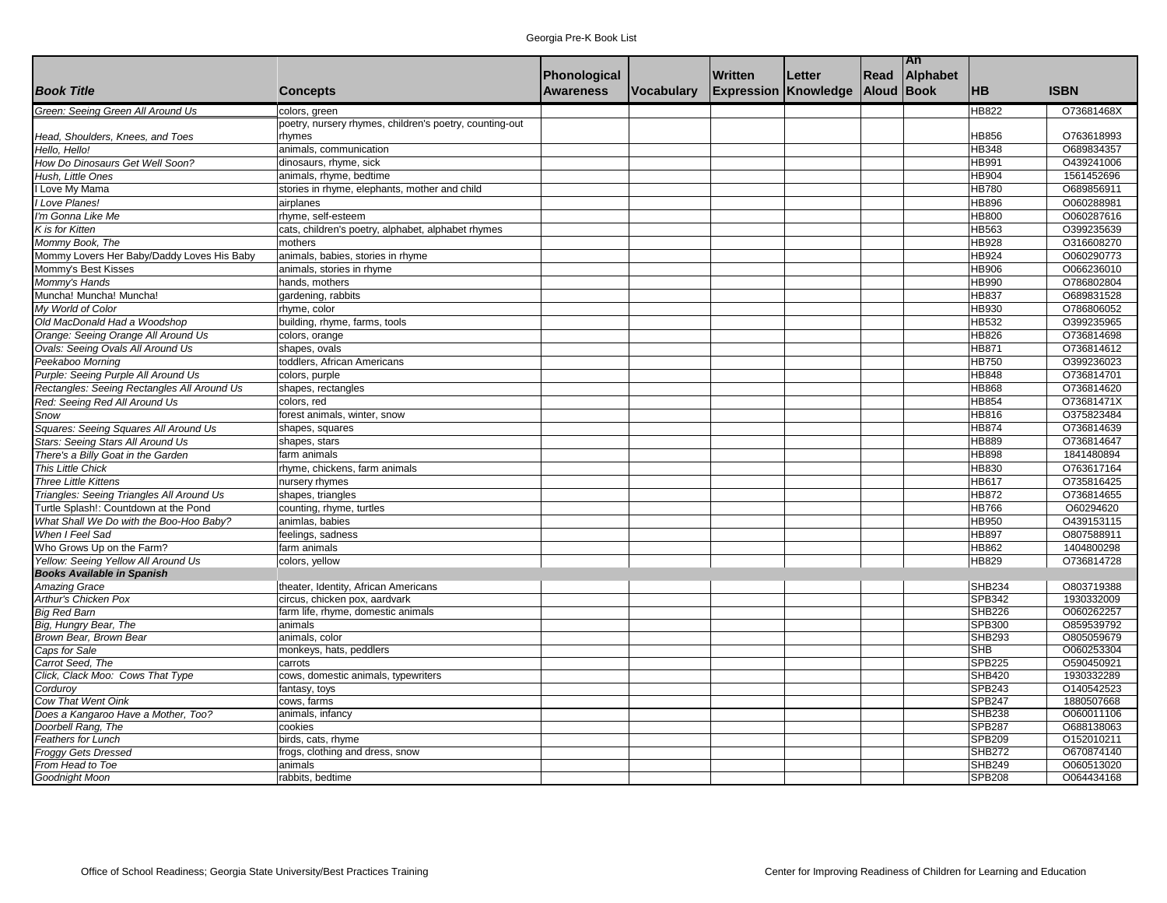|                                             |                                                         |                  |            |                |                             |            | <b>TAn</b> |               |             |
|---------------------------------------------|---------------------------------------------------------|------------------|------------|----------------|-----------------------------|------------|------------|---------------|-------------|
|                                             |                                                         | Phonological     |            | <b>Written</b> | Letter                      | Read       | Alphabet   |               |             |
| <b>Book Title</b>                           | <b>Concepts</b>                                         | <b>Awareness</b> | Vocabulary |                | <b>Expression Knowledge</b> | Aloud Book |            | <b>HB</b>     | <b>ISBN</b> |
| Green: Seeing Green All Around Us           | colors, green                                           |                  |            |                |                             |            |            | <b>HB822</b>  | O73681468X  |
|                                             | poetry, nursery rhymes, children's poetry, counting-out |                  |            |                |                             |            |            |               |             |
| Head, Shoulders, Knees, and Toes            | rhymes                                                  |                  |            |                |                             |            |            | HB856         | O763618993  |
| Hello. Hello!                               | animals, communication                                  |                  |            |                |                             |            |            | <b>HB348</b>  | O689834357  |
| How Do Dinosaurs Get Well Soon?             | dinosaurs, rhyme, sick                                  |                  |            |                |                             |            |            | <b>HB991</b>  | O439241006  |
| Hush, Little Ones                           | animals, rhyme, bedtime                                 |                  |            |                |                             |            |            | <b>HB904</b>  | 1561452696  |
| Love My Mama                                | stories in rhyme, elephants, mother and child           |                  |            |                |                             |            |            | <b>HB780</b>  | O689856911  |
| Love Planes!                                | airplanes                                               |                  |            |                |                             |            |            | <b>HB896</b>  | O060288981  |
| I'm Gonna Like Me                           | rhyme, self-esteem                                      |                  |            |                |                             |            |            | <b>HB800</b>  | O060287616  |
| K is for Kitten                             | cats, children's poetry, alphabet, alphabet rhymes      |                  |            |                |                             |            |            | HB563         | O399235639  |
| Mommy Book, The                             | mothers                                                 |                  |            |                |                             |            |            | <b>HB928</b>  | O316608270  |
| Mommy Lovers Her Baby/Daddy Loves His Baby  | animals, babies, stories in rhyme                       |                  |            |                |                             |            |            | HB924         | O060290773  |
| Mommy's Best Kisses                         | animals, stories in rhyme                               |                  |            |                |                             |            |            | <b>HB906</b>  | O066236010  |
| Mommy's Hands                               | hands, mothers                                          |                  |            |                |                             |            |            | <b>HB990</b>  | O786802804  |
| Muncha! Muncha! Muncha!                     | gardening, rabbits                                      |                  |            |                |                             |            |            | <b>HB837</b>  | O689831528  |
| My World of Color                           | rhyme, color                                            |                  |            |                |                             |            |            | HB930         | O786806052  |
| Old MacDonald Had a Woodshop                | building, rhyme, farms, tools                           |                  |            |                |                             |            |            | <b>HB532</b>  | O399235965  |
| Orange: Seeing Orange All Around Us         | colors, orange                                          |                  |            |                |                             |            |            | <b>HB826</b>  | O736814698  |
| Ovals: Seeing Ovals All Around Us           | shapes, ovals                                           |                  |            |                |                             |            |            | <b>HB871</b>  | O736814612  |
| Peekaboo Morning                            | toddlers, African Americans                             |                  |            |                |                             |            |            | <b>HB750</b>  | O399236023  |
| Purple: Seeing Purple All Around Us         | colors, purple                                          |                  |            |                |                             |            |            | <b>HB848</b>  | O736814701  |
| Rectangles: Seeing Rectangles All Around Us | shapes, rectangles                                      |                  |            |                |                             |            |            | <b>HB868</b>  | O736814620  |
| Red: Seeing Red All Around Us               | colors, red                                             |                  |            |                |                             |            |            | <b>HB854</b>  | O73681471X  |
| Snow                                        | forest animals, winter, snow                            |                  |            |                |                             |            |            | <b>HB816</b>  | O375823484  |
| Squares: Seeing Squares All Around Us       | shapes, squares                                         |                  |            |                |                             |            |            | HB874         | O736814639  |
| Stars: Seeing Stars All Around Us           | shapes, stars                                           |                  |            |                |                             |            |            | <b>HB889</b>  | O736814647  |
| There's a Billy Goat in the Garden          | farm animals                                            |                  |            |                |                             |            |            | <b>HB898</b>  | 1841480894  |
| This Little Chick                           | rhyme, chickens, farm animals                           |                  |            |                |                             |            |            | HB830         | O763617164  |
| <b>Three Little Kittens</b>                 | nursery rhymes                                          |                  |            |                |                             |            |            | <b>HB617</b>  | O735816425  |
| Triangles: Seeing Triangles All Around Us   | shapes, triangles                                       |                  |            |                |                             |            |            | HB872         | O736814655  |
| Turtle Splash!: Countdown at the Pond       | counting, rhyme, turtles                                |                  |            |                |                             |            |            | <b>HB766</b>  | O60294620   |
| What Shall We Do with the Boo-Hoo Baby?     | animlas, babies                                         |                  |            |                |                             |            |            | <b>HB950</b>  | O439153115  |
| When I Feel Sad                             | feelings, sadness                                       |                  |            |                |                             |            |            | <b>HB897</b>  | O807588911  |
| Who Grows Up on the Farm?                   | farm animals                                            |                  |            |                |                             |            |            | <b>HB862</b>  | 1404800298  |
| Yellow: Seeing Yellow All Around Us         | colors, yellow                                          |                  |            |                |                             |            |            | HB829         | O736814728  |
| <b>Books Available in Spanish</b>           |                                                         |                  |            |                |                             |            |            |               |             |
| <b>Amazing Grace</b>                        | theater, Identity, African Americans                    |                  |            |                |                             |            |            | <b>SHB234</b> | O803719388  |
| Arthur's Chicken Pox                        | circus, chicken pox, aardvark                           |                  |            |                |                             |            |            | <b>SPB342</b> | 1930332009  |
| <b>Big Red Barn</b>                         | farm life, rhyme, domestic animals                      |                  |            |                |                             |            |            | <b>SHB226</b> | O060262257  |
| Big, Hungry Bear, The                       | animals                                                 |                  |            |                |                             |            |            | SPB300        | O859539792  |
| Brown Bear, Brown Bear                      | animals, color                                          |                  |            |                |                             |            |            | <b>SHB293</b> | O805059679  |
| Caps for Sale                               | monkeys, hats, peddlers                                 |                  |            |                |                             |            |            | SHB           | O060253304  |
| Carrot Seed, The                            | carrots                                                 |                  |            |                |                             |            |            | <b>SPB225</b> | O590450921  |
| Click, Clack Moo: Cows That Type            | cows, domestic animals, typewriters                     |                  |            |                |                             |            |            | <b>SHB420</b> | 1930332289  |
| Cordurov                                    | fantasy, toys                                           |                  |            |                |                             |            |            | <b>SPB243</b> | O140542523  |
| Cow That Went Oink                          | cows, farms                                             |                  |            |                |                             |            |            | <b>SPB247</b> | 1880507668  |
| Does a Kangaroo Have a Mother, Too?         | animals, infancy                                        |                  |            |                |                             |            |            | <b>SHB238</b> | O060011106  |
| Doorbell Rang, The                          | cookies                                                 |                  |            |                |                             |            |            | <b>SPB287</b> | O688138063  |
| Feathers for Lunch                          | birds, cats, rhyme                                      |                  |            |                |                             |            |            | <b>SPB209</b> | O152010211  |
| <b>Froggy Gets Dressed</b>                  | frogs, clothing and dress, snow                         |                  |            |                |                             |            |            | <b>SHB272</b> | O670874140  |
| From Head to Toe                            | animals                                                 |                  |            |                |                             |            |            | <b>SHB249</b> | O060513020  |
| Goodnight Moon                              | rabbits, bedtime                                        |                  |            |                |                             |            |            | <b>SPB208</b> | O064434168  |